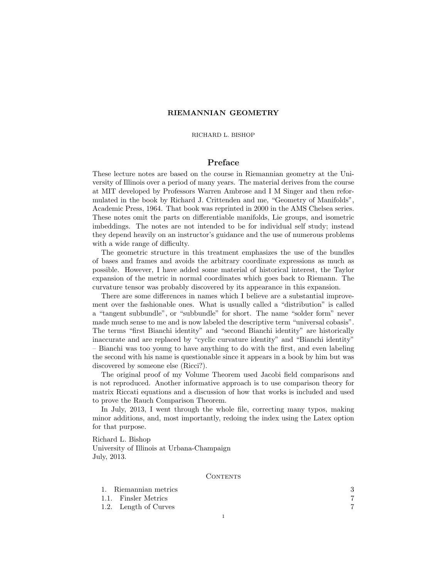## RIEMANNIAN GEOMETRY

### RICHARD L. BISHOP

# Preface

These lecture notes are based on the course in Riemannian geometry at the University of Illinois over a period of many years. The material derives from the course at MIT developed by Professors Warren Ambrose and I M Singer and then reformulated in the book by Richard J. Crittenden and me, "Geometry of Manifolds", Academic Press, 1964. That book was reprinted in 2000 in the AMS Chelsea series. These notes omit the parts on differentiable manifolds, Lie groups, and isometric imbeddings. The notes are not intended to be for individual self study; instead they depend heavily on an instructor's guidance and the use of numerous problems with a wide range of difficulty.

The geometric structure in this treatment emphasizes the use of the bundles of bases and frames and avoids the arbitrary coordinate expressions as much as possible. However, I have added some material of historical interest, the Taylor expansion of the metric in normal coordinates which goes back to Riemann. The curvature tensor was probably discovered by its appearance in this expansion.

There are some differences in names which I believe are a substantial improvement over the fashionable ones. What is usually called a "distribution" is called a "tangent subbundle", or "subbundle" for short. The name "solder form" never made much sense to me and is now labeled the descriptive term "universal cobasis". The terms "first Bianchi identity" and "second Bianchi identity" are historically inaccurate and are replaced by "cyclic curvature identity" and "Bianchi identity" – Bianchi was too young to have anything to do with the first, and even labeling the second with his name is questionable since it appears in a book by him but was discovered by someone else (Ricci?).

The original proof of my Volume Theorem used Jacobi field comparisons and is not reproduced. Another informative approach is to use comparison theory for matrix Riccati equations and a discussion of how that works is included and used to prove the Rauch Comparison Theorem.

In July, 2013, I went through the whole file, correcting many typos, making minor additions, and, most importantly, redoing the index using the Latex option for that purpose.

Richard L. Bishop University of Illinois at Urbana-Champaign July, 2013.

**CONTENTS** 

| 1. Riemannian metrics |  |
|-----------------------|--|
| 1.1. Finsler Metrics  |  |
| 1.2. Length of Curves |  |
|                       |  |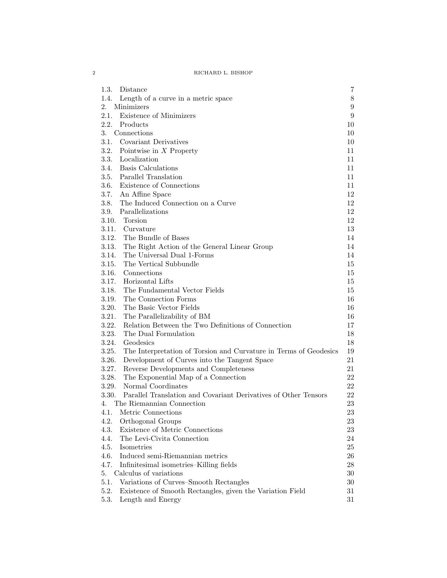2 RICHARD L. BISHOP

| 1.3.<br>Distance<br>7<br>8<br>1.4.<br>Length of a curve in a metric space<br>2.<br>Minimizers<br>$\boldsymbol{9}$<br>Existence of Minimizers<br>$\boldsymbol{9}$<br>2.1.<br>2.2.<br>Products<br>10<br>3.<br>Connections<br>10<br>3.1. Covariant Derivatives<br>10<br>3.2.<br>Pointwise in $X$ Property<br>11<br>3.3.<br>Localization<br>11<br><b>Basis Calculations</b><br>3.4.<br>11<br>3.5.<br>Parallel Translation<br>11<br>Existence of Connections<br>3.6.<br>11<br>3.7.<br>An Affine Space<br>12<br>3.8.<br>The Induced Connection on a Curve<br>12<br>3.9.<br>Parallelizations<br>12<br>3.10. Torsion<br>12<br>3.11.<br>Curvature<br>13<br>3.12.<br>The Bundle of Bases<br>14<br>3.13.<br>The Right Action of the General Linear Group<br>14<br>3.14.<br>The Universal Dual 1-Forms<br>14<br>The Vertical Subbundle<br>3.15.<br>15<br>3.16.<br>Connections<br>15<br>3.17.<br>Horizontal Lifts<br>15<br>3.18.<br>The Fundamental Vector Fields<br>15<br>3.19.<br>The Connection Forms<br>16<br>3.20.<br>The Basic Vector Fields<br>16<br>3.21.<br>The Parallelizability of BM<br>16<br>3.22.<br>Relation Between the Two Definitions of Connection<br>17<br>3.23.<br>The Dual Formulation<br>18<br>3.24.<br>Geodesics<br>18<br>3.25.<br>The Interpretation of Torsion and Curvature in Terms of Geodesics<br>19<br>3.26.<br>Development of Curves into the Tangent Space<br>21<br>3.27.<br>Reverse Developments and Completeness<br>21<br>3.28.<br>The Exponential Map of a Connection<br>22<br>3.29.<br>Normal Coordinates<br>22<br>3.30.<br>Parallel Translation and Covariant Derivatives of Other Tensors<br>22<br>The Riemannian Connection<br>23<br>4.<br>Metric Connections<br>4.1.<br>23<br>4.2.<br>Orthogonal Groups<br>23<br>Existence of Metric Connections<br>4.3.<br>23<br>The Levi-Civita Connection<br>4.4.<br>24<br>Isometries<br>4.5.<br>25<br>Induced semi-Riemannian metrics<br>26<br>4.6.<br>4.7.<br>Infinitesimal isometries-Killing fields<br>28<br>Calculus of variations<br>$30\,$<br>5. |                                                |    |
|------------------------------------------------------------------------------------------------------------------------------------------------------------------------------------------------------------------------------------------------------------------------------------------------------------------------------------------------------------------------------------------------------------------------------------------------------------------------------------------------------------------------------------------------------------------------------------------------------------------------------------------------------------------------------------------------------------------------------------------------------------------------------------------------------------------------------------------------------------------------------------------------------------------------------------------------------------------------------------------------------------------------------------------------------------------------------------------------------------------------------------------------------------------------------------------------------------------------------------------------------------------------------------------------------------------------------------------------------------------------------------------------------------------------------------------------------------------------------------------------------------------------------------------------------------------------------------------------------------------------------------------------------------------------------------------------------------------------------------------------------------------------------------------------------------------------------------------------------------------------------------------------------------------------------------------------------------------------------------------------------------------------|------------------------------------------------|----|
|                                                                                                                                                                                                                                                                                                                                                                                                                                                                                                                                                                                                                                                                                                                                                                                                                                                                                                                                                                                                                                                                                                                                                                                                                                                                                                                                                                                                                                                                                                                                                                                                                                                                                                                                                                                                                                                                                                                                                                                                                        |                                                |    |
|                                                                                                                                                                                                                                                                                                                                                                                                                                                                                                                                                                                                                                                                                                                                                                                                                                                                                                                                                                                                                                                                                                                                                                                                                                                                                                                                                                                                                                                                                                                                                                                                                                                                                                                                                                                                                                                                                                                                                                                                                        |                                                |    |
|                                                                                                                                                                                                                                                                                                                                                                                                                                                                                                                                                                                                                                                                                                                                                                                                                                                                                                                                                                                                                                                                                                                                                                                                                                                                                                                                                                                                                                                                                                                                                                                                                                                                                                                                                                                                                                                                                                                                                                                                                        |                                                |    |
|                                                                                                                                                                                                                                                                                                                                                                                                                                                                                                                                                                                                                                                                                                                                                                                                                                                                                                                                                                                                                                                                                                                                                                                                                                                                                                                                                                                                                                                                                                                                                                                                                                                                                                                                                                                                                                                                                                                                                                                                                        |                                                |    |
|                                                                                                                                                                                                                                                                                                                                                                                                                                                                                                                                                                                                                                                                                                                                                                                                                                                                                                                                                                                                                                                                                                                                                                                                                                                                                                                                                                                                                                                                                                                                                                                                                                                                                                                                                                                                                                                                                                                                                                                                                        |                                                |    |
|                                                                                                                                                                                                                                                                                                                                                                                                                                                                                                                                                                                                                                                                                                                                                                                                                                                                                                                                                                                                                                                                                                                                                                                                                                                                                                                                                                                                                                                                                                                                                                                                                                                                                                                                                                                                                                                                                                                                                                                                                        |                                                |    |
|                                                                                                                                                                                                                                                                                                                                                                                                                                                                                                                                                                                                                                                                                                                                                                                                                                                                                                                                                                                                                                                                                                                                                                                                                                                                                                                                                                                                                                                                                                                                                                                                                                                                                                                                                                                                                                                                                                                                                                                                                        |                                                |    |
|                                                                                                                                                                                                                                                                                                                                                                                                                                                                                                                                                                                                                                                                                                                                                                                                                                                                                                                                                                                                                                                                                                                                                                                                                                                                                                                                                                                                                                                                                                                                                                                                                                                                                                                                                                                                                                                                                                                                                                                                                        |                                                |    |
|                                                                                                                                                                                                                                                                                                                                                                                                                                                                                                                                                                                                                                                                                                                                                                                                                                                                                                                                                                                                                                                                                                                                                                                                                                                                                                                                                                                                                                                                                                                                                                                                                                                                                                                                                                                                                                                                                                                                                                                                                        |                                                |    |
|                                                                                                                                                                                                                                                                                                                                                                                                                                                                                                                                                                                                                                                                                                                                                                                                                                                                                                                                                                                                                                                                                                                                                                                                                                                                                                                                                                                                                                                                                                                                                                                                                                                                                                                                                                                                                                                                                                                                                                                                                        |                                                |    |
|                                                                                                                                                                                                                                                                                                                                                                                                                                                                                                                                                                                                                                                                                                                                                                                                                                                                                                                                                                                                                                                                                                                                                                                                                                                                                                                                                                                                                                                                                                                                                                                                                                                                                                                                                                                                                                                                                                                                                                                                                        |                                                |    |
|                                                                                                                                                                                                                                                                                                                                                                                                                                                                                                                                                                                                                                                                                                                                                                                                                                                                                                                                                                                                                                                                                                                                                                                                                                                                                                                                                                                                                                                                                                                                                                                                                                                                                                                                                                                                                                                                                                                                                                                                                        |                                                |    |
|                                                                                                                                                                                                                                                                                                                                                                                                                                                                                                                                                                                                                                                                                                                                                                                                                                                                                                                                                                                                                                                                                                                                                                                                                                                                                                                                                                                                                                                                                                                                                                                                                                                                                                                                                                                                                                                                                                                                                                                                                        |                                                |    |
|                                                                                                                                                                                                                                                                                                                                                                                                                                                                                                                                                                                                                                                                                                                                                                                                                                                                                                                                                                                                                                                                                                                                                                                                                                                                                                                                                                                                                                                                                                                                                                                                                                                                                                                                                                                                                                                                                                                                                                                                                        |                                                |    |
|                                                                                                                                                                                                                                                                                                                                                                                                                                                                                                                                                                                                                                                                                                                                                                                                                                                                                                                                                                                                                                                                                                                                                                                                                                                                                                                                                                                                                                                                                                                                                                                                                                                                                                                                                                                                                                                                                                                                                                                                                        |                                                |    |
|                                                                                                                                                                                                                                                                                                                                                                                                                                                                                                                                                                                                                                                                                                                                                                                                                                                                                                                                                                                                                                                                                                                                                                                                                                                                                                                                                                                                                                                                                                                                                                                                                                                                                                                                                                                                                                                                                                                                                                                                                        |                                                |    |
|                                                                                                                                                                                                                                                                                                                                                                                                                                                                                                                                                                                                                                                                                                                                                                                                                                                                                                                                                                                                                                                                                                                                                                                                                                                                                                                                                                                                                                                                                                                                                                                                                                                                                                                                                                                                                                                                                                                                                                                                                        |                                                |    |
|                                                                                                                                                                                                                                                                                                                                                                                                                                                                                                                                                                                                                                                                                                                                                                                                                                                                                                                                                                                                                                                                                                                                                                                                                                                                                                                                                                                                                                                                                                                                                                                                                                                                                                                                                                                                                                                                                                                                                                                                                        |                                                |    |
|                                                                                                                                                                                                                                                                                                                                                                                                                                                                                                                                                                                                                                                                                                                                                                                                                                                                                                                                                                                                                                                                                                                                                                                                                                                                                                                                                                                                                                                                                                                                                                                                                                                                                                                                                                                                                                                                                                                                                                                                                        |                                                |    |
|                                                                                                                                                                                                                                                                                                                                                                                                                                                                                                                                                                                                                                                                                                                                                                                                                                                                                                                                                                                                                                                                                                                                                                                                                                                                                                                                                                                                                                                                                                                                                                                                                                                                                                                                                                                                                                                                                                                                                                                                                        |                                                |    |
|                                                                                                                                                                                                                                                                                                                                                                                                                                                                                                                                                                                                                                                                                                                                                                                                                                                                                                                                                                                                                                                                                                                                                                                                                                                                                                                                                                                                                                                                                                                                                                                                                                                                                                                                                                                                                                                                                                                                                                                                                        |                                                |    |
|                                                                                                                                                                                                                                                                                                                                                                                                                                                                                                                                                                                                                                                                                                                                                                                                                                                                                                                                                                                                                                                                                                                                                                                                                                                                                                                                                                                                                                                                                                                                                                                                                                                                                                                                                                                                                                                                                                                                                                                                                        |                                                |    |
|                                                                                                                                                                                                                                                                                                                                                                                                                                                                                                                                                                                                                                                                                                                                                                                                                                                                                                                                                                                                                                                                                                                                                                                                                                                                                                                                                                                                                                                                                                                                                                                                                                                                                                                                                                                                                                                                                                                                                                                                                        |                                                |    |
|                                                                                                                                                                                                                                                                                                                                                                                                                                                                                                                                                                                                                                                                                                                                                                                                                                                                                                                                                                                                                                                                                                                                                                                                                                                                                                                                                                                                                                                                                                                                                                                                                                                                                                                                                                                                                                                                                                                                                                                                                        |                                                |    |
|                                                                                                                                                                                                                                                                                                                                                                                                                                                                                                                                                                                                                                                                                                                                                                                                                                                                                                                                                                                                                                                                                                                                                                                                                                                                                                                                                                                                                                                                                                                                                                                                                                                                                                                                                                                                                                                                                                                                                                                                                        |                                                |    |
|                                                                                                                                                                                                                                                                                                                                                                                                                                                                                                                                                                                                                                                                                                                                                                                                                                                                                                                                                                                                                                                                                                                                                                                                                                                                                                                                                                                                                                                                                                                                                                                                                                                                                                                                                                                                                                                                                                                                                                                                                        |                                                |    |
|                                                                                                                                                                                                                                                                                                                                                                                                                                                                                                                                                                                                                                                                                                                                                                                                                                                                                                                                                                                                                                                                                                                                                                                                                                                                                                                                                                                                                                                                                                                                                                                                                                                                                                                                                                                                                                                                                                                                                                                                                        |                                                |    |
|                                                                                                                                                                                                                                                                                                                                                                                                                                                                                                                                                                                                                                                                                                                                                                                                                                                                                                                                                                                                                                                                                                                                                                                                                                                                                                                                                                                                                                                                                                                                                                                                                                                                                                                                                                                                                                                                                                                                                                                                                        |                                                |    |
|                                                                                                                                                                                                                                                                                                                                                                                                                                                                                                                                                                                                                                                                                                                                                                                                                                                                                                                                                                                                                                                                                                                                                                                                                                                                                                                                                                                                                                                                                                                                                                                                                                                                                                                                                                                                                                                                                                                                                                                                                        |                                                |    |
|                                                                                                                                                                                                                                                                                                                                                                                                                                                                                                                                                                                                                                                                                                                                                                                                                                                                                                                                                                                                                                                                                                                                                                                                                                                                                                                                                                                                                                                                                                                                                                                                                                                                                                                                                                                                                                                                                                                                                                                                                        |                                                |    |
|                                                                                                                                                                                                                                                                                                                                                                                                                                                                                                                                                                                                                                                                                                                                                                                                                                                                                                                                                                                                                                                                                                                                                                                                                                                                                                                                                                                                                                                                                                                                                                                                                                                                                                                                                                                                                                                                                                                                                                                                                        |                                                |    |
|                                                                                                                                                                                                                                                                                                                                                                                                                                                                                                                                                                                                                                                                                                                                                                                                                                                                                                                                                                                                                                                                                                                                                                                                                                                                                                                                                                                                                                                                                                                                                                                                                                                                                                                                                                                                                                                                                                                                                                                                                        |                                                |    |
|                                                                                                                                                                                                                                                                                                                                                                                                                                                                                                                                                                                                                                                                                                                                                                                                                                                                                                                                                                                                                                                                                                                                                                                                                                                                                                                                                                                                                                                                                                                                                                                                                                                                                                                                                                                                                                                                                                                                                                                                                        |                                                |    |
|                                                                                                                                                                                                                                                                                                                                                                                                                                                                                                                                                                                                                                                                                                                                                                                                                                                                                                                                                                                                                                                                                                                                                                                                                                                                                                                                                                                                                                                                                                                                                                                                                                                                                                                                                                                                                                                                                                                                                                                                                        |                                                |    |
|                                                                                                                                                                                                                                                                                                                                                                                                                                                                                                                                                                                                                                                                                                                                                                                                                                                                                                                                                                                                                                                                                                                                                                                                                                                                                                                                                                                                                                                                                                                                                                                                                                                                                                                                                                                                                                                                                                                                                                                                                        |                                                |    |
|                                                                                                                                                                                                                                                                                                                                                                                                                                                                                                                                                                                                                                                                                                                                                                                                                                                                                                                                                                                                                                                                                                                                                                                                                                                                                                                                                                                                                                                                                                                                                                                                                                                                                                                                                                                                                                                                                                                                                                                                                        |                                                |    |
|                                                                                                                                                                                                                                                                                                                                                                                                                                                                                                                                                                                                                                                                                                                                                                                                                                                                                                                                                                                                                                                                                                                                                                                                                                                                                                                                                                                                                                                                                                                                                                                                                                                                                                                                                                                                                                                                                                                                                                                                                        |                                                |    |
|                                                                                                                                                                                                                                                                                                                                                                                                                                                                                                                                                                                                                                                                                                                                                                                                                                                                                                                                                                                                                                                                                                                                                                                                                                                                                                                                                                                                                                                                                                                                                                                                                                                                                                                                                                                                                                                                                                                                                                                                                        |                                                |    |
|                                                                                                                                                                                                                                                                                                                                                                                                                                                                                                                                                                                                                                                                                                                                                                                                                                                                                                                                                                                                                                                                                                                                                                                                                                                                                                                                                                                                                                                                                                                                                                                                                                                                                                                                                                                                                                                                                                                                                                                                                        |                                                |    |
|                                                                                                                                                                                                                                                                                                                                                                                                                                                                                                                                                                                                                                                                                                                                                                                                                                                                                                                                                                                                                                                                                                                                                                                                                                                                                                                                                                                                                                                                                                                                                                                                                                                                                                                                                                                                                                                                                                                                                                                                                        |                                                |    |
|                                                                                                                                                                                                                                                                                                                                                                                                                                                                                                                                                                                                                                                                                                                                                                                                                                                                                                                                                                                                                                                                                                                                                                                                                                                                                                                                                                                                                                                                                                                                                                                                                                                                                                                                                                                                                                                                                                                                                                                                                        |                                                |    |
|                                                                                                                                                                                                                                                                                                                                                                                                                                                                                                                                                                                                                                                                                                                                                                                                                                                                                                                                                                                                                                                                                                                                                                                                                                                                                                                                                                                                                                                                                                                                                                                                                                                                                                                                                                                                                                                                                                                                                                                                                        |                                                |    |
|                                                                                                                                                                                                                                                                                                                                                                                                                                                                                                                                                                                                                                                                                                                                                                                                                                                                                                                                                                                                                                                                                                                                                                                                                                                                                                                                                                                                                                                                                                                                                                                                                                                                                                                                                                                                                                                                                                                                                                                                                        |                                                |    |
|                                                                                                                                                                                                                                                                                                                                                                                                                                                                                                                                                                                                                                                                                                                                                                                                                                                                                                                                                                                                                                                                                                                                                                                                                                                                                                                                                                                                                                                                                                                                                                                                                                                                                                                                                                                                                                                                                                                                                                                                                        |                                                |    |
|                                                                                                                                                                                                                                                                                                                                                                                                                                                                                                                                                                                                                                                                                                                                                                                                                                                                                                                                                                                                                                                                                                                                                                                                                                                                                                                                                                                                                                                                                                                                                                                                                                                                                                                                                                                                                                                                                                                                                                                                                        |                                                |    |
|                                                                                                                                                                                                                                                                                                                                                                                                                                                                                                                                                                                                                                                                                                                                                                                                                                                                                                                                                                                                                                                                                                                                                                                                                                                                                                                                                                                                                                                                                                                                                                                                                                                                                                                                                                                                                                                                                                                                                                                                                        |                                                |    |
|                                                                                                                                                                                                                                                                                                                                                                                                                                                                                                                                                                                                                                                                                                                                                                                                                                                                                                                                                                                                                                                                                                                                                                                                                                                                                                                                                                                                                                                                                                                                                                                                                                                                                                                                                                                                                                                                                                                                                                                                                        | 5.1.<br>Variations of Curves-Smooth Rectangles | 30 |
| 5.2.<br>Existence of Smooth Rectangles, given the Variation Field<br>31                                                                                                                                                                                                                                                                                                                                                                                                                                                                                                                                                                                                                                                                                                                                                                                                                                                                                                                                                                                                                                                                                                                                                                                                                                                                                                                                                                                                                                                                                                                                                                                                                                                                                                                                                                                                                                                                                                                                                |                                                |    |
| 5.3.<br>31<br>Length and Energy                                                                                                                                                                                                                                                                                                                                                                                                                                                                                                                                                                                                                                                                                                                                                                                                                                                                                                                                                                                                                                                                                                                                                                                                                                                                                                                                                                                                                                                                                                                                                                                                                                                                                                                                                                                                                                                                                                                                                                                        |                                                |    |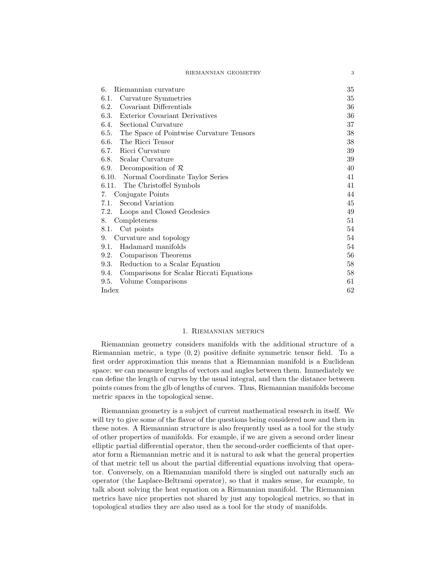| RIEMANNIAN GEOMETRY |  |
|---------------------|--|
|---------------------|--|

| Riemannian curvature<br>6.                       | 35 |
|--------------------------------------------------|----|
| Curvature Symmetries<br>6.1.                     | 35 |
| Covariant Differentials<br>6.2.                  | 36 |
| Exterior Covariant Derivatives<br>6.3.           | 36 |
| Sectional Curvature<br>6.4.                      | 37 |
| 6.5. The Space of Pointwise Curvature Tensors    | 38 |
| 6.6.<br>The Ricci Tensor                         | 38 |
| Ricci Curvature<br>6.7.                          | 39 |
| 6.8. Scalar Curvature                            | 39 |
| 6.9.<br>Decomposition of $R$                     | 40 |
| 6.10. Normal Coordinate Taylor Series            | 41 |
| 6.11. The Christoffel Symbols                    | 41 |
| Conjugate Points<br>7.                           | 44 |
| Second Variation<br>7.1.                         | 45 |
| Loops and Closed Geodesics<br>7.2.               | 49 |
| Completeness<br>8.                               | 51 |
| Cut points<br>8.1.                               | 54 |
| Curvature and topology<br>9.                     | 54 |
| Hadamard manifolds<br>9.1.                       | 54 |
| Comparison Theorems<br>9.2.                      | 56 |
| Reduction to a Scalar Equation<br>9.3.           | 58 |
| Comparisons for Scalar Riccati Equations<br>9.4. | 58 |
| Volume Comparisons<br>9.5.                       | 61 |
| Index                                            | 62 |

#### 1. Riemannian metrics

Riemannian geometry considers manifolds with the additional structure of a Riemannian metric, a type  $(0, 2)$  positive definite symmetric tensor field. To a first order approximation this means that a Riemannian manifold is a Euclidean space: we can measure lengths of vectors and angles between them. Immediately we can define the length of curves by the usual integral, and then the distance between points comes from the glb of lengths of curves. Thus, Riemannian manifolds become metric spaces in the topological sense.

Riemannian geometry is a subject of current mathematical research in itself. We will try to give some of the flavor of the questions being considered now and then in these notes. A Riemannian structure is also frequently used as a tool for the study of other properties of manifolds. For example, if we are given a second order linear elliptic partial differential operator, then the second-order coefficients of that operator form a Riemannian metric and it is natural to ask what the general properties of that metric tell us about the partial differential equations involving that operator. Conversely, on a Riemannian manifold there is singled out naturally such an operator (the Laplace-Beltrami operator), so that it makes sense, for example, to talk about solving the heat equation on a Riemannian manifold. The Riemannian metrics have nice properties not shared by just any topological metrics, so that in topological studies they are also used as a tool for the study of manifolds.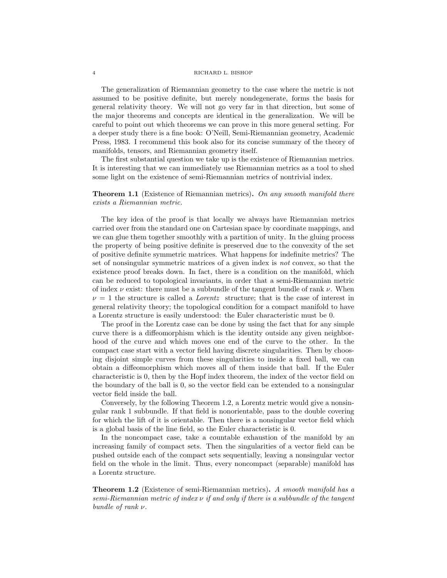#### 4 RICHARD L. BISHOP

The generalization of Riemannian geometry to the case where the metric is not assumed to be positive definite, but merely nondegenerate, forms the basis for general relativity theory. We will not go very far in that direction, but some of the major theorems and concepts are identical in the generalization. We will be careful to point out which theorems we can prove in this more general setting. For a deeper study there is a fine book: O'Neill, Semi-Riemannian geometry, Academic Press, 1983. I recommend this book also for its concise summary of the theory of manifolds, tensors, and Riemannian geometry itself.

The first substantial question we take up is the existence of Riemannian metrics. It is interesting that we can immediately use Riemannian metrics as a tool to shed some light on the existence of semi-Riemannian metrics of nontrivial index.

# **Theorem 1.1** (Existence of Riemannian metrics). On any smooth manifold there exists a Riemannian metric.

The key idea of the proof is that locally we always have Riemannian metrics carried over from the standard one on Cartesian space by coordinate mappings, and we can glue them together smoothly with a partition of unity. In the gluing process the property of being positive definite is preserved due to the convexity of the set of positive definite symmetric matrices. What happens for indefinite metrics? The set of nonsingular symmetric matrices of a given index is not convex, so that the existence proof breaks down. In fact, there is a condition on the manifold, which can be reduced to topological invariants, in order that a semi-Riemannian metric of index  $\nu$  exist: there must be a subbundle of the tangent bundle of rank  $\nu$ . When  $\nu = 1$  the structure is called a *Lorentz* structure; that is the case of interest in general relativity theory; the topological condition for a compact manifold to have a Lorentz structure is easily understood: the Euler characteristic must be 0.

The proof in the Lorentz case can be done by using the fact that for any simple curve there is a diffeomorphism which is the identity outside any given neighborhood of the curve and which moves one end of the curve to the other. In the compact case start with a vector field having discrete singularities. Then by choosing disjoint simple curves from these singularities to inside a fixed ball, we can obtain a diffeomorphism which moves all of them inside that ball. If the Euler characteristic is 0, then by the Hopf index theorem, the index of the vector field on the boundary of the ball is 0, so the vector field can be extended to a nonsingular vector field inside the ball.

Conversely, by the following Theorem 1.2, a Lorentz metric would give a nonsingular rank 1 subbundle. If that field is nonorientable, pass to the double covering for which the lift of it is orientable. Then there is a nonsingular vector field which is a global basis of the line field, so the Euler characteristic is 0.

In the noncompact case, take a countable exhaustion of the manifold by an increasing family of compact sets. Then the singularities of a vector field can be pushed outside each of the compact sets sequentially, leaving a nonsingular vector field on the whole in the limit. Thus, every noncompact (separable) manifold has a Lorentz structure.

**Theorem 1.2** (Existence of semi-Riemannian metrics). A smooth manifold has a semi-Riemannian metric of index  $\nu$  if and only if there is a subbundle of the tangent bundle of rank ν.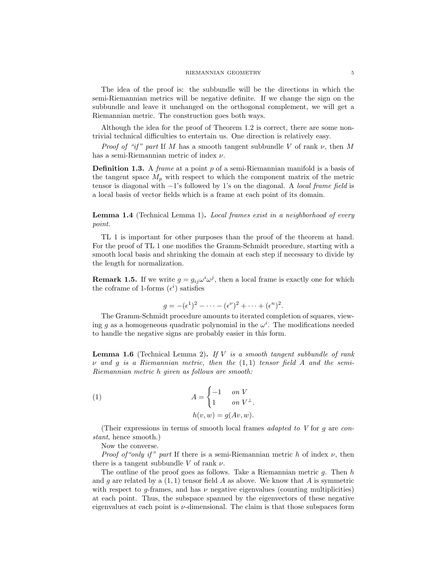The idea of the proof is: the subbundle will be the directions in which the semi-Riemannian metrics will be negative definite. If we change the sign on the subbundle and leave it unchanged on the orthogonal complement, we will get a Riemannian metric. The construction goes both ways.

Although the idea for the proof of Theorem 1.2 is correct, there are some nontrivial technical difficulties to entertain us. One direction is relatively easy.

*Proof of "if" part* If M has a smooth tangent subbundle V of rank  $\nu$ , then M has a semi-Riemannian metric of index  $\nu$ .

**Definition 1.3.** A *frame* at a point p of a semi-Riemannian manifold is a basis of the tangent space  $M_p$  with respect to which the component matrix of the metric tensor is diagonal with −1's followed by 1's on the diagonal. A local frame field is a local basis of vector fields which is a frame at each point of its domain.

**Lemma 1.4** (Technical Lemma 1). Local frames exist in a neighborhood of every point.

TL 1 is important for other purposes than the proof of the theorem at hand. For the proof of TL 1 one modifies the Gramm-Schmidt procedure, starting with a smooth local basis and shrinking the domain at each step if necessary to divide by the length for normalization.

**Remark 1.5.** If we write  $g = g_{ij} \omega^i \omega^j$ , then a local frame is exactly one for which the coframe of 1-forms  $(\epsilon^i)$  satisfies

$$
g = -(\epsilon^1)^2 - \dots - (\epsilon^{\nu})^2 + \dots + (\epsilon^n)^2.
$$

The Gramm-Schmidt procedure amounts to iterated completion of squares, viewing g as a homogeneous quadratic polynomial in the  $\omega^i$ . The modifications needed to handle the negative signs are probably easier in this form.

**Lemma 1.6** (Technical Lemma 2). If V is a smooth tangent subbundle of rank  $\nu$  and q is a Riemannian metric, then the  $(1, 1)$  tensor field A and the semi-Riemannian metric h given as follows are smooth:

(1) 
$$
A = \begin{cases} -1 & \text{on } V \\ 1 & \text{on } V^{\perp}. \end{cases}
$$

$$
h(v, w) = g(Av, w).
$$

(Their expressions in terms of smooth local frames *adapted to V* for  $g$  are *con*stant, hence smooth.)

Now the converse.

*Proof of "only if" part* If there is a semi-Riemannian metric h of index  $\nu$ , then there is a tangent subbundle V of rank  $\nu$ .

The outline of the proof goes as follows. Take a Riemannian metric g. Then  $h$ and g are related by a  $(1, 1)$  tensor field A as above. We know that A is symmetric with respect to  $g$ -frames, and has  $\nu$  negative eigenvalues (counting multiplicities) at each point. Thus, the subspace spanned by the eigenvectors of these negative eigenvalues at each point is  $\nu$ -dimensional. The claim is that those subspaces form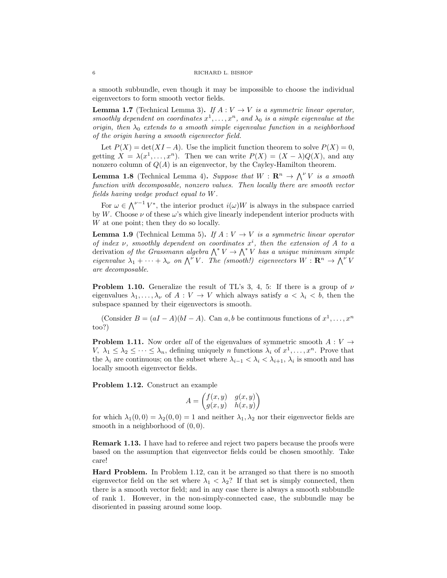a smooth subbundle, even though it may be impossible to choose the individual eigenvectors to form smooth vector fields.

**Lemma 1.7** (Technical Lemma 3). If  $A: V \rightarrow V$  is a symmetric linear operator, smoothly dependent on coordinates  $x^1, \ldots, x^n$ , and  $\lambda_0$  is a simple eigenvalue at the origin, then  $\lambda_0$  extends to a smooth simple eigenvalue function in a neighborhood of the origin having a smooth eigenvector field.

Let  $P(X) = \det(XI - A)$ . Use the implicit function theorem to solve  $P(X) = 0$ , getting  $X = \lambda(x^1, \ldots, x^n)$ . Then we can write  $P(X) = (X - \lambda)Q(X)$ , and any nonzero column of  $Q(A)$  is an eigenvector, by the Cayley-Hamilton theorem.

**Lemma 1.8** (Technical Lemma 4). Suppose that  $W : \mathbb{R}^n \to \bigwedge^{\nu} V$  is a smooth function with decomposable, nonzero values. Then locally there are smooth vector fields having wedge product equal to W.

For  $\omega \in \bigwedge^{\nu-1} V^*$ , the interior product  $i(\omega)W$  is always in the subspace carried by W. Choose  $\nu$  of these  $\omega$ 's which give linearly independent interior products with W at one point; then they do so locally.

**Lemma 1.9** (Technical Lemma 5). If  $A: V \rightarrow V$  is a symmetric linear operator of index  $\nu$ , smoothly dependent on coordinates  $x^i$ , then the extension of A to a derivation of the Grassmann algebra  $\bigwedge^* V \to \bigwedge^* V$  has a unique minimum simple eigenvalue  $\lambda_1 + \cdots + \lambda_{\nu}$  on  $\bigwedge^{\nu} V$ . The (smooth!) eigenvectors  $W : \mathbf{R}^n \to \bigwedge^{\nu} V$ are decomposable.

**Problem 1.10.** Generalize the result of TL's 3, 4, 5: If there is a group of  $\nu$ eigenvalues  $\lambda_1, \ldots, \lambda_{\nu}$  of  $A: V \to V$  which always satisfy  $a < \lambda_i < b$ , then the subspace spanned by their eigenvectors is smooth.

(Consider  $B = (aI - A)(bI - A)$ . Can a, b be continuous functions of  $x^1, \ldots, x^n$ too?)

**Problem 1.11.** Now order all of the eigenvalues of symmetric smooth  $A: V \rightarrow$ V,  $\lambda_1 \leq \lambda_2 \leq \cdots \leq \lambda_n$ , defining uniquely *n* functions  $\lambda_i$  of  $x^1, \ldots, x^n$ . Prove that the  $\lambda_i$  are continuous; on the subset where  $\lambda_{i-1} < \lambda_i < \lambda_{i+1}$ ,  $\lambda_i$  is smooth and has locally smooth eigenvector fields.

Problem 1.12. Construct an example

$$
A = \begin{pmatrix} f(x, y) & g(x, y) \\ g(x, y) & h(x, y) \end{pmatrix}
$$

for which  $\lambda_1(0,0) = \lambda_2(0,0) = 1$  and neither  $\lambda_1, \lambda_2$  nor their eigenvector fields are smooth in a neighborhood of  $(0, 0)$ .

Remark 1.13. I have had to referee and reject two papers because the proofs were based on the assumption that eigenvector fields could be chosen smoothly. Take care!

Hard Problem. In Problem 1.12, can it be arranged so that there is no smooth eigenvector field on the set where  $\lambda_1 < \lambda_2$ ? If that set is simply connected, then there is a smooth vector field; and in any case there is always a smooth subbundle of rank 1. However, in the non-simply-connected case, the subbundle may be disoriented in passing around some loop.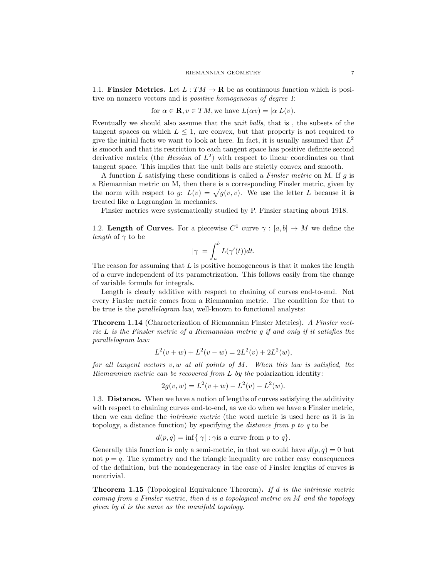1.1. Finsler Metrics. Let  $L : TM \to \mathbf{R}$  be as continuous function which is positive on nonzero vectors and is positive homogeneous of degree 1:

for 
$$
\alpha \in \mathbf{R}
$$
,  $v \in TM$ , we have  $L(\alpha v) = |\alpha| L(v)$ .

Eventually we should also assume that the unit balls, that is , the subsets of the tangent spaces on which  $L \leq 1$ , are convex, but that property is not required to give the initial facts we want to look at here. In fact, it is usually assumed that  $L^2$ is smooth and that its restriction to each tangent space has positive definite second derivative matrix (the *Hessian* of  $L^2$ ) with respect to linear coordinates on that tangent space. This implies that the unit balls are strictly convex and smooth.

A function  $L$  satisfying these conditions is called a *Finsler metric* on M. If  $g$  is a Riemannian metric on M, then there is a corresponding Finsler metric, given by the norm with respect to g:  $L(v) = \sqrt{g(v, v)}$ . We use the letter L because it is treated like a Lagrangian in mechanics.

Finsler metrics were systematically studied by P. Finsler starting about 1918.

1.2. Length of Curves. For a piecewise  $C^1$  curve  $\gamma : [a, b] \to M$  we define the *length* of  $\gamma$  to be

$$
|\gamma| = \int_a^b L(\gamma'(t)) dt.
$$

The reason for assuming that  $L$  is positive homogeneous is that it makes the length of a curve independent of its parametrization. This follows easily from the change of variable formula for integrals.

Length is clearly additive with respect to chaining of curves end-to-end. Not every Finsler metric comes from a Riemannian metric. The condition for that to be true is the parallelogram law, well-known to functional analysts:

Theorem 1.14 (Characterization of Riemannian Finsler Metrics). A Finsler metric L is the Finsler metric of a Riemannian metric g if and only if it satisfies the parallelogram law:

$$
L^{2}(v+w) + L^{2}(v-w) = 2L^{2}(v) + 2L^{2}(w),
$$

for all tangent vectors  $v, w$  at all points of  $M$ . When this law is satisfied, the Riemannian metric can be recovered from L by the polarization identity:

$$
2g(v, w) = L2(v + w) - L2(v) - L2(w).
$$

1.3. Distance. When we have a notion of lengths of curves satisfying the additivity with respect to chaining curves end-to-end, as we do when we have a Finsler metric, then we can define the intrinsic metric (the word metric is used here as it is in topology, a distance function) by specifying the distance from p to q to be

$$
d(p,q) = \inf\{|\gamma| : \gamma \text{ is a curve from } p \text{ to } q\}.
$$

Generally this function is only a semi-metric, in that we could have  $d(p, q) = 0$  but not  $p = q$ . The symmetry and the triangle inequality are rather easy consequences of the definition, but the nondegeneracy in the case of Finsler lengths of curves is nontrivial.

**Theorem 1.15** (Topological Equivalence Theorem). If  $d$  is the intrinsic metric coming from a Finsler metric, then d is a topological metric on M and the topology given by d is the same as the manifold topology.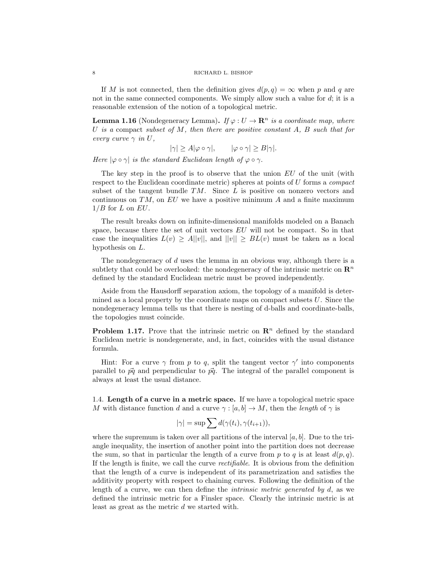If M is not connected, then the definition gives  $d(p, q) = \infty$  when p and q are not in the same connected components. We simply allow such a value for  $d$ ; it is a reasonable extension of the notion of a topological metric.

**Lemma 1.16** (Nondegeneracy Lemma). If  $\varphi: U \to \mathbb{R}^n$  is a coordinate map, where U is a compact subset of  $M$ , then there are positive constant  $A$ ,  $B$  such that for every curve  $\gamma$  in U,

 $|\gamma| \ge A |\varphi \circ \gamma|, \qquad |\varphi \circ \gamma| \ge B |\gamma|.$ 

Here  $|\varphi \circ \gamma|$  is the standard Euclidean length of  $\varphi \circ \gamma$ .

The key step in the proof is to observe that the union  $EU$  of the unit (with respect to the Euclidean coordinate metric) spheres at points of U forms a *compact* subset of the tangent bundle  $TM$ . Since L is positive on nonzero vectors and continuous on  $TM$ , on  $EU$  we have a positive minimum A and a finite maximum  $1/B$  for L on EU.

The result breaks down on infinite-dimensional manifolds modeled on a Banach space, because there the set of unit vectors  $EU$  will not be compact. So in that case the inequalities  $L(v) \geq A||v||$ , and  $||v|| \geq BL(v)$  must be taken as a local hypothesis on L.

The nondegeneracy of  $d$  uses the lemma in an obvious way, although there is a subtlety that could be overlooked: the nondegeneracy of the intrinsic metric on  $\mathbb{R}^n$ defined by the standard Euclidean metric must be proved independently.

Aside from the Hausdorff separation axiom, the topology of a manifold is determined as a local property by the coordinate maps on compact subsets  $U$ . Since the nondegeneracy lemma tells us that there is nesting of d-balls and coordinate-balls, the topologies must coincide.

**Problem 1.17.** Prove that the intrinsic metric on  $\mathbb{R}^n$  defined by the standard Euclidean metric is nondegenerate, and, in fact, coincides with the usual distance formula.

Hint: For a curve  $\gamma$  from p to q, split the tangent vector  $\gamma'$  into components parallel to  $\vec{pq}$  and perpendicular to  $\vec{pq}$ . The integral of the parallel component is always at least the usual distance.

1.4. Length of a curve in a metric space. If we have a topological metric space M with distance function d and a curve  $\gamma : [a, b] \to M$ , then the length of  $\gamma$  is

$$
|\gamma| = \sup \sum d(\gamma(t_i), \gamma(t_{i+1})),
$$

where the supremum is taken over all partitions of the interval  $[a, b]$ . Due to the triangle inequality, the insertion of another point into the partition does not decrease the sum, so that in particular the length of a curve from p to q is at least  $d(p, q)$ . If the length is finite, we call the curve rectifiable. It is obvious from the definition that the length of a curve is independent of its parametrization and satisfies the additivity property with respect to chaining curves. Following the definition of the length of a curve, we can then define the *intrinsic metric generated by d*, as we defined the intrinsic metric for a Finsler space. Clearly the intrinsic metric is at least as great as the metric d we started with.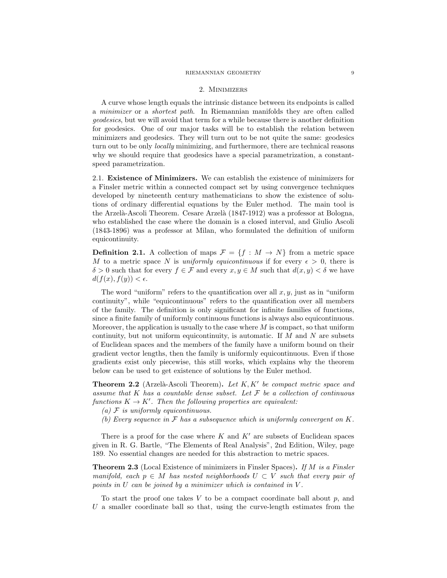#### RIEMANNIAN GEOMETRY 9

#### 2. Minimizers

A curve whose length equals the intrinsic distance between its endpoints is called a minimizer or a shortest path. In Riemannian manifolds they are often called geodesics, but we will avoid that term for a while because there is another definition for geodesics. One of our major tasks will be to establish the relation between minimizers and geodesics. They will turn out to be not quite the same: geodesics turn out to be only locally minimizing, and furthermore, there are technical reasons why we should require that geodesics have a special parametrization, a constantspeed parametrization.

2.1. Existence of Minimizers. We can establish the existence of minimizers for a Finsler metric within a connected compact set by using convergence techniques developed by nineteenth century mathematicians to show the existence of solutions of ordinary differential equations by the Euler method. The main tool is the Arzelà-Ascoli Theorem. Cesare Arzelà (1847-1912) was a professor at Bologna, who established the case where the domain is a closed interval, and Giulio Ascoli (1843-1896) was a professor at Milan, who formulated the definition of uniform equicontinuity.

**Definition 2.1.** A collection of maps  $\mathcal{F} = \{f : M \to N\}$  from a metric space M to a metric space N is uniformly equicontinuous if for every  $\epsilon > 0$ , there is  $\delta > 0$  such that for every  $f \in \mathcal{F}$  and every  $x, y \in M$  such that  $d(x, y) < \delta$  we have  $d(f(x), f(y)) < \epsilon.$ 

The word "uniform" refers to the quantification over all  $x, y$ , just as in "uniform" continuity", while "equicontinuous" refers to the quantification over all members of the family. The definition is only significant for infinite families of functions, since a finite family of uniformly continuous functions is always also equicontinuous. Moreover, the application is usually to the case where  $M$  is compact, so that uniform continuity, but not uniform equicontinuity, is automatic. If  $M$  and  $N$  are subsets of Euclidean spaces and the members of the family have a uniform bound on their gradient vector lengths, then the family is uniformly equicontinuous. Even if those gradients exist only piecewise, this still works, which explains why the theorem below can be used to get existence of solutions by the Euler method.

**Theorem 2.2** (Arzelà-Ascoli Theorem). Let  $K, K'$  be compact metric space and assume that K has a countable dense subset. Let  $\mathcal F$  be a collection of continuous functions  $K \to K'$ . Then the following properties are equivalent:

- (a)  $\mathcal F$  is uniformly equicontinuous.
- (b) Every sequence in  $\mathcal F$  has a subsequence which is uniformly convergent on  $K$ .

There is a proof for the case where K and  $K'$  are subsets of Euclidean spaces given in R. G. Bartle, "The Elements of Real Analysis", 2nd Edition, Wiley, page 189. No essential changes are needed for this abstraction to metric spaces.

**Theorem 2.3** (Local Existence of minimizers in Finsler Spaces). If M is a Finsler manifold, each  $p \in M$  has nested neighborhoods  $U \subset V$  such that every pair of points in  $U$  can be joined by a minimizer which is contained in  $V$ .

To start the proof one takes  $V$  to be a compact coordinate ball about  $p$ , and U a smaller coordinate ball so that, using the curve-length estimates from the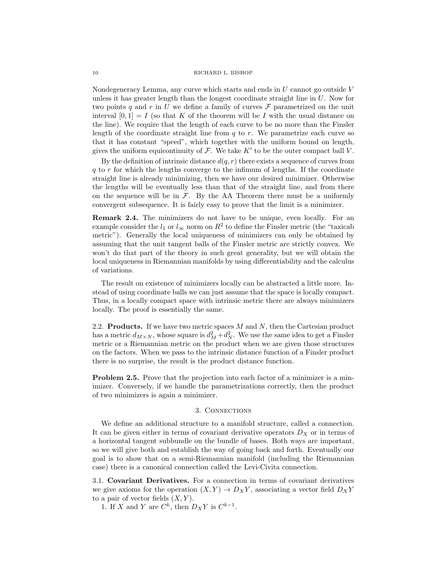Nondegeneracy Lemma, any curve which starts and ends in  $U$  cannot go outside  $V$ unless it has greater length than the longest coordinate straight line in U. Now for two points q and r in U we define a family of curves  $\mathcal F$  parametrized on the unit interval  $[0,1] = I$  (so that K of the theorem will be I with the usual distance on the line). We require that the length of each curve to be no more than the Finsler length of the coordinate straight line from  $q$  to  $r$ . We parametrize each curve so that it has constant "speed", which together with the uniform bound on length, gives the uniform equicontinuity of  $\mathcal{F}$ . We take  $K'$  to be the outer compact ball  $V$ .

By the definition of intrinsic distance  $d(q, r)$  there exists a sequence of curves from q to r for which the lengths converge to the infimum of lengths. If the coordinate straight line is already minimizing, then we have our desired minimizer. Otherwise the lengths will be eventually less than that of the straight line, and from there on the sequence will be in  $\mathcal{F}$ . By the AA Theorem there must be a uniformly convergent subsequence. It is fairly easy to prove that the limit is a minimizer.

Remark 2.4. The minimizers do not have to be unique, even locally. For an example consider the  $l_1$  or  $l_{\infty}$  norm on  $R^2$  to define the Finsler metric (the "taxicab metric"). Generally the local uniqueness of minimizers can only be obtained by assuming that the unit tangent balls of the Finsler metric are strictly convex. We won't do that part of the theory in such great generality, but we will obtain the local uniqueness in Riemannian manifolds by using differentiability and the calculus of variations.

The result on existence of minimizers locally can be abstracted a little more. Instead of using coordinate balls we can just assume that the space is locally compact. Thus, in a locally compact space with intrinsic metric there are always minimizers locally. The proof is essentially the same.

2.2. **Products.** If we have two metric spaces  $M$  and  $N$ , then the Cartesian product has a metric  $d_{M\times N}$ , whose square is  $d_M^2 + d_N^2$ . We use the same idea to get a Finsler metric or a Riemannian metric on the product when we are given those structures on the factors. When we pass to the intrinsic distance function of a Finsler product there is no surprise, the result is the product distance function.

**Problem 2.5.** Prove that the projection into each factor of a minimizer is a minimizer. Conversely, if we handle the parametrizations correctly, then the product of two minimizers is again a minimizer.

## 3. Connections

We define an additional structure to a manifold structure, called a connection. It can be given either in terms of covariant derivative operators  $D_X$  or in terms of a horizontal tangent subbundle on the bundle of bases. Both ways are important, so we will give both and establish the way of going back and forth. Eventually our goal is to show that on a semi-Riemannian manifold (including the Riemannian case) there is a canonical connection called the Levi-Civita connection.

3.1. Covariant Derivatives. For a connection in terms of covariant derivatives we give axioms for the operation  $(X, Y) \to D_X Y$ , associating a vector field  $D_X Y$ to a pair of vector fields  $(X, Y)$ .

1. If X and Y are  $C^k$ , then  $D_X Y$  is  $C^{k-1}$ .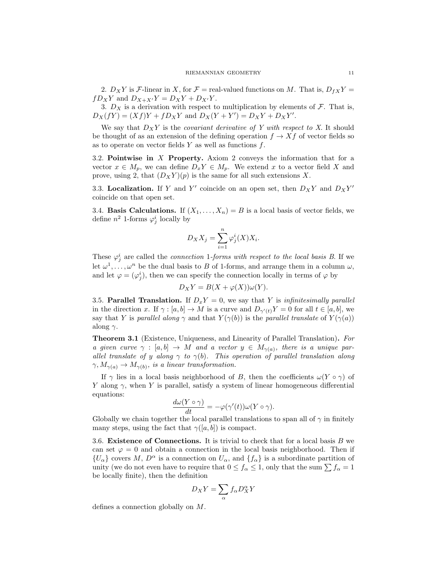2.  $D_X Y$  is F-linear in X, for  $\mathcal{F} =$  real-valued functions on M. That is,  $D_f X Y =$  $fD_XY$  and  $D_{X+X'}Y = D_XY + D_{X'}Y$ .

3.  $D_X$  is a derivation with respect to multiplication by elements of  $\mathcal{F}$ . That is,  $D_X(fY) = (Xf)Y + fD_XY$  and  $D_X(Y + Y') = D_XY + D_XY'$ .

We say that  $D_XY$  is the *covariant derivative of* Y with respect to X. It should be thought of as an extension of the defining operation  $f \to Xf$  of vector fields so as to operate on vector fields  $Y$  as well as functions  $f$ .

3.2. Pointwise in X Property. Axiom 2 conveys the information that for a vector  $x \in M_p$ , we can define  $D_x Y \in M_p$ . We extend x to a vector field X and prove, using 2, that  $(D_X Y)(p)$  is the same for all such extensions X.

3.3. Localization. If Y and Y' coincide on an open set, then  $D_X Y$  and  $D_X Y'$ coincide on that open set.

3.4. **Basis Calculations.** If  $(X_1, \ldots, X_n) = B$  is a local basis of vector fields, we define  $n^2$  1-forms  $\varphi_j^i$  locally by

$$
D_X X_j = \sum_{i=1}^n \varphi_j^i(X) X_i.
$$

These  $\varphi_j^i$  are called the *connection* 1-forms with respect to the local basis B. If we let  $\omega^1, \ldots, \omega^n$  be the dual basis to B of 1-forms, and arrange them in a column  $\omega$ , and let  $\varphi = (\varphi_j^i)$ , then we can specify the connection locally in terms of  $\varphi$  by

$$
D_X Y = B(X + \varphi(X))\omega(Y).
$$

3.5. Parallel Translation. If  $D_xY = 0$ , we say that Y is *infinitesimally parallel* in the direction x. If  $\gamma : [a, b] \to M$  is a curve and  $D_{\gamma'(t)}Y = 0$  for all  $t \in [a, b]$ , we say that Y is parallel along  $\gamma$  and that  $Y(\gamma(b))$  is the parallel translate of  $Y(\gamma(a))$ along  $\gamma$ .

Theorem 3.1 (Existence, Uniqueness, and Linearity of Parallel Translation). For a given curve  $\gamma : [a, b] \to M$  and a vector  $y \in M_{\gamma(a)}$ , there is a unique parallel translate of y along  $\gamma$  to  $\gamma(b)$ . This operation of parallel translation along  $\gamma, M_{\gamma(a)} \to M_{\gamma(b)}$ , is a linear transformation.

If  $\gamma$  lies in a local basis neighborhood of B, then the coefficients  $\omega(Y \circ \gamma)$  of Y along  $\gamma$ , when Y is parallel, satisfy a system of linear homogeneous differential equations:

$$
\frac{d\omega(Y\circ\gamma)}{dt}=-\varphi(\gamma'(t))\omega(Y\circ\gamma).
$$

Globally we chain together the local parallel translations to span all of  $\gamma$  in finitely many steps, using the fact that  $\gamma([a, b])$  is compact.

3.6. Existence of Connections. It is trivial to check that for a local basis  $B$  we can set  $\varphi = 0$  and obtain a connection in the local basis neighborhood. Then if  $\{U_{\alpha}\}\$ covers M,  $D^{\alpha}$  is a connection on  $U_{\alpha}$ , and  $\{f_{\alpha}\}\$ is a subordinate partition of unity (we do not even have to require that  $0 \le f_\alpha \le 1$ , only that the sum  $\sum f_\alpha = 1$ be locally finite), then the definition

$$
D_X Y = \sum_{\alpha} f_{\alpha} D_X^{\alpha} Y
$$

defines a connection globally on M.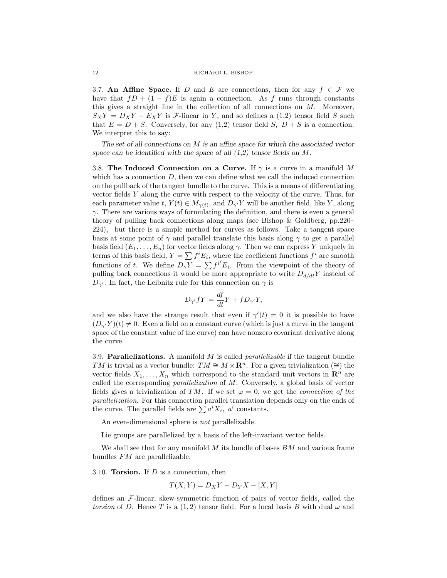3.7. An Affine Space. If D and E are connections, then for any  $f \in \mathcal{F}$  we have that  $fD + (1 - f)E$  is again a connection. As f runs through constants this gives a straight line in the collection of all connections on M. Moreover,  $S_XY = D_XY - E_XY$  is *F*-linear in Y, and so defines a (1,2) tensor field S such that  $E = D + S$ . Conversely, for any (1,2) tensor field S,  $D + S$  is a connection. We interpret this to say:

The set of all connections on  $M$  is an affine space for which the associated vector space can be identified with the space of all  $(1,2)$  tensor fields on M.

3.8. The Induced Connection on a Curve. If  $\gamma$  is a curve in a manifold M which has a connection  $D$ , then we can define what we call the induced connection on the pullback of the tangent bundle to the curve. This is a means of differentiating vector fields Y along the curve with respect to the velocity of the curve. Thus, for each parameter value t,  $Y(t) \in M_{\gamma(t)}$ , and  $D_{\gamma'} Y$  will be another field, like Y, along  $\gamma$ . There are various ways of formulating the definition, and there is even a general theory of pulling back connections along maps (see Bishop & Goldberg, pp.220– 224), but there is a simple method for curves as follows. Take a tangent space basis at some point of  $\gamma$  and parallel translate this basis along  $\gamma$  to get a parallel basis field  $(E_1, \ldots, E_n)$  for vector fields along  $\gamma$ . Then we can express Y uniquely in terms of this basis field,  $Y = \sum f^i E_i$ , where the coefficient functions  $f^i$  are smooth functions of t. We define  $D_{\gamma}Y = \sum f^{i'} E_i$ . From the viewpoint of the theory of pulling back connections it would be more appropriate to write  $D_{d/dt}Y$  instead of  $D_{\gamma'}$ . In fact, the Leibnitz rule for this connection on  $\gamma$  is

$$
D_{\gamma'}fY = \frac{df}{dt}Y + fD_{\gamma'}Y,
$$

and we also have the strange result that even if  $\gamma'(t) = 0$  it is possible to have  $(D_{\gamma'}Y)(t) \neq 0$ . Even a field on a constant curve (which is just a curve in the tangent space of the constant value of the curve) can have nonzero covariant derivative along the curve.

3.9. **Parallelizations.** A manifold  $M$  is called *parallelizable* if the tangent bundle TM is trivial as a vector bundle:  $TM \cong M \times \mathbb{R}^n$ . For a given trivialization (≅) the vector fields  $X_1, \ldots, X_n$  which correspond to the standard unit vectors in  $\mathbb{R}^n$  are called the corresponding *parallelization* of  $M$ . Conversely, a global basis of vector fields gives a trivialization of TM. If we set  $\varphi = 0$ , we get the *connection of the* parallelization. For this connection parallel translation depends only on the ends of the curve. The parallel fields are  $\sum a^i X_i$ ,  $a^i$  constants.

An even-dimensional sphere is not parallelizable.

Lie groups are parallelized by a basis of the left-invariant vector fields.

We shall see that for any manifold  $M$  its bundle of bases  $BM$  and various frame bundles FM are parallelizable.

3.10. **Torsion.** If  $D$  is a connection, then

$$
T(X,Y) = D_X Y - D_Y X - [X,Y]
$$

defines an F-linear, skew-symmetric function of pairs of vector fields, called the torsion of D. Hence T is a (1,2) tensor field. For a local basis B with dual  $\omega$  and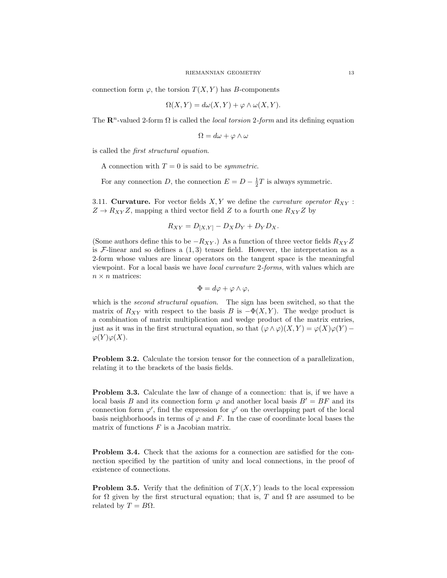connection form  $\varphi$ , the torsion  $T(X, Y)$  has B-components

$$
\Omega(X, Y) = d\omega(X, Y) + \varphi \wedge \omega(X, Y).
$$

The  $\mathbb{R}^n$ -valued 2-form  $\Omega$  is called the *local torsion 2-form* and its defining equation

$$
\Omega = d\omega + \varphi \wedge \omega
$$

is called the first structural equation.

A connection with  $T = 0$  is said to be *symmetric*.

For any connection D, the connection  $E = D - \frac{1}{2}T$  is always symmetric.

3.11. Curvature. For vector fields  $X, Y$  we define the *curvature operator*  $R_{XY}$ :  $Z \to R_{XY}Z$ , mapping a third vector field Z to a fourth one  $R_{XY}Z$  by

$$
R_{XY} = D_{[X,Y]} - D_X D_Y + D_Y D_X.
$$

(Some authors define this to be  $-R_{XY}$ .) As a function of three vector fields  $R_{XY}Z$ is  $\mathcal{F}\text{-linear}$  and so defines a  $(1,3)$  tensor field. However, the interpretation as a 2-form whose values are linear operators on the tangent space is the meaningful viewpoint. For a local basis we have local curvature 2-forms, with values which are  $n \times n$  matrices:

$$
\Phi = d\varphi + \varphi \wedge \varphi,
$$

which is the second structural equation. The sign has been switched, so that the matrix of  $R_{XY}$  with respect to the basis B is  $-\Phi(X, Y)$ . The wedge product is a combination of matrix multiplication and wedge product of the matrix entries, just as it was in the first structural equation, so that  $(\varphi \wedge \varphi)(X, Y) = \varphi(X)\varphi(Y) \varphi(Y)\varphi(X).$ 

Problem 3.2. Calculate the torsion tensor for the connection of a parallelization, relating it to the brackets of the basis fields.

Problem 3.3. Calculate the law of change of a connection: that is, if we have a local basis B and its connection form  $\varphi$  and another local basis  $B' = BF$  and its connection form  $\varphi'$ , find the expression for  $\varphi'$  on the overlapping part of the local basis neighborhoods in terms of  $\varphi$  and F. In the case of coordinate local bases the matrix of functions  $F$  is a Jacobian matrix.

Problem 3.4. Check that the axioms for a connection are satisfied for the connection specified by the partition of unity and local connections, in the proof of existence of connections.

**Problem 3.5.** Verify that the definition of  $T(X, Y)$  leads to the local expression for  $\Omega$  given by the first structural equation; that is, T and  $\Omega$  are assumed to be related by  $T = B\Omega$ .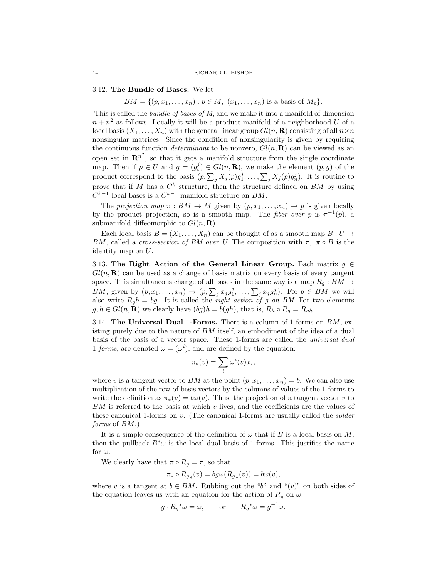## 3.12. The Bundle of Bases. We let

 $BM = \{(p, x_1, \ldots, x_n) : p \in M, (x_1, \ldots, x_n) \text{ is a basis of } M_p\}.$ 

This is called the *bundle of bases of M*, and we make it into a manifold of dimension  $n + n<sup>2</sup>$  as follows. Locally it will be a product manifold of a neighborhood U of a local basis  $(X_1, \ldots, X_n)$  with the general linear group  $Gl(n, \mathbf{R})$  consisting of all  $n \times n$ nonsingular matrices. Since the condition of nonsingularity is given by requiring the continuous function *determinant* to be nonzero,  $Gl(n, \mathbf{R})$  can be viewed as an open set in  $\mathbb{R}^{n^2}$ , so that it gets a manifold structure from the single coordinate map. Then if  $p \in U$  and  $g = (g_i^j) \in Gl(n, \mathbf{R})$ , we make the element  $(p, g)$  of the product correspond to the basis  $(p, \sum_j X_j(p)g_1^j, \ldots, \sum_j X_j(p)g_n^j)$ . It is routine to prove that if M has a  $C^k$  structure, then the structure defined on BM by using  $C^{k-1}$  local bases is a  $C^{k-1}$  manifold structure on  $BM$ .

The projection map  $\pi : BM \to M$  given by  $(p, x_1, \ldots, x_n) \to p$  is given locally by the product projection, so is a smooth map. The *fiber over* p is  $\pi^{-1}(p)$ , a submanifold diffeomorphic to  $Gl(n, \mathbf{R})$ .

Each local basis  $B = (X_1, \ldots, X_n)$  can be thought of as a smooth map  $B: U \to$ BM, called a cross-section of BM over U. The composition with  $\pi$ ,  $\pi \circ B$  is the identity map on U.

3.13. The Right Action of the General Linear Group. Each matrix  $g \in$  $Gl(n, \mathbf{R})$  can be used as a change of basis matrix on every basis of every tangent space. This simultaneous change of all bases in the same way is a map  $R_g : BM \to$ BM, given by  $(p, x_1, \ldots, x_n) \to (p, \sum_j x_j g_1^j, \ldots, \sum_j x_j g_n^j)$ . For  $b \in BM$  we will also write  $R_g b = bg$ . It is called the *right action of g on BM*. For two elements  $g, h \in Gl(n, \mathbf{R})$  we clearly have  $(bg)h = b(gh)$ , that is,  $R_h \circ R_g = R_{gh}$ .

3.14. The Universal Dual 1-Forms. There is a column of 1-forms on  $BM$ , existing purely due to the nature of BM itself, an embodiment of the idea of a dual basis of the basis of a vector space. These 1-forms are called the universal dual 1-forms, are denoted  $\omega = (\omega^i)$ , and are defined by the equation:

$$
\pi_*(v) = \sum_i \omega^i(v) x_i,
$$

where v is a tangent vector to BM at the point  $(p, x_1, \ldots, x_n) = b$ . We can also use multiplication of the row of basis vectors by the columns of values of the 1-forms to write the definition as  $\pi_*(v) = b\omega(v)$ . Thus, the projection of a tangent vector v to  $BM$  is referred to the basis at which v lives, and the coefficients are the values of these canonical 1-forms on v. (The canonical 1-forms are usually called the solder forms of  $BM$ .)

It is a simple consequence of the definition of  $\omega$  that if B is a local basis on M, then the pullback  $B^*\omega$  is the local dual basis of 1-forms. This justifies the name for  $\omega$ .

We clearly have that  $\pi \circ R_g = \pi$ , so that

$$
\pi_* \circ R_{g_*}(v) = bg\omega(R_{g_*}(v)) = b\omega(v),
$$

where v is a tangent at  $b \in BM$ . Rubbing out the "b" and " $(v)$ " on both sides of the equation leaves us with an equation for the action of  $R_g$  on  $\omega$ :

$$
g \cdot R_g^* \omega = \omega
$$
, or  $R_g^* \omega = g^{-1} \omega$ .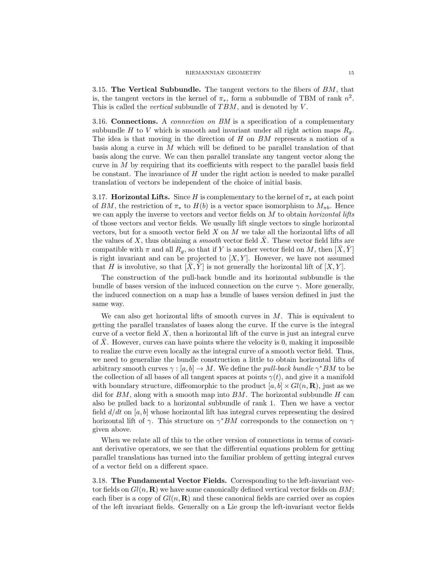3.15. The Vertical Subbundle. The tangent vectors to the fibers of  $BM$ , that is, the tangent vectors in the kernel of  $\pi_*$ , form a subbundle of TBM of rank  $n^2$ . This is called the *vertical* subbundle of  $TBM$ , and is denoted by  $V$ .

3.16. Connections. A connection on BM is a specification of a complementary subbundle H to V which is smooth and invariant under all right action maps  $R_q$ . The idea is that moving in the direction of  $H$  on  $BM$  represents a motion of a basis along a curve in M which will be defined to be parallel translation of that basis along the curve. We can then parallel translate any tangent vector along the curve in  $M$  by requiring that its coefficients with respect to the parallel basis field be constant. The invariance of  $H$  under the right action is needed to make parallel translation of vectors be independent of the choice of initial basis.

3.17. **Horizontal Lifts.** Since H is complementary to the kernel of  $\pi_*$  at each point of BM, the restriction of  $\pi_*$  to  $H(b)$  is a vector space isomorphism to  $M_{\pi b}$ . Hence we can apply the inverse to vectors and vector fields on  $M$  to obtain *horizontal lifts* of those vectors and vector fields. We usually lift single vectors to single horizontal vectors, but for a smooth vector field  $X$  on  $M$  we take all the horizontal lifts of all the values of  $X$ , thus obtaining a *smooth* vector field  $X$ . These vector field lifts are compatible with  $\pi$  and all  $R_q$ , so that if Y is another vector field on M, then  $[X, Y]$ is right invariant and can be projected to  $[X, Y]$ . However, we have not assumed that H is involutive, so that  $[\overline{X}, \overline{Y}]$  is not generally the horizontal lift of  $[X, Y]$ .

The construction of the pull-back bundle and its horizontal subbundle is the bundle of bases version of the induced connection on the curve  $\gamma$ . More generally, the induced connection on a map has a bundle of bases version defined in just the same way.

We can also get horizontal lifts of smooth curves in  $M$ . This is equivalent to getting the parallel translates of bases along the curve. If the curve is the integral curve of a vector field  $X$ , then a horizontal lift of the curve is just an integral curve of X. However, curves can have points where the velocity is 0, making it impossible to realize the curve even locally as the integral curve of a smooth vector field. Thus, we need to generalize the bundle construction a little to obtain horizontal lifts of arbitrary smooth curves  $\gamma : [a, b] \to M$ . We define the *pull-back bundle*  $\gamma^* BM$  to be the collection of all bases of all tangent spaces at points  $\gamma(t)$ , and give it a manifold with boundary structure, diffeomorphic to the product  $[a, b] \times Gl(n, \mathbf{R})$ , just as we did for  $BM$ , along with a smooth map into  $BM$ . The horizontal subbundle H can also be pulled back to a horizontal subbundle of rank 1. Then we have a vector field  $d/dt$  on [a, b] whose horizontal lift has integral curves representing the desired horizontal lift of  $\gamma$ . This structure on  $\gamma^*$ BM corresponds to the connection on  $\gamma$ given above.

When we relate all of this to the other version of connections in terms of covariant derivative operators, we see that the differential equations problem for getting parallel translations has turned into the familiar problem of getting integral curves of a vector field on a different space.

3.18. The Fundamental Vector Fields. Corresponding to the left-invariant vector fields on  $Gl(n, \mathbf{R})$  we have some canonically defined vertical vector fields on  $BM$ ; each fiber is a copy of  $Gl(n, \mathbf{R})$  and these canonical fields are carried over as copies of the left invariant fields. Generally on a Lie group the left-invariant vector fields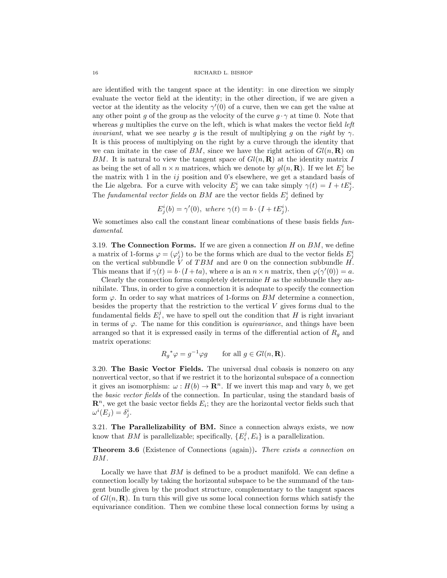are identified with the tangent space at the identity: in one direction we simply evaluate the vector field at the identity; in the other direction, if we are given a vector at the identity as the velocity  $\gamma'(0)$  of a curve, then we can get the value at any other point g of the group as the velocity of the curve  $g \cdot \gamma$  at time 0. Note that whereas  $g$  multiplies the curve on the left, which is what makes the vector field *left invariant*, what we see nearby g is the result of multiplying g on the right by  $\gamma$ . It is this process of multiplying on the right by a curve through the identity that we can imitate in the case of BM, since we have the right action of  $Gl(n, \mathbf{R})$  on BM. It is natural to view the tangent space of  $Gl(n, \mathbf{R})$  at the identity matrix I as being the set of all  $n \times n$  matrices, which we denote by  $gl(n, \mathbf{R})$ . If we let  $E_j^i$  be the matrix with 1 in the  $ij$  position and 0's elsewhere, we get a standard basis of the Lie algebra. For a curve with velocity  $E_j^i$  we can take simply  $\gamma(t) = I + tE_j^i$ . The fundamental vector fields on BM are the vector fields  $E_j^i$  defined by

$$
E_j^i(b) = \gamma'(0), \text{ where } \gamma(t) = b \cdot (I + tE_j^i).
$$

We sometimes also call the constant linear combinations of these basis fields fundamental.

3.19. The Connection Forms. If we are given a connection  $H$  on  $BM$ , we define a matrix of 1-forms  $\varphi = (\varphi_j^i)$  to be the forms which are dual to the vector fields  $E_j^i$ on the vertical subbundle  $\check{V}$  of TBM and are 0 on the connection subbundle  $H$ . This means that if  $\gamma(t) = b \cdot (I + ta)$ , where a is an  $n \times n$  matrix, then  $\varphi(\gamma'(0)) = a$ .

Clearly the connection forms completely determine  $H$  as the subbundle they annihilate. Thus, in order to give a connection it is adequate to specify the connection form  $\varphi$ . In order to say what matrices of 1-forms on BM determine a connection, besides the property that the restriction to the vertical  $V$  gives forms dual to the fundamental fields  $E_i^j$ , we have to spell out the condition that H is right invariant in terms of  $\varphi$ . The name for this condition is *equivariance*, and things have been arranged so that it is expressed easily in terms of the differential action of  $R<sub>g</sub>$  and matrix operations:

$$
R_g^*\varphi = g^{-1}\varphi g \qquad \text{for all } g \in Gl(n, \mathbf{R}).
$$

3.20. The Basic Vector Fields. The universal dual cobasis is nonzero on any nonvertical vector, so that if we restrict it to the horizontal subspace of a connection it gives an isomorphism:  $\omega : H(b) \to \mathbb{R}^n$ . If we invert this map and vary b, we get the basic vector fields of the connection. In particular, using the standard basis of  $\mathbf{R}^n$ , we get the basic vector fields  $E_i$ ; they are the horizontal vector fields such that  $\omega^i(E_j) = \delta^i_j.$ 

3.21. The Parallelizability of BM. Since a connection always exists, we now know that BM is parallelizable; specifically,  $\{E_i^j, E_i\}$  is a parallelization.

Theorem 3.6 (Existence of Connections (again)). There exists a connection on BM.

Locally we have that BM is defined to be a product manifold. We can define a connection locally by taking the horizontal subspace to be the summand of the tangent bundle given by the product structure, complementary to the tangent spaces of  $Gl(n, \mathbf{R})$ . In turn this will give us some local connection forms which satisfy the equivariance condition. Then we combine these local connection forms by using a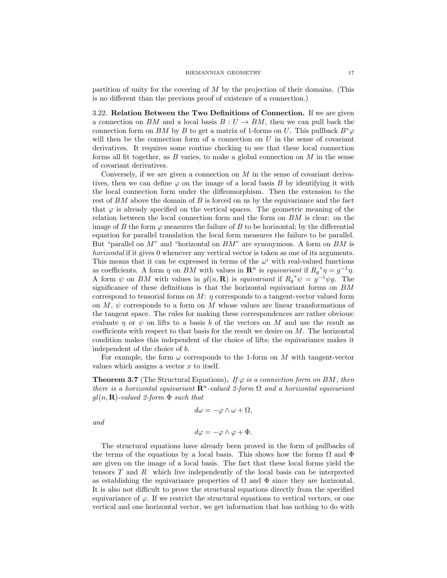partition of unity for the covering of  $M$  by the projection of their domains. (This is no different than the previous proof of existence of a connection.)

3.22. Relation Between the Two Definitions of Connection. If we are given a connection on BM and a local basis  $B: U \to BM$ , then we can pull back the connection form on BM by B to get a matrix of 1-forms on U. This pullback  $B^*\varphi$ will then be the connection form of a connection on  $U$  in the sense of covariant derivatives. It requires some routine checking to see that these local connection forms all fit together, as  $B$  varies, to make a global connection on  $M$  in the sense of covariant derivatives.

Conversely, if we are given a connection on  $M$  in the sense of covariant derivatives, then we can define  $\varphi$  on the image of a local basis B by identifying it with the local connection form under the diffeomorphism. Then the extension to the rest of BM above the domain of B is forced on us by the equivariance and the fact that  $\varphi$  is already specified on the vertical spaces. The geometric meaning of the relation between the local connection form and the form on BM is clear: on the image of B the form  $\varphi$  measures the failure of B to be horizontal; by the differential equation for parallel translation the local form measures the failure to be parallel. But "parallel on  $M$ " and "horizontal on  $BM$ " are synonymous. A form on  $BM$  is horizontal if it gives 0 whenever any vertical vector is taken as one of its arguments. This means that it can be expressed in terms of the  $\omega^i$  with real-valued functions as coefficients. A form  $\eta$  on BM with values in  $\mathbb{R}^n$  is equivariant if  $R_g^* \eta = g^{-1} \eta$ . A form  $\psi$  on BM with values in  $gl(n, \mathbf{R})$  is equivariant if  $R_g^*\psi = g^{-1}\psi g$ . The significance of these definitions is that the horizontal equivariant forms on  $BM$ correspond to tensorial forms on  $M: \eta$  corresponds to a tangent-vector valued form on  $M$ ,  $\psi$  corresponds to a form on M whose values are linear transformations of the tangent space. The rules for making these correspondences are rather obvious: evaluate  $\eta$  or  $\psi$  on lifts to a basis b of the vectors on M and use the result as coefficients with respect to that basis for the result we desire on  $M$ . The horizontal condition makes this independent of the choice of lifts; the equivariance makes it independent of the choice of b.

For example, the form  $\omega$  corresponds to the 1-form on M with tangent-vector values which assigns a vector  $x$  to itself.

**Theorem 3.7** (The Structural Equations). If  $\varphi$  is a connection form on BM, then there is a horizontal equivariant  $\mathbb{R}^n$ -valued 2-form  $\Omega$  and a horizontal equivariant  $gl(n, \mathbf{R})$ -valued 2-form  $\Phi$  such that

$$
d\omega = -\varphi \wedge \omega + \Omega,
$$

and

$$
d\varphi = -\varphi \wedge \varphi + \Phi.
$$

The structural equations have already been proved in the form of pullbacks of the terms of the equations by a local basis. This shows how the forms  $\Omega$  and  $\Phi$ are given on the image of a local basis. The fact that these local forms yield the tensors T and R which live independently of the local basis can be interpreted as establishing the equivariance properties of  $\Omega$  and  $\Phi$  since they are horizontal. It is also not difficult to prove the structural equations directly from the specified equivariance of  $\varphi$ . If we restrict the structural equations to vertical vectors, or one vertical and one horizontal vector, we get information that has nothing to do with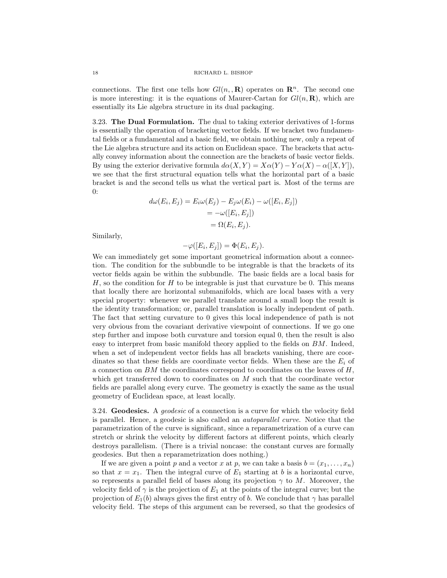connections. The first one tells how  $Gl(n, {\bf R})$  operates on  ${\bf R}^n$ . The second one is more interesting: it is the equations of Maurer-Cartan for  $Gl(n, \mathbf{R})$ , which are essentially its Lie algebra structure in its dual packaging.

3.23. The Dual Formulation. The dual to taking exterior derivatives of 1-forms is essentially the operation of bracketing vector fields. If we bracket two fundamental fields or a fundamental and a basic field, we obtain nothing new, only a repeat of the Lie algebra structure and its action on Euclidean space. The brackets that actually convey information about the connection are the brackets of basic vector fields. By using the exterior derivative formula  $d\alpha(X, Y) = X\alpha(Y) - Y\alpha(X) - \alpha([X, Y]),$ we see that the first structural equation tells what the horizontal part of a basic bracket is and the second tells us what the vertical part is. Most of the terms are 0:

$$
d\omega(E_i, E_j) = E_i \omega(E_j) - E_j \omega(E_i) - \omega([E_i, E_j])
$$
  
= 
$$
-\omega([E_i, E_j])
$$
  
= 
$$
\Omega(E_i, E_j).
$$

Similarly,

$$
-\varphi([E_i, E_j]) = \Phi(E_i, E_j).
$$

We can immediately get some important geometrical information about a connection. The condition for the subbundle to be integrable is that the brackets of its vector fields again be within the subbundle. The basic fields are a local basis for  $H$ , so the condition for  $H$  to be integrable is just that curvature be 0. This means that locally there are horizontal submanifolds, which are local bases with a very special property: whenever we parallel translate around a small loop the result is the identity transformation; or, parallel translation is locally independent of path. The fact that setting curvature to 0 gives this local independence of path is not very obvious from the covariant derivative viewpoint of connections. If we go one step further and impose both curvature and torsion equal 0, then the result is also easy to interpret from basic manifold theory applied to the fields on BM. Indeed, when a set of independent vector fields has all brackets vanishing, there are coordinates so that these fields are coordinate vector fields. When these are the  $E_i$  of a connection on  $BM$  the coordinates correspond to coordinates on the leaves of  $H$ , which get transferred down to coordinates on M such that the coordinate vector fields are parallel along every curve. The geometry is exactly the same as the usual geometry of Euclidean space, at least locally.

3.24. Geodesics. A *geodesic* of a connection is a curve for which the velocity field is parallel. Hence, a geodesic is also called an autoparallel curve. Notice that the parametrization of the curve is significant, since a reparametrization of a curve can stretch or shrink the velocity by different factors at different points, which clearly destroys parallelism. (There is a trivial noncase: the constant curves are formally geodesics. But then a reparametrization does nothing.)

If we are given a point p and a vector x at p, we can take a basis  $b = (x_1, \ldots, x_n)$ so that  $x = x_1$ . Then the integral curve of  $E_1$  starting at b is a horizontal curve, so represents a parallel field of bases along its projection  $\gamma$  to M. Moreover, the velocity field of  $\gamma$  is the projection of  $E_1$  at the points of the integral curve; but the projection of  $E_1(b)$  always gives the first entry of b. We conclude that  $\gamma$  has parallel velocity field. The steps of this argument can be reversed, so that the geodesics of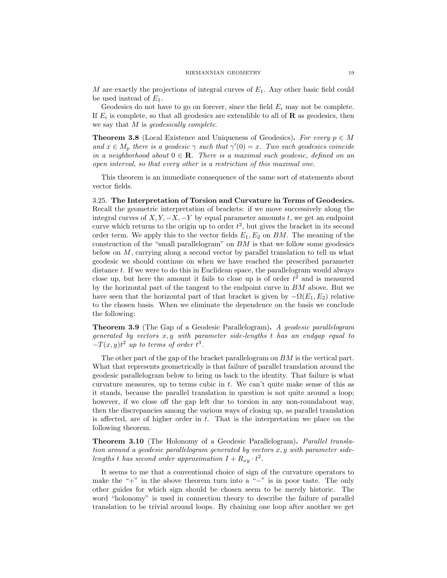M are exactly the projections of integral curves of  $E_1$ . Any other basic field could be used instead of  $E_1$ .

Geodesics do not have to go on forever, since the field  $E_i$  may not be complete. If  $E_i$  is complete, so that all geodesics are extendible to all of **R** as geodesics, then we say that M is *geodesically complete*.

**Theorem 3.8** (Local Existence and Uniqueness of Geodesics). For every  $p \in M$ and  $x \in M_p$  there is a geodesic  $\gamma$  such that  $\gamma'(0) = x$ . Two such geodesics coincide in a neighborhood about  $0 \in \mathbb{R}$ . There is a maximal such geodesic, defined on an open interval, so that every other is a restriction of this maximal one.

This theorem is an immediate consequence of the same sort of statements about vector fields.

3.25. The Interpretation of Torsion and Curvature in Terms of Geodesics. Recall the geometric interpretation of brackets: if we move successively along the integral curves of  $X, Y, -X, -Y$  by equal parameter amounts t, we get an endpoint curve which returns to the origin up to order  $t^2$ , but gives the bracket in its second order term. We apply this to the vector fields  $E_1, E_2$  on BM. The meaning of the construction of the "small parallelogram" on  $BM$  is that we follow some geodesics below on M, carrying along a second vector by parallel translation to tell us what geodesic we should continue on when we have reached the prescribed parameter distance t. If we were to do this in Euclidean space, the parallelogram would always close up, but here the amount it fails to close up is of order  $t^2$  and is measured by the horizontal part of the tangent to the endpoint curve in BM above. But we have seen that the horizontal part of that bracket is given by  $-\Omega(E_1, E_2)$  relative to the chosen basis. When we eliminate the dependence on the basis we conclude the following:

Theorem 3.9 (The Gap of a Geodesic Parallelogram). A geodesic parallelogram generated by vectors  $x, y$  with parameter side-lengths  $t$  has an endgap equal to  $-T(x, y)t^2$  up to terms of order  $t^3$ .

The other part of the gap of the bracket parallelogram on  $BM$  is the vertical part. What that represents geometrically is that failure of parallel translation around the geodesic parallelogram below to bring us back to the identity. That failure is what curvature measures, up to terms cubic in  $t$ . We can't quite make sense of this as it stands, because the parallel translation in question is not quite around a loop; however, if we close off the gap left due to torsion in any non-roundabout way, then the discrepancies among the various ways of closing up, as parallel translation is affected, are of higher order in  $t$ . That is the interpretation we place on the following theorem.

Theorem 3.10 (The Holonomy of a Geodesic Parallelogram). Parallel translation around a geodesic parallelogram generated by vectors  $x, y$  with parameter sidelengths t has second order approximation  $I + R_{xy} \cdot t^2$ .

It seems to me that a conventional choice of sign of the curvature operators to make the " $+$ " in the above theorem turn into a " $-$ " is in poor taste. The only other guides for which sign should be chosen seem to be merely historic. The word "holonomy" is used in connection theory to describe the failure of parallel translation to be trivial around loops. By chaining one loop after another we get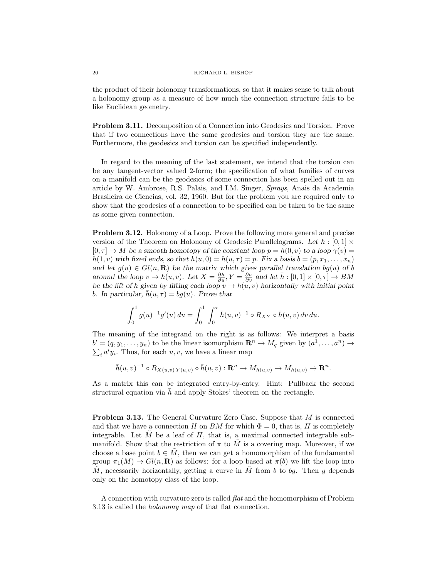the product of their holonomy transformations, so that it makes sense to talk about a holonomy group as a measure of how much the connection structure fails to be like Euclidean geometry.

Problem 3.11. Decomposition of a Connection into Geodesics and Torsion. Prove that if two connections have the same geodesics and torsion they are the same. Furthermore, the geodesics and torsion can be specified independently.

In regard to the meaning of the last statement, we intend that the torsion can be any tangent-vector valued 2-form; the specification of what families of curves on a manifold can be the geodesics of some connection has been spelled out in an article by W. Ambrose, R.S. Palais, and I.M. Singer, Sprays, Anais da Academia Brasileira de Ciencias, vol. 32, 1960. But for the problem you are required only to show that the geodesics of a connection to be specified can be taken to be the same as some given connection.

Problem 3.12. Holonomy of a Loop. Prove the following more general and precise version of the Theorem on Holonomy of Geodesic Parallelograms. Let  $h : [0,1] \times$  $[0, \tau] \to M$  be a smooth homotopy of the constant loop  $p = h(0, v)$  to a loop  $\gamma(v) =$  $h(1, v)$  with fixed ends, so that  $h(u, 0) = h(u, \tau) = p$ . Fix a basis  $b = (p, x_1, \ldots, x_n)$ and let  $g(u) \in Gl(n, \mathbf{R})$  be the matrix which gives parallel translation  $bg(u)$  of b around the loop  $v \to h(u, v)$ . Let  $X = \frac{\partial h}{\partial u}, Y = \frac{\partial h}{\partial v}$  and let  $\bar{h} : [0, 1] \times [0, \tau] \to BM$ be the lift of h given by lifting each loop  $v \to h(u, v)$  horizontally with initial point b. In particular,  $\bar{h}(u, \tau) = bq(u)$ . Prove that

$$
\int_0^1 g(u)^{-1} g'(u) du = \int_0^1 \int_0^{\tau} \bar{h}(u, v)^{-1} \circ R_{XY} \circ \bar{h}(u, v) dv du.
$$

The meaning of the integrand on the right is as follows: We interpret a basis  $b' = (q, y_1, \ldots, y_n)$  to be the linear isomorphism  $\mathbb{R}^n \to M_q$  given by  $(a^1, \ldots, a^n) \to$  $\sum_i a^i y_i$ . Thus, for each  $u, v$ , we have a linear map

 $\bar{h}(u, v)^{-1} \circ R_{X(u,v) Y(u,v)} \circ \bar{h}(u, v) : \mathbf{R}^n \to M_{h(u,v)} \to M_{h(u,v)} \to \mathbf{R}^n.$ 

As a matrix this can be integrated entry-by-entry. Hint: Pullback the second structural equation via  $\bar{h}$  and apply Stokes' theorem on the rectangle.

Problem 3.13. The General Curvature Zero Case. Suppose that M is connected and that we have a connection H on BM for which  $\Phi = 0$ , that is, H is completely integrable. Let  $\tilde{M}$  be a leaf of H, that is, a maximal connected integrable submanifold. Show that the restriction of  $\pi$  to  $\tilde{M}$  is a covering map. Moreover, if we choose a base point  $b \in M$ , then we can get a homomorphism of the fundamental group  $\pi_1(M) \to Gl(n, \mathbf{R})$  as follows: for a loop based at  $\pi(b)$  we lift the loop into M, necessarily horizontally, getting a curve in M from b to bq. Then q depends only on the homotopy class of the loop.

A connection with curvature zero is called flat and the homomorphism of Problem 3.13 is called the holonomy map of that flat connection.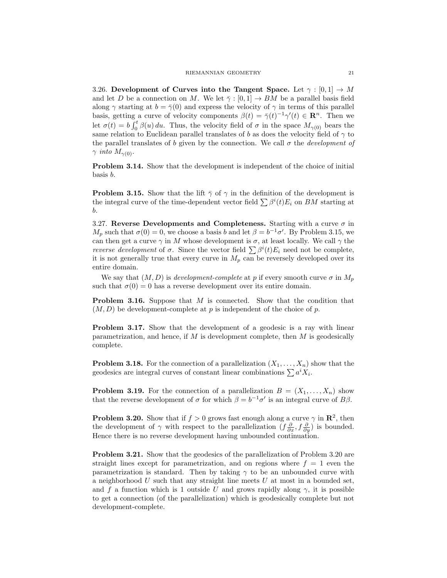3.26. Development of Curves into the Tangent Space. Let  $\gamma : [0,1] \to M$ and let D be a connection on M. We let  $\bar{\gamma}$  : [0, 1]  $\rightarrow$  BM be a parallel basis field along  $\gamma$  starting at  $b = \overline{\gamma}(0)$  and express the velocity of  $\gamma$  in terms of this parallel basis, getting a curve of velocity components  $\beta(t) = \overline{\gamma}(t)^{-1}\gamma'(t) \in \mathbb{R}^n$ . Then we let  $\sigma(t) = b \int_0^t \beta(u) du$ . Thus, the velocity field of  $\sigma$  in the space  $M_{\gamma(0)}$  bears the same relation to Euclidean parallel translates of b as does the velocity field of  $\gamma$  to the parallel translates of b given by the connection. We call  $\sigma$  the *development of*  $\gamma$  into  $M_{\gamma(0)}$ .

Problem 3.14. Show that the development is independent of the choice of initial basis b.

**Problem 3.15.** Show that the lift  $\bar{\gamma}$  of  $\gamma$  in the definition of the development is the integral curve of the time-dependent vector field  $\sum \beta^{i}(t)E_{i}$  on BM starting at b.

3.27. Reverse Developments and Completeness. Starting with a curve  $\sigma$  in  $M_p$  such that  $\sigma(0) = 0$ , we choose a basis b and let  $\beta = b^{-1}\sigma'$ . By Problem 3.15, we can then get a curve  $\gamma$  in M whose development is  $\sigma$ , at least locally. We call  $\gamma$  the *reverse development* of  $\sigma$ . Since the vector field  $\sum \beta^{i}(t)E_{i}$  need not be complete, it is not generally true that every curve in  $M_p$  can be reversely developed over its entire domain.

We say that  $(M, D)$  is development-complete at p if every smooth curve  $\sigma$  in  $M_p$ such that  $\sigma(0) = 0$  has a reverse development over its entire domain.

Problem 3.16. Suppose that M is connected. Show that the condition that  $(M, D)$  be development-complete at p is independent of the choice of p.

Problem 3.17. Show that the development of a geodesic is a ray with linear parametrization, and hence, if  $M$  is development complete, then  $M$  is geodesically complete.

**Problem 3.18.** For the connection of a parallelization  $(X_1, \ldots, X_n)$  show that the geodesics are integral curves of constant linear combinations  $\sum a^i X_i$ .

**Problem 3.19.** For the connection of a parallelization  $B = (X_1, \ldots, X_n)$  show that the reverse development of  $\sigma$  for which  $\beta = b^{-1}\sigma'$  is an integral curve of  $B\beta$ .

**Problem 3.20.** Show that if  $f > 0$  grows fast enough along a curve  $\gamma$  in  $\mathbb{R}^2$ , then the development of  $\gamma$  with respect to the parallelization  $(f\frac{\partial}{\partial x}, f\frac{\partial}{\partial y})$  is bounded. Hence there is no reverse development having unbounded continuation.

Problem 3.21. Show that the geodesics of the parallelization of Problem 3.20 are straight lines except for parametrization, and on regions where  $f = 1$  even the parametrization is standard. Then by taking  $\gamma$  to be an unbounded curve with a neighborhood  $U$  such that any straight line meets  $U$  at most in a bounded set, and f a function which is 1 outside U and grows rapidly along  $\gamma$ , it is possible to get a connection (of the parallelization) which is geodesically complete but not development-complete.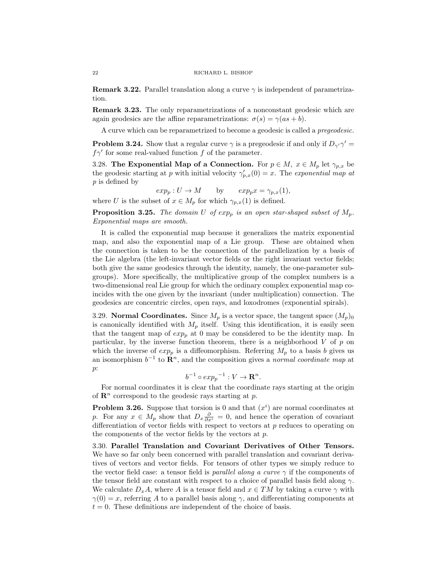**Remark 3.22.** Parallel translation along a curve  $\gamma$  is independent of parametrization.

Remark 3.23. The only reparametrizations of a nonconstant geodesic which are again geodesics are the affine reparametrizations:  $\sigma(s) = \gamma(as + b)$ .

A curve which can be reparametrized to become a geodesic is called a pregeodesic.

**Problem 3.24.** Show that a regular curve  $\gamma$  is a pregeodesic if and only if  $D_{\gamma'}\gamma' =$  $f\gamma'$  for some real-valued function f of the parameter.

3.28. The Exponential Map of a Connection. For  $p \in M$ ,  $x \in M_p$  let  $\gamma_{p,x}$  be the geodesic starting at p with initial velocity  $\gamma'_{p,x}(0) = x$ . The exponential map at p is defined by

 $exp_p: U \to M$  by  $exp_p x = \gamma_{p,x}(1),$ 

where U is the subset of  $x \in M_p$  for which  $\gamma_{p,x}(1)$  is defined.

**Proposition 3.25.** The domain U of  $exp_p$  is an open star-shaped subset of  $M_p$ . Exponential maps are smooth.

It is called the exponential map because it generalizes the matrix exponential map, and also the exponential map of a Lie group. These are obtained when the connection is taken to be the connection of the parallelization by a basis of the Lie algebra (the left-invariant vector fields or the right invariant vector fields; both give the same geodesics through the identity, namely, the one-parameter subgroups). More specifically, the multiplicative group of the complex numbers is a two-dimensional real Lie group for which the ordinary complex exponential map coincides with the one given by the invariant (under multiplication) connection. The geodesics are concentric circles, open rays, and loxodromes (exponential spirals).

3.29. Normal Coordinates. Since  $M_p$  is a vector space, the tangent space  $(M_p)_0$ is canonically identified with  $M_p$  itself. Using this identification, it is easily seen that the tangent map of  $exp_p$  at 0 may be considered to be the identity map. In particular, by the inverse function theorem, there is a neighborhood  $V$  of  $p$  on which the inverse of  $exp_p$  is a diffeomorphism. Referring  $M_p$  to a basis b gives us an isomorphism  $b^{-1}$  to  $\mathbf{R}^n$ , and the composition gives a normal coordinate map at p:

$$
b^{-1} \circ exp_p^{-1} : V \to \mathbf{R}^n.
$$

For normal coordinates it is clear that the coordinate rays starting at the origin of  $\mathbb{R}^n$  correspond to the geodesic rays starting at p.

**Problem 3.26.** Suppose that torsion is 0 and that  $(x<sup>i</sup>)$  are normal coordinates at p. For any  $x \in M_p$  show that  $D_x \frac{\partial}{\partial x^i} = 0$ , and hence the operation of covariant differentiation of vector fields with respect to vectors at  $p$  reduces to operating on the components of the vector fields by the vectors at  $p$ .

3.30. Parallel Translation and Covariant Derivatives of Other Tensors. We have so far only been concerned with parallel translation and covariant derivatives of vectors and vector fields. For tensors of other types we simply reduce to the vector field case: a tensor field is *parallel along a curve*  $\gamma$  if the components of the tensor field are constant with respect to a choice of parallel basis field along  $\gamma$ . We calculate  $D_x A$ , where A is a tensor field and  $x \in TM$  by taking a curve  $\gamma$  with  $\gamma(0) = x$ , referring A to a parallel basis along  $\gamma$ , and differentiating components at  $t = 0$ . These definitions are independent of the choice of basis.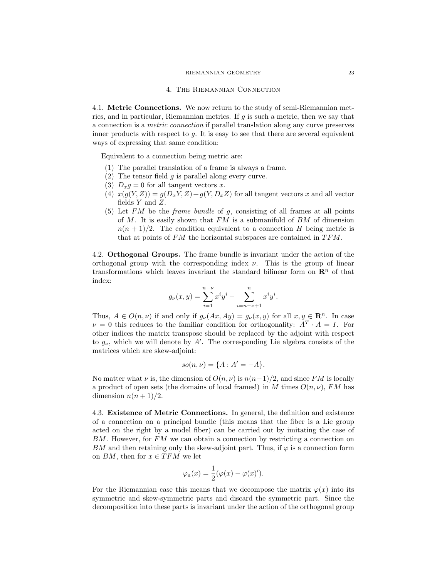#### RIEMANNIAN GEOMETRY 23

#### 4. The Riemannian Connection

4.1. Metric Connections. We now return to the study of semi-Riemannian metrics, and in particular, Riemannian metrics. If  $g$  is such a metric, then we say that a connection is a metric connection if parallel translation along any curve preserves inner products with respect to  $q$ . It is easy to see that there are several equivalent ways of expressing that same condition:

Equivalent to a connection being metric are:

- (1) The parallel translation of a frame is always a frame.
- (2) The tensor field g is parallel along every curve.
- (3)  $D_x g = 0$  for all tangent vectors x.
- (4)  $x(g(Y, Z)) = g(D_x Y, Z) + g(Y, D_x Z)$  for all tangent vectors x and all vector fields  $Y$  and  $Z$ .
- (5) Let  $FM$  be the *frame bundle* of  $g$ , consisting of all frames at all points of  $M$ . It is easily shown that  $FM$  is a submanifold of  $BM$  of dimension  $n(n+1)/2$ . The condition equivalent to a connection H being metric is that at points of  $FM$  the horizontal subspaces are contained in  $TFM$ .

4.2. Orthogonal Groups. The frame bundle is invariant under the action of the orthogonal group with the corresponding index  $\nu$ . This is the group of linear transformations which leaves invariant the standard bilinear form on  $\mathbb{R}^n$  of that index:

$$
g_{\nu}(x,y) = \sum_{i=1}^{n-\nu} x^{i} y^{i} - \sum_{i=n-\nu+1}^{n} x^{i} y^{i}.
$$

Thus,  $A \in O(n, \nu)$  if and only if  $g_{\nu}(Ax, Ay) = g_{\nu}(x, y)$  for all  $x, y \in \mathbb{R}^n$ . In case  $\nu = 0$  this reduces to the familiar condition for orthogonality:  $A^T \cdot A = I$ . For other indices the matrix transpose should be replaced by the adjoint with respect to  $g_{\nu}$ , which we will denote by  $A'$ . The corresponding Lie algebra consists of the matrices which are skew-adjoint:

$$
so(n,\nu) = \{A : A' = -A\}.
$$

No matter what  $\nu$  is, the dimension of  $O(n, \nu)$  is  $n(n-1)/2$ , and since FM is locally a product of open sets (the domains of local frames!) in M times  $O(n, \nu)$ , FM has dimension  $n(n+1)/2$ .

4.3. Existence of Metric Connections. In general, the definition and existence of a connection on a principal bundle (this means that the fiber is a Lie group acted on the right by a model fiber) can be carried out by imitating the case of  $BM$ . However, for  $FM$  we can obtain a connection by restricting a connection on BM and then retaining only the skew-adjoint part. Thus, if  $\varphi$  is a connection form on BM, then for  $x \in TFM$  we let

$$
\varphi_a(x) = \frac{1}{2} (\varphi(x) - \varphi(x)').
$$

For the Riemannian case this means that we decompose the matrix  $\varphi(x)$  into its symmetric and skew-symmetric parts and discard the symmetric part. Since the decomposition into these parts is invariant under the action of the orthogonal group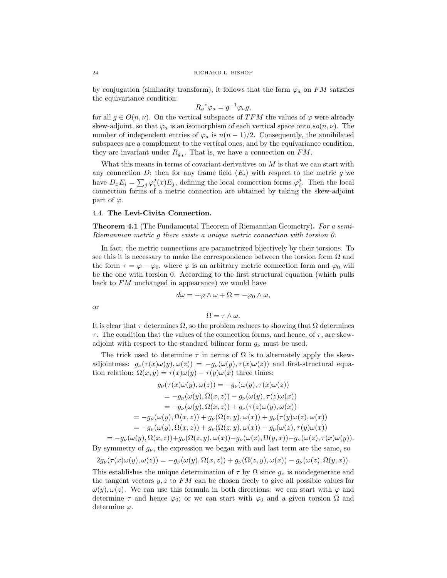by conjugation (similarity transform), it follows that the form  $\varphi_a$  on FM satisfies the equivariance condition:

$$
R_g^*\varphi_a = g^{-1}\varphi_a g,
$$

for all  $g \in O(n, \nu)$ . On the vertical subspaces of TFM the values of  $\varphi$  were already skew-adjoint, so that  $\varphi_a$  is an isomorphism of each vertical space onto  $so(n, \nu)$ . The number of independent entries of  $\varphi_a$  is  $n(n-1)/2$ . Consequently, the annihilated subspaces are a complement to the vertical ones, and by the equivariance condition, they are invariant under  $R_{g_*}$ . That is, we have a connection on  $FM$ .

What this means in terms of covariant derivatives on  $M$  is that we can start with any connection D; then for any frame field  $(E_i)$  with respect to the metric g we have  $D_x E_i = \sum_j \varphi_i^j(x) E_j$ , defining the local connection forms  $\varphi_i^j$ . Then the local connection forms of a metric connection are obtained by taking the skew-adjoint part of  $\varphi$ .

# 4.4. The Levi-Civita Connection.

**Theorem 4.1** (The Fundamental Theorem of Riemannian Geometry). For a semi-Riemannian metric g there exists a unique metric connection with torsion 0.

In fact, the metric connections are parametrized bijectively by their torsions. To see this it is necessary to make the correspondence between the torsion form  $\Omega$  and the form  $\tau = \varphi - \varphi_0$ , where  $\varphi$  is an arbitrary metric connection form and  $\varphi_0$  will be the one with torsion 0. According to the first structural equation (which pulls back to FM unchanged in appearance) we would have

$$
d\omega = -\varphi \wedge \omega + \Omega = -\varphi_0 \wedge \omega,
$$

or

$$
\Omega = \tau \wedge \omega.
$$

It is clear that  $\tau$  determines  $\Omega$ , so the problem reduces to showing that  $\Omega$  determines  $\tau$ . The condition that the values of the connection forms, and hence, of  $\tau$ , are skewadjoint with respect to the standard bilinear form  $g_{\nu}$  must be used.

The trick used to determine  $\tau$  in terms of  $\Omega$  is to alternately apply the skewadjointness:  $g_{\nu}(\tau(x)\omega(y), \omega(z)) = -g_{\nu}(\omega(y), \tau(x)\omega(z))$  and first-structural equation relation:  $\Omega(x, y) = \tau(x)\omega(y) - \tau(y)\omega(x)$  three times:

$$
g_{\nu}(\tau(x)\omega(y), \omega(z)) = -g_{\nu}(\omega(y), \tau(x)\omega(z))
$$
  
\n
$$
= -g_{\nu}(\omega(y), \Omega(x, z)) - g_{\nu}(\omega(y), \tau(z)\omega(x))
$$
  
\n
$$
= -g_{\nu}(\omega(y), \Omega(x, z)) + g_{\nu}(\tau(z)\omega(y), \omega(x))
$$
  
\n
$$
= -g_{\nu}(\omega(y), \Omega(x, z)) + g_{\nu}(\Omega(z, y), \omega(x)) + g_{\nu}(\tau(y)\omega(z), \omega(x))
$$
  
\n
$$
= -g_{\nu}(\omega(y), \Omega(x, z)) + g_{\nu}(\Omega(z, y), \omega(x)) - g_{\nu}(\omega(z), \tau(y)\omega(x))
$$

 $=-g_\nu(\omega(y),\Omega(x,z))+g_\nu(\Omega(z,y),\omega(x))-g_\nu(\omega(z),\Omega(y,x))-g_\nu(\omega(z),\tau(x)\omega(y)).$ By symmetry of  $g_{\nu}$ , the expression we began with and last term are the same, so

$$
2g_{\nu}(\tau(x)\omega(y),\omega(z))=-g_{\nu}(\omega(y),\Omega(x,z))+g_{\nu}(\Omega(z,y),\omega(x))-g_{\nu}(\omega(z),\Omega(y,x)).
$$

This establishes the unique determination of  $\tau$  by  $\Omega$  since  $g_{\nu}$  is nondegenerate and the tangent vectors  $y, z$  to  $FM$  can be chosen freely to give all possible values for  $\omega(y), \omega(z)$ . We can use this formula in both directions: we can start with  $\varphi$  and determine  $\tau$  and hence  $\varphi_0$ ; or we can start with  $\varphi_0$  and a given torsion  $\Omega$  and determine  $\varphi$ .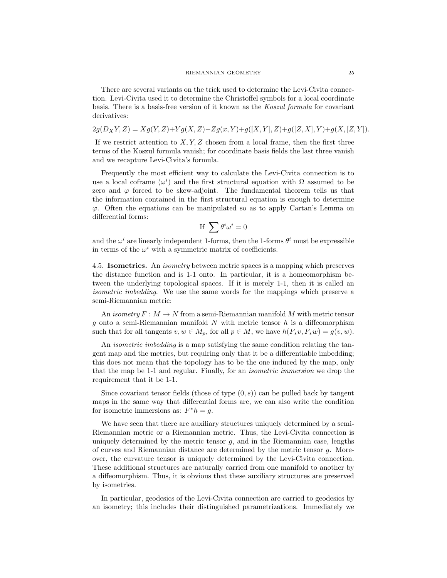#### RIEMANNIAN GEOMETRY 25

There are several variants on the trick used to determine the Levi-Civita connection. Levi-Civita used it to determine the Christoffel symbols for a local coordinate basis. There is a basis-free version of it known as the Koszul formula for covariant derivatives:

$$
2g(D_XY, Z) = Xg(Y, Z) + Yg(X, Z) - Zg(x, Y) + g([X, Y], Z) + g([Z, X], Y) + g(X, [Z, Y]).
$$

If we restrict attention to  $X, Y, Z$  chosen from a local frame, then the first three terms of the Koszul formula vanish; for coordinate basis fields the last three vanish and we recapture Levi-Civita's formula.

Frequently the most efficient way to calculate the Levi-Civita connection is to use a local coframe  $(\omega^i)$  and the first structural equation with  $\Omega$  assumed to be zero and  $\varphi$  forced to be skew-adjoint. The fundamental theorem tells us that the information contained in the first structural equation is enough to determine  $\varphi$ . Often the equations can be manipulated so as to apply Cartan's Lemma on differential forms:

If 
$$
\sum \theta^i \omega^i = 0
$$

and the  $\omega^i$  are linearly independent 1-forms, then the 1-forms  $\theta^i$  must be expressible in terms of the  $\omega^i$  with a symmetric matrix of coefficients.

4.5. Isometries. An isometry between metric spaces is a mapping which preserves the distance function and is 1-1 onto. In particular, it is a homeomorphism between the underlying topological spaces. If it is merely 1-1, then it is called an isometric imbedding. We use the same words for the mappings which preserve a semi-Riemannian metric:

An isometry  $F: M \to N$  from a semi-Riemannian manifold M with metric tensor g onto a semi-Riemannian manifold  $N$  with metric tensor  $h$  is a diffeomorphism such that for all tangents  $v, w \in M_p$ , for all  $p \in M$ , we have  $h(F_*v, F_*w) = g(v, w)$ .

An *isometric imbedding* is a map satisfying the same condition relating the tangent map and the metrics, but requiring only that it be a differentiable imbedding; this does not mean that the topology has to be the one induced by the map, only that the map be 1-1 and regular. Finally, for an isometric immersion we drop the requirement that it be 1-1.

Since covariant tensor fields (those of type  $(0, s)$ ) can be pulled back by tangent maps in the same way that differential forms are, we can also write the condition for isometric immersions as:  $F^*h = g$ .

We have seen that there are auxiliary structures uniquely determined by a semi-Riemannian metric or a Riemannian metric. Thus, the Levi-Civita connection is uniquely determined by the metric tensor  $g$ , and in the Riemannian case, lengths of curves and Riemannian distance are determined by the metric tensor  $g$ . Moreover, the curvature tensor is uniquely determined by the Levi-Civita connection. These additional structures are naturally carried from one manifold to another by a diffeomorphism. Thus, it is obvious that these auxiliary structures are preserved by isometries.

In particular, geodesics of the Levi-Civita connection are carried to geodesics by an isometry; this includes their distinguished parametrizations. Immediately we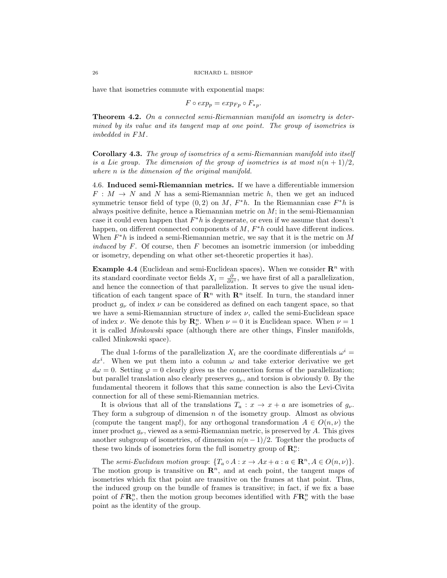have that isometries commute with exponential maps:

$$
F \circ exp_p = exp_{Fp} \circ F_{\ast p}.
$$

Theorem 4.2. On a connected semi-Riemannian manifold an isometry is determined by its value and its tangent map at one point. The group of isometries is imbedded in FM.

Corollary 4.3. The group of isometries of a semi-Riemannian manifold into itself is a Lie group. The dimension of the group of isometries is at most  $n(n+1)/2$ , where *n* is the dimension of the original manifold.

4.6. Induced semi-Riemannian metrics. If we have a differentiable immersion  $F: M \to N$  and N has a semi-Riemannian metric h, then we get an induced symmetric tensor field of type  $(0, 2)$  on M,  $F^*h$ . In the Riemannian case  $F^*h$  is always positive definite, hence a Riemannian metric on  $M$ ; in the semi-Riemannian case it could even happen that  $F^*h$  is degenerate, or even if we assume that doesn't happen, on different connected components of  $M$ ,  $F^*h$  could have different indices. When  $F^*h$  is indeed a semi-Riemannian metric, we say that it is the metric on M *induced* by  $F$ . Of course, then  $F$  becomes an isometric immersion (or imbedding or isometry, depending on what other set-theoretic properties it has).

**Example 4.4** (Euclidean and semi-Euclidean spaces). When we consider  $\mathbb{R}^n$  with its standard coordinate vector fields  $X_i = \frac{\partial}{\partial x^i}$ , we have first of all a parallelization, and hence the connection of that parallelization. It serves to give the usual identification of each tangent space of  $\mathbb{R}^n$  with  $\mathbb{R}^n$  itself. In turn, the standard inner product  $g_{\nu}$  of index  $\nu$  can be considered as defined on each tangent space, so that we have a semi-Riemannian structure of index  $\nu$ , called the semi-Euclidean space of index  $\nu$ . We denote this by  $\mathbb{R}^n_\nu$ . When  $\nu = 0$  it is Euclidean space. When  $\nu = 1$ it is called Minkowski space (although there are other things, Finsler manifolds, called Minkowski space).

The dual 1-forms of the parallelization  $X_i$  are the coordinate differentials  $\omega^i$  =  $dx^{i}$ . When we put them into a column  $\omega$  and take exterior derivative we get  $d\omega = 0$ . Setting  $\varphi = 0$  clearly gives us the connection forms of the parallelization; but parallel translation also clearly preserves  $g_{\nu}$ , and torsion is obviously 0. By the fundamental theorem it follows that this same connection is also the Levi-Civita connection for all of these semi-Riemannian metrics.

It is obvious that all of the translations  $T_a: x \to x + a$  are isometries of  $g_{\nu}$ . They form a subgroup of dimension  $n$  of the isometry group. Almost as obvious (compute the tangent map!), for any orthogonal transformation  $A \in O(n, \nu)$  the inner product  $g_{\nu}$ , viewed as a semi-Riemannian metric, is preserved by A. This gives another subgroup of isometries, of dimension  $n(n - 1)/2$ . Together the products of these two kinds of isometries form the full isometry group of  $\mathbf{R}_{\nu}^{n}$ :

The semi-Euclidean motion group:  $\{T_a \circ A : x \to Ax + a : a \in \mathbb{R}^n, A \in O(n, \nu)\}.$ The motion group is transitive on  $\mathbb{R}^n$ , and at each point, the tangent maps of isometries which fix that point are transitive on the frames at that point. Thus, the induced group on the bundle of frames is transitive; in fact, if we fix a base point of  $F\mathbf{R}_{\nu}^{n}$ , then the motion group becomes identified with  $F\mathbf{R}_{\nu}^{n}$  with the base point as the identity of the group.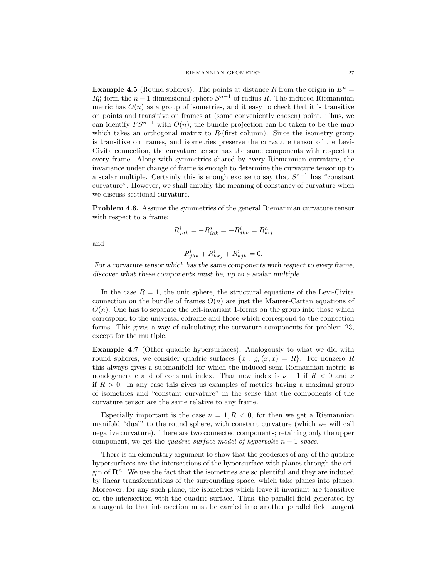**Example 4.5** (Round spheres). The points at distance R from the origin in  $E^n =$  $R_0^n$  form the  $n-1$ -dimensional sphere  $S^{n-1}$  of radius R. The induced Riemannian metric has  $O(n)$  as a group of isometries, and it easy to check that it is transitive on points and transitive on frames at (some conveniently chosen) point. Thus, we can identify  $FS^{n-1}$  with  $O(n)$ ; the bundle projection can be taken to be the map which takes an orthogonal matrix to  $R$ ·(first column). Since the isometry group is transitive on frames, and isometries preserve the curvature tensor of the Levi-Civita connection, the curvature tensor has the same components with respect to every frame. Along with symmetries shared by every Riemannian curvature, the invariance under change of frame is enough to determine the curvature tensor up to a scalar multiple. Certainly this is enough excuse to say that  $S^{n-1}$  has "constant curvature". However, we shall amplify the meaning of constancy of curvature when we discuss sectional curvature.

Problem 4.6. Assume the symmetries of the general Riemannian curvature tensor with respect to a frame:

$$
R^i_{jhk} = -R^j_{ihk} = -R^i_{jkh} = R^h_{kij}
$$

and

$$
R^i_{jhk} + R^i_{hkj} + R^i_{kjh} = 0.
$$

For a curvature tensor which has the same components with respect to every frame, discover what these components must be, up to a scalar multiple.

In the case  $R = 1$ , the unit sphere, the structural equations of the Levi-Civita connection on the bundle of frames  $O(n)$  are just the Maurer-Cartan equations of  $O(n)$ . One has to separate the left-invariant 1-forms on the group into those which correspond to the universal coframe and those which correspond to the connection forms. This gives a way of calculating the curvature components for problem 23, except for the multiple.

Example 4.7 (Other quadric hypersurfaces). Analogously to what we did with round spheres, we consider quadric surfaces  $\{x : q_{\nu}(x, x) = R\}$ . For nonzero R this always gives a submanifold for which the induced semi-Riemannian metric is nondegenerate and of constant index. That new index is  $\nu - 1$  if  $R < 0$  and  $\nu$ if  $R > 0$ . In any case this gives us examples of metrics having a maximal group of isometries and "constant curvature" in the sense that the components of the curvature tensor are the same relative to any frame.

Especially important is the case  $\nu = 1, R < 0$ , for then we get a Riemannian manifold "dual" to the round sphere, with constant curvature (which we will call negative curvature). There are two connected components; retaining only the upper component, we get the quadric surface model of hyperbolic  $n-1$ -space.

There is an elementary argument to show that the geodesics of any of the quadric hypersurfaces are the intersections of the hypersurface with planes through the origin of  $\mathbb{R}^n$ . We use the fact that the isometries are so plentiful and they are induced by linear transformations of the surrounding space, which take planes into planes. Moreover, for any such plane, the isometries which leave it invariant are transitive on the intersection with the quadric surface. Thus, the parallel field generated by a tangent to that intersection must be carried into another parallel field tangent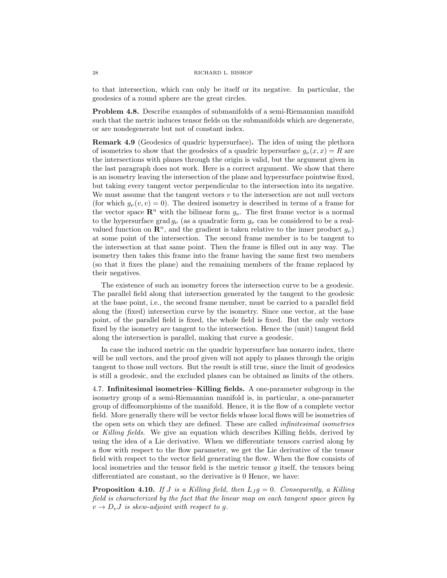to that intersection, which can only be itself or its negative. In particular, the geodesics of a round sphere are the great circles.

Problem 4.8. Describe examples of submanifolds of a semi-Riemannian manifold such that the metric induces tensor fields on the submanifolds which are degenerate, or are nondegenerate but not of constant index.

Remark 4.9 (Geodesics of quadric hypersurface). The idea of using the plethora of isometries to show that the geodesics of a quadric hypersurface  $g_{\nu}(x, x) = R$  are the intersections with planes through the origin is valid, but the argument given in the last paragraph does not work. Here is a correct argument. We show that there is an isometry leaving the intersection of the plane and hypersurface pointwise fixed, but taking every tangent vector perpendicular to the intersection into its negative. We must assume that the tangent vectors  $v$  to the intersection are not null vectors (for which  $g_{\nu}(v, v) = 0$ ). The desired isometry is described in terms of a frame for the vector space  $\mathbb{R}^n$  with the bilinear form  $g_{\nu}$ . The first frame vector is a normal to the hypersurface grad  $g_{\nu}$  (as a quadratic form  $g_{\nu}$  can be considered to be a realvalued function on  $\mathbb{R}^n$ , and the gradient is taken relative to the inner product  $q_{\nu}$ ) at some point of the intersection. The second frame member is to be tangent to the intersection at that same point. Then the frame is filled out in any way. The isometry then takes this frame into the frame having the same first two members (so that it fixes the plane) and the remaining members of the frame replaced by their negatives.

The existence of such an isometry forces the intersection curve to be a geodesic. The parallel field along that intersection generated by the tangent to the geodesic at the base point, i.e., the second frame member, must be carried to a parallel field along the (fixed) intersection curve by the isometry. Since one vector, at the base point, of the parallel field is fixed, the whole field is fixed. But the only vectors fixed by the isometry are tangent to the intersection. Hence the (unit) tangent field along the intersection is parallel, making that curve a geodesic.

In case the induced metric on the quadric hypersurface has nonzero index, there will be null vectors, and the proof given will not apply to planes through the origin tangent to those null vectors. But the result is still true, since the limit of geodesics is still a geodesic, and the excluded planes can be obtained as limits of the others.

4.7. Infinitesimal isometries–Killing fields. A one-parameter subgroup in the isometry group of a semi-Riemannian manifold is, in particular, a one-parameter group of diffeomorphisms of the manifold. Hence, it is the flow of a complete vector field. More generally there will be vector fields whose local flows will be isometries of the open sets on which they are defined. These are called infinitesimal isometries or Killing fields. We give an equation which describes Killing fields, derived by using the idea of a Lie derivative. When we differentiate tensors carried along by a flow with respect to the flow parameter, we get the Lie derivative of the tensor field with respect to the vector field generating the flow. When the flow consists of local isometries and the tensor field is the metric tensor  $g$  itself, the tensors being differentiated are constant, so the derivative is 0 Hence, we have:

**Proposition 4.10.** If J is a Killing field, then  $L_J g = 0$ . Consequently, a Killing field is characterized by the fact that the linear map on each tangent space given by  $v \rightarrow D_v J$  is skew-adjoint with respect to g.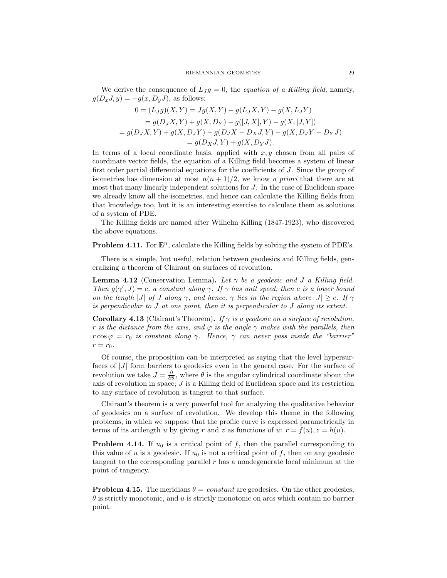We derive the consequence of  $L_J g = 0$ , the *equation of a Killing field*, namely,  $g(D_xJ, y) = -g(x, D_yJ)$ , as follows:

$$
0 = (L_{J}g)(X,Y) = Jg(X,Y) - g(L_{J}X,Y) - g(X,L_{J}Y)
$$
  
=  $g(D_{J}X,Y) + g(X,D_{Y}) - g([J,X],Y) - g(X,[J,Y])$   
=  $g(D_{J}X,Y) + g(X,D_{J}Y) - g(D_{J}X - D_{X}J,Y) - g(X,D_{J}Y - D_{Y}J)$   
=  $g(D_{X}J,Y) + g(X,D_{Y}J).$ 

In terms of a local coordinate basis, applied with  $x, y$  chosen from all pairs of coordinate vector fields, the equation of a Killing field becomes a system of linear first order partial differential equations for the coefficients of J. Since the group of isometries has dimension at most  $n(n+1)/2$ , we know a priori that there are at most that many linearly independent solutions for J. In the case of Euclidean space we already know all the isometries, and hence can calculate the Killing fields from that knowledge too, but it is an interesting exercise to calculate them as solutions of a system of PDE.

The Killing fields are named after Wilhelm Killing (1847-1923), who discovered the above equations.

**Problem 4.11.** For  $\mathbf{E}^n$ , calculate the Killing fields by solving the system of PDE's.

There is a simple, but useful, relation between geodesics and Killing fields, generalizing a theorem of Clairaut on surfaces of revolution.

**Lemma 4.12** (Conservation Lemma). Let  $\gamma$  be a geodesic and J a Killing field. Then  $g(\gamma', J) = c$ , a constant along  $\gamma$ . If  $\gamma$  has unit speed, then c is a lower bound on the length |J| of J along  $\gamma$ , and hence,  $\gamma$  lies in the region where  $|J| \geq c$ . If  $\gamma$ is perpendicular to J at one point, then it is perpendicular to J along its extent.

**Corollary 4.13** (Clairaut's Theorem). If  $\gamma$  is a geodesic on a surface of revolution, r is the distance from the axis, and  $\varphi$  is the angle  $\gamma$  makes with the parallels, then  $r \cos \varphi = r_0$  is constant along  $\gamma$ . Hence,  $\gamma$  can never pass inside the "barrier"  $r = r_0$ .

Of course, the proposition can be interpreted as saying that the level hypersurfaces of  $|J|$  form barriers to geodesics even in the general case. For the surface of revolution we take  $J = \frac{\partial}{\partial \theta}$ , where  $\theta$  is the angular cylindrical coordinate about the axis of revolution in space; J is a Killing field of Euclidean space and its restriction to any surface of revolution is tangent to that surface.

Clairaut's theorem is a very powerful tool for analyzing the qualitative behavior of geodesics on a surface of revolution. We develop this theme in the following problems, in which we suppose that the profile curve is expressed parametrically in terms of its arclength u by giving r and z as functions of u:  $r = f(u)$ ,  $z = h(u)$ .

**Problem 4.14.** If  $u_0$  is a critical point of f, then the parallel corresponding to this value of u is a geodesic. If  $u_0$  is not a critical point of f, then on any geodesic tangent to the corresponding parallel  $r$  has a nondegenerate local minimum at the point of tangency.

**Problem 4.15.** The meridians  $\theta = constant$  are geodesics. On the other geodesics,  $\theta$  is strictly monotonic, and u is strictly monotonic on arcs which contain no barrier point.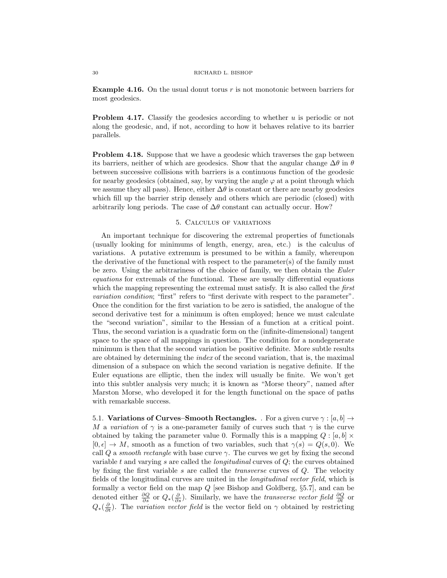**Example 4.16.** On the usual donut torus  $r$  is not monotonic between barriers for most geodesics.

**Problem 4.17.** Classify the geodesics according to whether u is periodic or not along the geodesic, and, if not, according to how it behaves relative to its barrier parallels.

Problem 4.18. Suppose that we have a geodesic which traverses the gap between its barriers, neither of which are geodesics. Show that the angular change  $\Delta\theta$  in  $\theta$ between successive collisions with barriers is a continuous function of the geodesic for nearby geodesics (obtained, say, by varying the angle  $\varphi$  at a point through which we assume they all pass). Hence, either  $\Delta\theta$  is constant or there are nearby geodesics which fill up the barrier strip densely and others which are periodic (closed) with arbitrarily long periods. The case of  $\Delta\theta$  constant can actually occur. How?

## 5. Calculus of variations

An important technique for discovering the extremal properties of functionals (usually looking for minimums of length, energy, area, etc.) is the calculus of variations. A putative extremum is presumed to be within a family, whereupon the derivative of the functional with respect to the parameter(s) of the family must be zero. Using the arbitrariness of the choice of family, we then obtain the Euler equations for extremals of the functional. These are usually differential equations which the mapping representing the extremal must satisfy. It is also called the *first* variation condition; "first" refers to "first derivate with respect to the parameter". Once the condition for the first variation to be zero is satisfied, the analogue of the second derivative test for a minimum is often employed; hence we must calculate the "second variation", similar to the Hessian of a function at a critical point. Thus, the second variation is a quadratic form on the (infinite-dimensional) tangent space to the space of all mappings in question. The condition for a nondegenerate minimum is then that the second variation be positive definite. More subtle results are obtained by determining the index of the second variation, that is, the maximal dimension of a subspace on which the second variation is negative definite. If the Euler equations are elliptic, then the index will usually be finite. We won't get into this subtler analysis very much; it is known as "Morse theory", named after Marston Morse, who developed it for the length functional on the space of paths with remarkable success.

5.1. Variations of Curves–Smooth Rectangles. . For a given curve  $\gamma : [a, b] \rightarrow$ M a variation of  $\gamma$  is a one-parameter family of curves such that  $\gamma$  is the curve obtained by taking the parameter value 0. Formally this is a mapping  $Q : [a, b] \times$  $[0, \epsilon] \to M$ , smooth as a function of two variables, such that  $\gamma(s) = Q(s, 0)$ . We call Q a smooth rectangle with base curve  $\gamma$ . The curves we get by fixing the second variable t and varying s are called the *longitudinal* curves of  $Q$ ; the curves obtained by fixing the first variable s are called the *transverse* curves of  $Q$ . The velocity fields of the longitudinal curves are united in the longitudinal vector field, which is formally a vector field on the map  $Q$  [see Bishop and Goldberg,  $\S 5.7$ ], and can be denoted either  $\frac{\partial Q}{\partial s}$  or  $Q_*(\frac{\partial}{\partial s})$ . Similarly, we have the *transverse vector field*  $\frac{\partial Q}{\partial t}$  or  $Q_*(\frac{\partial}{\partial t})$ . The variation vector field is the vector field on  $\gamma$  obtained by restricting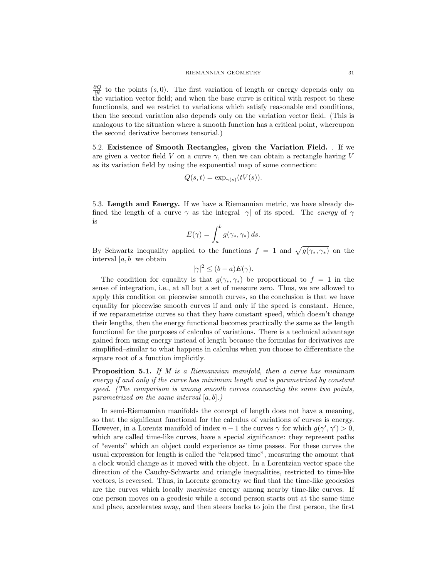$\frac{\partial Q}{\partial t}$  to the points (s, 0). The first variation of length or energy depends only on the variation vector field; and when the base curve is critical with respect to these functionals, and we restrict to variations which satisfy reasonable end conditions, then the second variation also depends only on the variation vector field. (This is analogous to the situation where a smooth function has a critical point, whereupon the second derivative becomes tensorial.)

5.2. Existence of Smooth Rectangles, given the Variation Field. . If we are given a vector field V on a curve  $\gamma$ , then we can obtain a rectangle having V as its variation field by using the exponential map of some connection:

$$
Q(s,t) = \exp_{\gamma(s)}(tV(s)).
$$

5.3. Length and Energy. If we have a Riemannian metric, we have already defined the length of a curve  $\gamma$  as the integral  $|\gamma|$  of its speed. The *energy* of  $\gamma$ is

$$
E(\gamma) = \int_a^b g(\gamma_*, \gamma_*) ds.
$$

By Schwartz inequality applied to the functions  $f = 1$  and  $\sqrt{g(\gamma_*, \gamma_*)}$  on the interval  $[a, b]$  we obtain

$$
|\gamma|^2 \le (b - a)E(\gamma).
$$

The condition for equality is that  $g(\gamma_*, \gamma_*)$  be proportional to  $f = 1$  in the sense of integration, i.e., at all but a set of measure zero. Thus, we are allowed to apply this condition on piecewise smooth curves, so the conclusion is that we have equality for piecewise smooth curves if and only if the speed is constant. Hence, if we reparametrize curves so that they have constant speed, which doesn't change their lengths, then the energy functional becomes practically the same as the length functional for the purposes of calculus of variations. There is a technical advantage gained from using energy instead of length because the formulas for derivatives are simplified–similar to what happens in calculus when you choose to differentiate the square root of a function implicitly.

**Proposition 5.1.** If M is a Riemannian manifold, then a curve has minimum energy if and only if the curve has minimum length and is parametrized by constant speed. (The comparison is among smooth curves connecting the same two points, parametrized on the same interval  $[a, b]$ .)

In semi-Riemannian manifolds the concept of length does not have a meaning, so that the significant functional for the calculus of variations of curves is energy. However, in a Lorentz manifold of index  $n-1$  the curves  $\gamma$  for which  $g(\gamma', \gamma') > 0$ , which are called time-like curves, have a special significance: they represent paths of "events" which an object could experience as time passes. For these curves the usual expression for length is called the "elapsed time", measuring the amount that a clock would change as it moved with the object. In a Lorentzian vector space the direction of the Cauchy-Schwartz and triangle inequalities, restricted to time-like vectors, is reversed. Thus, in Lorentz geometry we find that the time-like geodesics are the curves which locally maximize energy among nearby time-like curves. If one person moves on a geodesic while a second person starts out at the same time and place, accelerates away, and then steers backs to join the first person, the first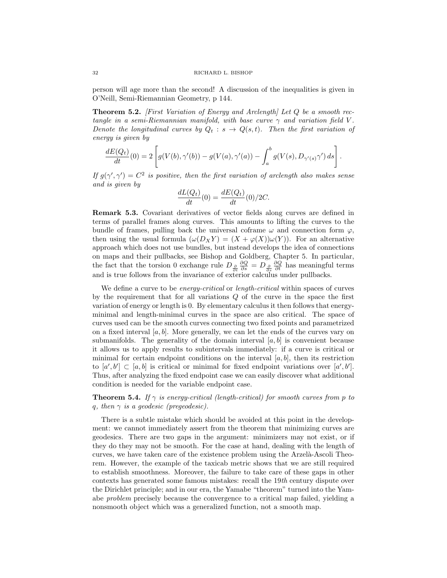person will age more than the second! A discussion of the inequalities is given in O'Neill, Semi-Riemannian Geometry, p 144.

**Theorem 5.2.** [First Variation of Energy and Arclength] Let  $Q$  be a smooth rectangle in a semi-Riemannian manifold, with base curve  $\gamma$  and variation field V. Denote the longitudinal curves by  $Q_t : s \to Q(s,t)$ . Then the first variation of energy is given by

$$
\frac{dE(Q_t)}{dt}(0)=2\left[g(V(b),\gamma'(b))-g(V(a),\gamma'(a))-\int_a^b g(V(s),D_{\gamma'(s)}\gamma')\,ds\right].
$$

If  $g(\gamma', \gamma') = C^2$  is positive, then the first variation of arclength also makes sense and is given by

$$
\frac{dL(Q_t)}{dt}(0) = \frac{dE(Q_t)}{dt}(0)/2C.
$$

Remark 5.3. Covariant derivatives of vector fields along curves are defined in terms of parallel frames along curves. This amounts to lifting the curves to the bundle of frames, pulling back the universal coframe  $\omega$  and connection form  $\varphi$ , then using the usual formula  $(\omega(D_X Y) = (X + \varphi(X))\omega(Y))$ . For an alternative approach which does not use bundles, but instead develops the idea of connections on maps and their pullbacks, see Bishop and Goldberg, Chapter 5. In particular, the fact that the torsion 0 exchange rule  $D_{\frac{\partial}{\partial t}}$  $\frac{\partial Q}{\partial s} = D_{\frac{\partial}{\partial s}}$  $\frac{\partial Q}{\partial t}$  has meaningful terms and is true follows from the invariance of exterior calculus under pullbacks.

We define a curve to be *energy-critical* or *length-critical* within spaces of curves by the requirement that for all variations Q of the curve in the space the first variation of energy or length is 0. By elementary calculus it then follows that energyminimal and length-minimal curves in the space are also critical. The space of curves used can be the smooth curves connecting two fixed points and parametrized on a fixed interval  $[a, b]$ . More generally, we can let the ends of the curves vary on submanifolds. The generality of the domain interval  $[a, b]$  is convenient because it allows us to apply results to subintervals immediately: if a curve is critical or minimal for certain endpoint conditions on the interval  $[a, b]$ , then its restriction to  $[a', b'] \subset [a, b]$  is critical or minimal for fixed endpoint variations over  $[a', b']$ . Thus, after analyzing the fixed endpoint case we can easily discover what additional condition is needed for the variable endpoint case.

**Theorem 5.4.** If  $\gamma$  is energy-critical (length-critical) for smooth curves from p to q, then  $\gamma$  is a geodesic (pregeodesic).

There is a subtle mistake which should be avoided at this point in the development: we cannot immediately assert from the theorem that minimizing curves are geodesics. There are two gaps in the argument: minimizers may not exist, or if they do they may not be smooth. For the case at hand, dealing with the length of curves, we have taken care of the existence problem using the Arzelà-Ascoli Theorem. However, the example of the taxicab metric shows that we are still required to establish smoothness. Moreover, the failure to take care of these gaps in other contexts has generated some famous mistakes: recall the 19th century dispute over the Dirichlet principle; and in our era, the Yamabe "theorem" turned into the Yamabe problem precisely because the convergence to a critical map failed, yielding a nonsmooth object which was a generalized function, not a smooth map.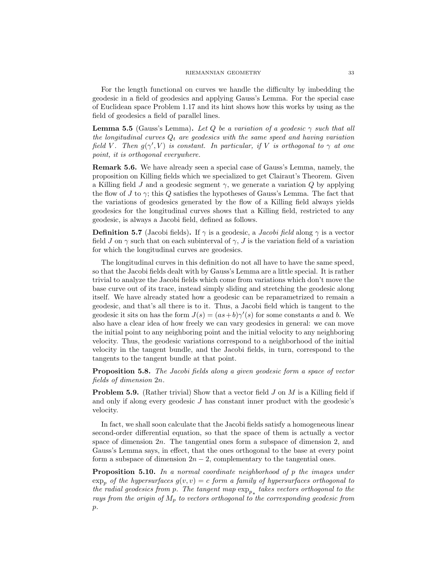For the length functional on curves we handle the difficulty by imbedding the geodesic in a field of geodesics and applying Gauss's Lemma. For the special case of Euclidean space Problem 1.17 and its hint shows how this works by using as the field of geodesics a field of parallel lines.

**Lemma 5.5** (Gauss's Lemma). Let Q be a variation of a geodesic  $\gamma$  such that all the longitudinal curves  $Q_t$  are geodesics with the same speed and having variation field V. Then  $g(\gamma', V)$  is constant. In particular, if V is orthogonal to  $\gamma$  at one point, it is orthogonal everywhere.

Remark 5.6. We have already seen a special case of Gauss's Lemma, namely, the proposition on Killing fields which we specialized to get Clairaut's Theorem. Given a Killing field J and a geodesic segment  $\gamma$ , we generate a variation Q by applying the flow of J to  $\gamma$ ; this Q satisfies the hypotheses of Gauss's Lemma. The fact that the variations of geodesics generated by the flow of a Killing field always yields geodesics for the longitudinal curves shows that a Killing field, restricted to any geodesic, is always a Jacobi field, defined as follows.

**Definition 5.7** (Jacobi fields). If  $\gamma$  is a geodesic, a *Jacobi field* along  $\gamma$  is a vector field J on  $\gamma$  such that on each subinterval of  $\gamma$ , J is the variation field of a variation for which the longitudinal curves are geodesics.

The longitudinal curves in this definition do not all have to have the same speed, so that the Jacobi fields dealt with by Gauss's Lemma are a little special. It is rather trivial to analyze the Jacobi fields which come from variations which don't move the base curve out of its trace, instead simply sliding and stretching the geodesic along itself. We have already stated how a geodesic can be reparametrized to remain a geodesic, and that's all there is to it. Thus, a Jacobi field which is tangent to the geodesic it sits on has the form  $J(s) = (as+b)\gamma'(s)$  for some constants a and b. We also have a clear idea of how freely we can vary geodesics in general: we can move the initial point to any neighboring point and the initial velocity to any neighboring velocity. Thus, the geodesic variations correspond to a neighborhood of the initial velocity in the tangent bundle, and the Jacobi fields, in turn, correspond to the tangents to the tangent bundle at that point.

Proposition 5.8. The Jacobi fields along a given geodesic form a space of vector fields of dimension 2n.

**Problem 5.9.** (Rather trivial) Show that a vector field J on M is a Killing field if and only if along every geodesic J has constant inner product with the geodesic's velocity.

In fact, we shall soon calculate that the Jacobi fields satisfy a homogeneous linear second-order differential equation, so that the space of them is actually a vector space of dimension  $2n$ . The tangential ones form a subspace of dimension 2, and Gauss's Lemma says, in effect, that the ones orthogonal to the base at every point form a subspace of dimension  $2n - 2$ , complementary to the tangential ones.

**Proposition 5.10.** In a normal coordinate neighborhood of p the images under  $\exp_n$  of the hypersurfaces  $g(v, v) = c$  form a family of hypersurfaces orthogonal to the radial geodesics from p. The tangent map  $\exp_{p_{*}}$  takes vectors orthogonal to the rays from the origin of  $M_p$  to vectors orthogonal to the corresponding geodesic from  $p$ .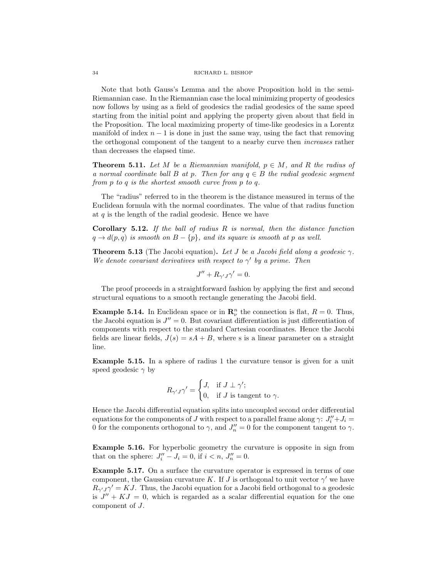Note that both Gauss's Lemma and the above Proposition hold in the semi-Riemannian case. In the Riemannian case the local minimizing property of geodesics now follows by using as a field of geodesics the radial geodesics of the same speed starting from the initial point and applying the property given about that field in the Proposition. The local maximizing property of time-like geodesics in a Lorentz manifold of index  $n - 1$  is done in just the same way, using the fact that removing the orthogonal component of the tangent to a nearby curve then increases rather than decreases the elapsed time.

**Theorem 5.11.** Let M be a Riemannian manifold,  $p \in M$ , and R the radius of a normal coordinate ball B at p. Then for any  $q \in B$  the radial geodesic segment from p to q is the shortest smooth curve from p to q.

The "radius" referred to in the theorem is the distance measured in terms of the Euclidean formula with the normal coordinates. The value of that radius function at  $q$  is the length of the radial geodesic. Hence we have

**Corollary 5.12.** If the ball of radius  $R$  is normal, then the distance function  $q \rightarrow d(p,q)$  is smooth on  $B - \{p\}$ , and its square is smooth at p as well.

**Theorem 5.13** (The Jacobi equation). Let J be a Jacobi field along a geodesic  $\gamma$ . We denote covariant derivatives with respect to  $\gamma'$  by a prime. Then

$$
J'' + R_{\gamma'J}\gamma' = 0.
$$

The proof proceeds in a straightforward fashion by applying the first and second structural equations to a smooth rectangle generating the Jacobi field.

**Example 5.14.** In Euclidean space or in  $\mathbb{R}_{\nu}^{n}$  the connection is flat,  $R = 0$ . Thus, the Jacobi equation is  $J'' = 0$ . But covariant differentiation is just differentiation of components with respect to the standard Cartesian coordinates. Hence the Jacobi fields are linear fields,  $J(s) = sA + B$ , where s is a linear parameter on a straight line.

Example 5.15. In a sphere of radius 1 the curvature tensor is given for a unit speed geodesic  $\gamma$  by

$$
R_{\gamma'J}\gamma' = \begin{cases} J, & \text{if } J \perp \gamma'; \\ 0, & \text{if } J \text{ is tangent to } \gamma. \end{cases}
$$

Hence the Jacobi differential equation splits into uncoupled second order differential equations for the components of J with respect to a parallel frame along  $\gamma: J''_i + J_i =$ 0 for the components orthogonal to  $\gamma$ , and  $J''_n = 0$  for the component tangent to  $\gamma$ .

Example 5.16. For hyperbolic geometry the curvature is opposite in sign from that on the sphere:  $J_i'' - J_i = 0$ , if  $i < n$ ,  $J_n'' = 0$ .

Example 5.17. On a surface the curvature operator is expressed in terms of one component, the Gaussian curvature K. If J is orthogonal to unit vector  $\gamma'$  we have  $R_{\gamma'J}\gamma' = KJ$ . Thus, the Jacobi equation for a Jacobi field orthogonal to a geodesic is  $J'' + KJ = 0$ , which is regarded as a scalar differential equation for the one component of J.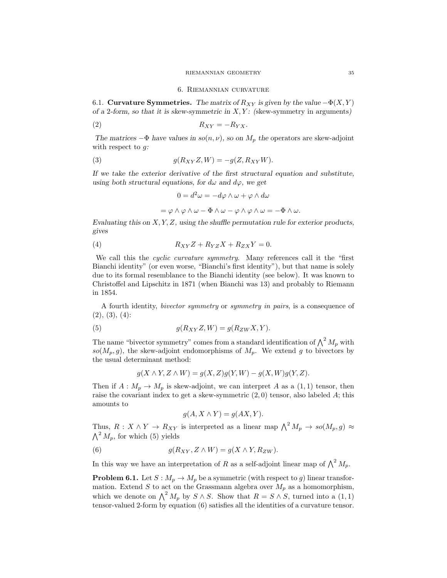#### RIEMANNIAN GEOMETRY 35

#### 6. Riemannian curvature

6.1. Curvature Symmetries. The matrix of  $R_{XY}$  is given by the value  $-\Phi(X, Y)$ of a 2-form, so that it is skew-symmetric in  $X, Y$ : (skew-symmetry in arguments)

$$
R_{XY} = -R_{YX}.
$$

The matrices  $-\Phi$  have values in  $so(n, \nu)$ , so on  $M_p$  the operators are skew-adjoint with respect to  $q$ :

(3) 
$$
g(R_{XY}Z,W) = -g(Z,R_{XY}W).
$$

If we take the exterior derivative of the first structural equation and substitute, using both structural equations, for  $d\omega$  and  $d\varphi$ , we get

$$
0 = d^2\omega = -d\varphi \wedge \omega + \varphi \wedge d\omega
$$

$$
= \varphi \wedge \varphi \wedge \omega - \Phi \wedge \omega - \varphi \wedge \varphi \wedge \omega = -\Phi \wedge \omega.
$$

Evaluating this on  $X, Y, Z$ , using the shuffle permutation rule for exterior products, gives

$$
(4) \t R_{XY}Z + R_{YZ}X + R_{ZX}Y = 0.
$$

We call this the *cyclic curvature symmetry*. Many references call it the "first" Bianchi identity" (or even worse, "Bianchi's first identity"), but that name is solely due to its formal resemblance to the Bianchi identity (see below). It was known to Christoffel and Lipschitz in 1871 (when Bianchi was 13) and probably to Riemann in 1854.

A fourth identity, bivector symmetry or symmetry in pairs, is a consequence of  $(2), (3), (4)$ :

(5) 
$$
g(R_{XY}Z,W) = g(R_{ZW}X,Y).
$$

The name "bivector symmetry" comes from a standard identification of  $\bigwedge^2 M_p$  with  $so(M_p, g)$ , the skew-adjoint endomorphisms of  $M_p$ . We extend g to bivectors by the usual determinant method:

$$
g(X \wedge Y, Z \wedge W) = g(X, Z)g(Y, W) - g(X, W)g(Y, Z).
$$

Then if  $A: M_p \to M_p$  is skew-adjoint, we can interpret A as a  $(1, 1)$  tensor, then raise the covariant index to get a skew-symmetric  $(2, 0)$  tensor, also labeled A; this amounts to

$$
g(A, X \wedge Y) = g(AX, Y).
$$

Thus,  $R: X \wedge Y \to R_{XY}$  is interpreted as a linear map  $\bigwedge^2 M_p \to so(M_p, g) \approx$  $\bigwedge^2 M_p$ , for which (5) yields

(6) 
$$
g(R_{XY}, Z \wedge W) = g(X \wedge Y, R_{ZW}).
$$

In this way we have an interpretation of R as a self-adjoint linear map of  $\bigwedge^2 M_p$ .

**Problem 6.1.** Let  $S : M_p \to M_p$  be a symmetric (with respect to g) linear transformation. Extend S to act on the Grassmann algebra over  $M_p$  as a homomorphism, which we denote on  $\bigwedge^2 M_p$  by  $S \wedge S$ . Show that  $R = S \wedge S$ , turned into a  $(1,1)$ tensor-valued 2-form by equation (6) satisfies all the identities of a curvature tensor.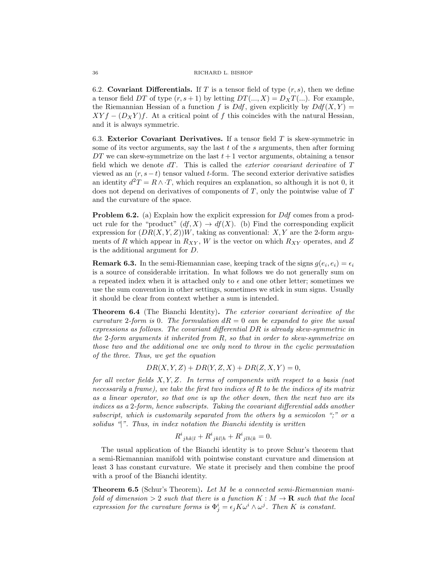6.2. Covariant Differentials. If T is a tensor field of type  $(r, s)$ , then we define a tensor field DT of type  $(r, s+1)$  by letting  $DT(..., X) = D_XT(...)$ . For example, the Riemannian Hessian of a function f is Ddf, given explicitly by  $Ddf(X, Y) =$  $XY f - (D_X Y) f$ . At a critical point of f this coincides with the natural Hessian, and it is always symmetric.

6.3. Exterior Covariant Derivatives. If a tensor field  $T$  is skew-symmetric in some of its vector arguments, say the last  $t$  of the  $s$  arguments, then after forming  $DT$  we can skew-symmetrize on the last  $t + 1$  vector arguments, obtaining a tensor field which we denote  $dT$ . This is called the *exterior covariant derivative* of  $T$ viewed as an  $(r, s - t)$  tensor valued t-form. The second exterior derivative satisfies an identity  $d^2T = R \wedge T$ , which requires an explanation, so although it is not 0, it does not depend on derivatives of components of T, only the pointwise value of T and the curvature of the space.

**Problem 6.2.** (a) Explain how the explicit expression for Ddf comes from a product rule for the "product"  $(df, X) \rightarrow df(X)$ . (b) Find the corresponding explicit expression for  $(DR(X, Y, Z))W$ , taking as conventional: X, Y are the 2-form arguments of R which appear in  $R_{XY}$ , W is the vector on which  $R_{XY}$  operates, and Z is the additional argument for D.

**Remark 6.3.** In the semi-Riemannian case, keeping track of the signs  $g(e_i, e_i) = \epsilon_i$ is a source of considerable irritation. In what follows we do not generally sum on a repeated index when it is attached only to  $\epsilon$  and one other letter; sometimes we use the sum convention in other settings, sometimes we stick in sum signs. Usually it should be clear from context whether a sum is intended.

Theorem 6.4 (The Bianchi Identity). The exterior covariant derivative of the curvature 2-form is 0. The formulation  $dR = 0$  can be expanded to give the usual expressions as follows. The covariant differential DR is already skew-symmetric in the 2-form arguments it inherited from R, so that in order to skew-symmetrize on those two and the additional one we only need to throw in the cyclic permutation of the three. Thus, we get the equation

 $DR(X, Y, Z) + DR(Y, Z, X) + DR(Z, X, Y) = 0,$ 

for all vector fields  $X, Y, Z$ . In terms of components with respect to a basis (not necessarily a frame), we take the first two indices of  $R$  to be the indices of its matrix as a linear operator, so that one is up the other down, then the next two are its indices as a 2-form, hence subscripts. Taking the covariant differential adds another subscript, which is customarily separated from the others by a semicolon ";" or a solidus  $\mathcal{C}$ . Thus, in index notation the Bianchi identity is written

$$
R^i_{jhk|l} + R^i_{jkl|h} + R^i_{jlh|k} = 0.
$$

The usual application of the Bianchi identity is to prove Schur's theorem that a semi-Riemannian manifold with pointwise constant curvature and dimension at least 3 has constant curvature. We state it precisely and then combine the proof with a proof of the Bianchi identity.

Theorem 6.5 (Schur's Theorem). Let M be a connected semi-Riemannian manifold of dimension  $> 2$  such that there is a function  $K : M \to \mathbf{R}$  such that the local expression for the curvature forms is  $\Phi_j^i = \epsilon_j K \omega^i \wedge \omega^j$ . Then K is constant.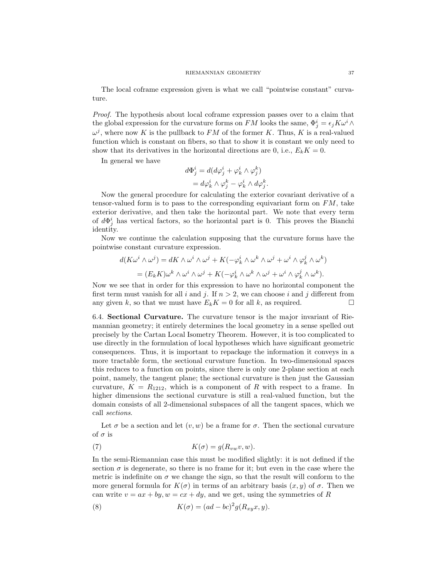The local coframe expression given is what we call "pointwise constant" curvature.

Proof. The hypothesis about local coframe expression passes over to a claim that the global expression for the curvature forms on  $FM$  looks the same,  $\Phi_j^i = \epsilon_j K \omega^i \wedge$  $\omega^j$ , where now K is the pullback to FM of the former K. Thus, K is a real-valued function which is constant on fibers, so that to show it is constant we only need to show that its derivatives in the horizontal directions are 0, i.e.,  $E_k K = 0$ .

In general we have

$$
d\Phi_j^i = d(d\varphi_j^i + \varphi_k^i \wedge \varphi_j^k)
$$
  
=  $d\varphi_k^i \wedge \varphi_j^k - \varphi_k^i \wedge d\varphi_j^k$ .

Now the general procedure for calculating the exterior covariant derivative of a tensor-valued form is to pass to the corresponding equivariant form on  $FM$ , take exterior derivative, and then take the horizontal part. We note that every term of  $d\Phi_j^i$  has vertical factors, so the horizontal part is 0. This proves the Bianchi identity.

Now we continue the calculation supposing that the curvature forms have the pointwise constant curvature expression.

$$
d(K\omega^{i} \wedge \omega^{j}) = dK \wedge \omega^{i} \wedge \omega^{j} + K(-\varphi^{i}_{k} \wedge \omega^{k} \wedge \omega^{j} + \omega^{i} \wedge \varphi^{j}_{k} \wedge \omega^{k})
$$
  
= 
$$
(E_{k}K)\omega^{k} \wedge \omega^{i} \wedge \omega^{j} + K(-\varphi^{i}_{k} \wedge \omega^{k} \wedge \omega^{j} + \omega^{i} \wedge \varphi^{j}_{k} \wedge \omega^{k}).
$$

Now we see that in order for this expression to have no horizontal component the first term must vanish for all i and j. If  $n > 2$ , we can choose i and j different from any given k, so that we must have  $E_k K = 0$  for all k, as required.

6.4. Sectional Curvature. The curvature tensor is the major invariant of Riemannian geometry; it entirely determines the local geometry in a sense spelled out precisely by the Cartan Local Isometry Theorem. However, it is too complicated to use directly in the formulation of local hypotheses which have significant geometric consequences. Thus, it is important to repackage the information it conveys in a more tractable form, the sectional curvature function. In two-dimensional spaces this reduces to a function on points, since there is only one 2-plane section at each point, namely, the tangent plane; the sectional curvature is then just the Gaussian curvature,  $K = R_{1212}$ , which is a component of R with respect to a frame. In higher dimensions the sectional curvature is still a real-valued function, but the domain consists of all 2-dimensional subspaces of all the tangent spaces, which we call sections.

Let  $\sigma$  be a section and let  $(v, w)$  be a frame for  $\sigma$ . Then the sectional curvature of  $\sigma$  is

(7) 
$$
K(\sigma) = g(R_{vw}v, w).
$$

In the semi-Riemannian case this must be modified slightly: it is not defined if the section  $\sigma$  is degenerate, so there is no frame for it; but even in the case where the metric is indefinite on  $\sigma$  we change the sign, so that the result will conform to the more general formula for  $K(\sigma)$  in terms of an arbitrary basis  $(x, y)$  of  $\sigma$ . Then we can write  $v = ax + by$ ,  $w = cx + dy$ , and we get, using the symmetries of R

(8) 
$$
K(\sigma) = (ad - bc)^2 g(R_{xy}x, y).
$$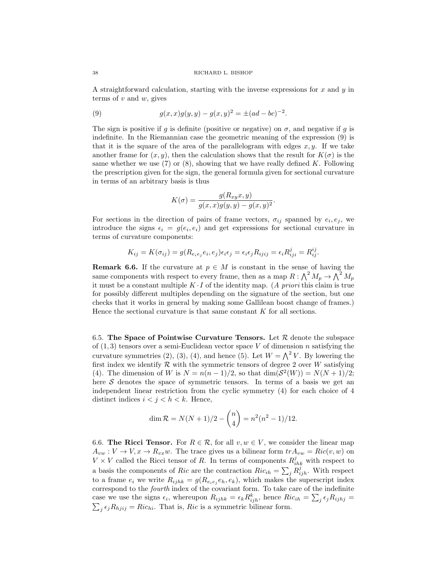A straightforward calculation, starting with the inverse expressions for  $x$  and  $y$  in terms of  $v$  and  $w$ , gives

(9) 
$$
g(x,x)g(y,y) - g(x,y)^2 = \pm (ad - bc)^{-2}.
$$

The sign is positive if g is definite (positive or negative) on  $\sigma$ , and negative if g is indefinite. In the Riemannian case the geometric meaning of the expression (9) is that it is the square of the area of the parallelogram with edges  $x, y$ . If we take another frame for  $(x, y)$ , then the calculation shows that the result for  $K(\sigma)$  is the same whether we use (7) or (8), showing that we have really defined K. Following the prescription given for the sign, the general formula given for sectional curvature in terms of an arbitrary basis is thus

$$
K(\sigma) = \frac{g(R_{xy}x, y)}{g(x, x)g(y, y) - g(x, y)^2}.
$$

For sections in the direction of pairs of frame vectors,  $\sigma_{ij}$  spanned by  $e_i, e_j$ , we introduce the signs  $\epsilon_i = g(e_i, e_i)$  and get expressions for sectional curvature in terms of curvature components:

$$
K_{ij} = K(\sigma_{ij}) = g(R_{e_i e_j} e_i, e_j) \epsilon_i \epsilon_j = \epsilon_i \epsilon_j R_{ijij} = \epsilon_i R_{iji}^j = R_{ij}^{ij}.
$$

**Remark 6.6.** If the curvature at  $p \in M$  is constant in the sense of having the same components with respect to every frame, then as a map  $R: \bigwedge^2 M_p \to \bigwedge^2 M_p$ it must be a constant multiple  $K \cdot I$  of the identity map. (A priori this claim is true for possibly different multiples depending on the signature of the section, but one checks that it works in general by making some Gallilean boost change of frames.) Hence the sectional curvature is that same constant  $K$  for all sections.

6.5. The Space of Pointwise Curvature Tensors. Let  $R$  denote the subspace of  $(1, 3)$  tensors over a semi-Euclidean vector space V of dimension n satisfying the curvature symmetries (2), (3), (4), and hence (5). Let  $W = \bigwedge^2 V$ . By lowering the first index we identify  $\mathcal R$  with the symmetric tensors of degree 2 over W satisfying (4). The dimension of W is  $N = n(n-1)/2$ , so that  $\dim(S^2(W)) = N(N+1)/2$ ; here  $S$  denotes the space of symmetric tensors. In terms of a basis we get an independent linear restriction from the cyclic symmetry (4) for each choice of 4 distinct indices  $i < j < h < k$ . Hence,

$$
\dim \mathcal{R} = N(N+1)/2 - \binom{n}{4} = n^2(n^2 - 1)/12.
$$

6.6. The Ricci Tensor. For  $R \in \mathcal{R}$ , for all  $v, w \in V$ , we consider the linear map  $A_{vw}: V \to V, x \to R_{vx}w$ . The trace gives us a bilinear form  $tr A_{vw} = Ric(v, w)$  on  $V \times V$  called the Ricci tensor of R. In terms of components  $R_{ihk}^j$  with respect to a basis the components of Ric are the contraction  $Ric_{ih} = \sum_j R^j_{ijh}$ . With respect to a frame  $e_i$  we write  $R_{ijhk} = g(R_{e_ie_j}e_h, e_k)$ , which makes the superscript index correspond to the *fourth* index of the covariant form. To take care of the indefinite case we use the signs  $\epsilon_i$ , whereupon  $R_{ijhk} = \epsilon_k R_{ijh}^k$ , hence  $Ric_{ih} = \sum_j \epsilon_j R_{ijhj} =$  $\sum_j \epsilon_j R_{hjij} = Ric_{hi}.$  That is, Ric is a symmetric bilinear form.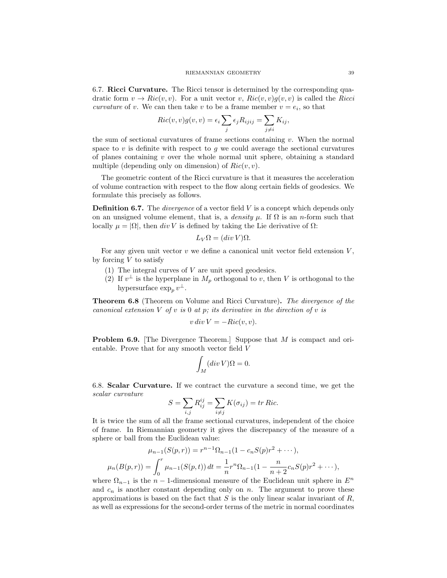6.7. Ricci Curvature. The Ricci tensor is determined by the corresponding quadratic form  $v \to Ric(v, v)$ . For a unit vector v,  $Ric(v, v)g(v, v)$  is called the Ricci curvature of v. We can then take v to be a frame member  $v = e_i$ , so that

$$
Ric(v, v)g(v, v) = \epsilon_i \sum_j \epsilon_j R_{ijij} = \sum_{j \neq i} K_{ij},
$$

the sum of sectional curvatures of frame sections containing  $v$ . When the normal space to  $v$  is definite with respect to  $q$  we could average the sectional curvatures of planes containing  $v$  over the whole normal unit sphere, obtaining a standard multiple (depending only on dimension) of  $Ric(v, v)$ .

The geometric content of the Ricci curvature is that it measures the acceleration of volume contraction with respect to the flow along certain fields of geodesics. We formulate this precisely as follows.

**Definition 6.7.** The *divergence* of a vector field  $V$  is a concept which depends only on an unsigned volume element, that is, a *density*  $\mu$ . If  $\Omega$  is an *n*-form such that locally  $\mu = |\Omega|$ , then div V is defined by taking the Lie derivative of  $\Omega$ :

$$
L_V\Omega = (div\,V)\Omega.
$$

For any given unit vector  $v$  we define a canonical unit vector field extension  $V$ , by forcing  $V$  to satisfy

- (1) The integral curves of  $V$  are unit speed geodesics.
- (2) If  $v^{\perp}$  is the hyperplane in  $M_p$  orthogonal to v, then V is orthogonal to the hypersurface  $\exp_p v^{\perp}$ .

Theorem 6.8 (Theorem on Volume and Ricci Curvature). The divergence of the canonical extension  $V$  of  $v$  is 0 at  $p$ ; its derivative in the direction of  $v$  is

$$
v \, div \, V = -Ric(v, v).
$$

**Problem 6.9.** [The Divergence Theorem.] Suppose that M is compact and orientable. Prove that for any smooth vector field V

$$
\int_M (div\,V)\Omega = 0.
$$

6.8. Scalar Curvature. If we contract the curvature a second time, we get the scalar curvature

$$
S = \sum_{i,j} R_{ij}^{ij} = \sum_{i \neq j} K(\sigma_{ij}) = tr \, Ric.
$$

It is twice the sum of all the frame sectional curvatures, independent of the choice of frame. In Riemannian geometry it gives the discrepancy of the measure of a sphere or ball from the Euclidean value:

$$
\mu_{n-1}(S(p,r)) = r^{n-1} \Omega_{n-1} (1 - c_n S(p) r^2 + \cdots),
$$
  

$$
\mu_n(B(p,r)) = \int_0^r \mu_{n-1}(S(p,t)) dt = \frac{1}{n} r^n \Omega_{n-1} (1 - \frac{n}{n+2} c_n S(p) r^2 + \cdots),
$$

where  $\Omega_{n-1}$  is the n − 1-dimensional measure of the Euclidean unit sphere in  $E^n$ and  $c_n$  is another constant depending only on n. The argument to prove these approximations is based on the fact that  $S$  is the only linear scalar invariant of  $R$ , as well as expressions for the second-order terms of the metric in normal coordinates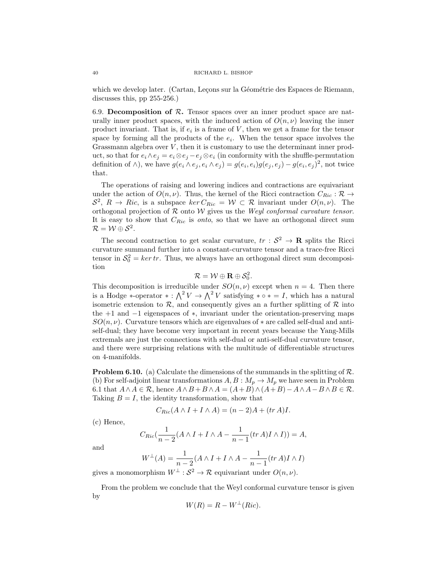which we develop later. (Cartan, Leçons sur la Géométrie des Espaces de Riemann, discusses this, pp 255-256.)

6.9. Decomposition of  $R$ . Tensor spaces over an inner product space are naturally inner product spaces, with the induced action of  $O(n, \nu)$  leaving the inner product invariant. That is, if  $e_i$  is a frame of V, then we get a frame for the tensor space by forming all the products of the  $e_i$ . When the tensor space involves the Grassmann algebra over  $V$ , then it is customary to use the determinant inner product, so that for  $e_i \wedge e_j = e_i \otimes e_j - e_j \otimes e_i$  (in conformity with the shuffle-permutation definition of  $\wedge$ ), we have  $g(e_i \wedge e_j, e_i \wedge e_j) = g(e_i, e_i)g(e_j, e_j) - g(e_i, e_j)^2$ , not twice that.

The operations of raising and lowering indices and contractions are equivariant under the action of  $O(n, \nu)$ . Thus, the kernel of the Ricci contraction  $C_{Ric} : \mathcal{R} \to$  $S^2$ ,  $R \to Ric$ , is a subspace  $\ker C_{Ric} = \mathcal{W} \subset \mathcal{R}$  invariant under  $O(n, \nu)$ . The orthogonal projection of  $R$  onto  $W$  gives us the Weyl conformal curvature tensor. It is easy to show that  $C_{Ric}$  is *onto*, so that we have an orthogonal direct sum  $\mathcal{R}=\mathcal{W}\oplus \mathcal{S}^2.$ 

The second contraction to get scalar curvature,  $tr : S^2 \to \mathbf{R}$  splits the Ricci curvature summand further into a constant-curvature tensor and a trace-free Ricci tensor in  $S_0^2 = \text{ker tr}$ . Thus, we always have an orthogonal direct sum decomposition

$$
\mathcal{R}=\mathcal{W}\oplus \mathbf{R}\oplus \mathcal{S}_0^2.
$$

This decomposition is irreducible under  $SO(n, \nu)$  except when  $n = 4$ . Then there is a Hodge \*-operator \*:  $\bigwedge^2 V \to \bigwedge^2 V$  satisfying \*  $\circ * = I$ , which has a natural isometric extension to  $\mathcal{R}$ , and consequently gives an a further splitting of  $\mathcal{R}$  into the +1 and −1 eigenspaces of ∗, invariant under the orientation-preserving maps  $SO(n, \nu)$ . Curvature tensors which are eigenvalues of  $*$  are called self-dual and antiself-dual; they have become very important in recent years because the Yang-Mills extremals are just the connections with self-dual or anti-self-dual curvature tensor, and there were surprising relations with the multitude of differentiable structures on 4-manifolds.

**Problem 6.10.** (a) Calculate the dimensions of the summands in the splitting of  $\mathcal{R}$ . (b) For self-adjoint linear transformations  $A, B : M_p \to M_p$  we have seen in Problem 6.1 that  $A \wedge A \in \mathcal{R}$ , hence  $A \wedge B + B \wedge A = (A + B) \wedge (A + B) - A \wedge A - B \wedge B \in \mathcal{R}$ . Taking  $B = I$ , the identity transformation, show that

$$
C_{Ric}(A \wedge I + I \wedge A) = (n-2)A + (tr A)I.
$$

(c) Hence,

$$
C_{Ric}(\frac{1}{n-2}(A \wedge I + I \wedge A - \frac{1}{n-1}(tr\,A)I \wedge I)) = A,
$$

and

$$
W^{\perp}(A) = \frac{1}{n-2}(A \wedge I + I \wedge A - \frac{1}{n-1}(tr\,A)I \wedge I)
$$

gives a monomorphism  $W^{\perp} : \mathcal{S}^2 \to \mathcal{R}$  equivariant under  $O(n, \nu)$ .

From the problem we conclude that the Weyl conformal curvature tensor is given by

$$
W(R) = R - W^{\perp}(Ric).
$$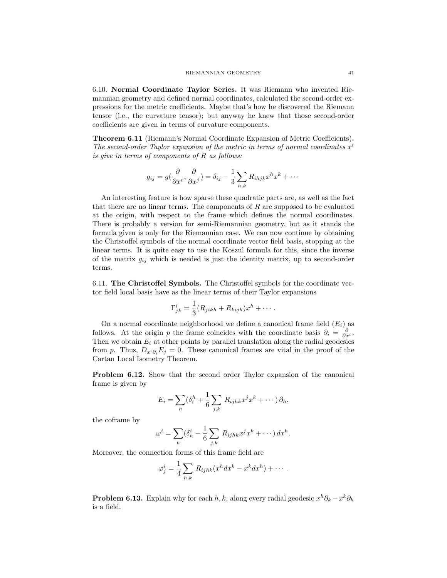6.10. Normal Coordinate Taylor Series. It was Riemann who invented Riemannian geometry and defined normal coordinates, calculated the second-order expressions for the metric coefficients. Maybe that's how he discovered the Riemann tensor (i.e., the curvature tensor); but anyway he knew that those second-order coefficients are given in terms of curvature components.

Theorem 6.11 (Riemann's Normal Coordinate Expansion of Metric Coefficients). The second-order Taylor expansion of the metric in terms of normal coordinates  $x^i$ is give in terms of components of R as follows:

$$
g_{ij} = g\left(\frac{\partial}{\partial x^i}, \frac{\partial}{\partial x^j}\right) = \delta_{ij} - \frac{1}{3} \sum_{h,k} R_{ihjk} x^h x^k + \cdots
$$

An interesting feature is how sparse these quadratic parts are, as well as the fact that there are no linear terms. The components of  $R$  are supposed to be evaluated at the origin, with respect to the frame which defines the normal coordinates. There is probably a version for semi-Riemannian geometry, but as it stands the formula given is only for the Riemannian case. We can now continue by obtaining the Christoffel symbols of the normal coordinate vector field basis, stopping at the linear terms. It is quite easy to use the Koszul formula for this, since the inverse of the matrix  $g_{ij}$  which is needed is just the identity matrix, up to second-order terms.

6.11. The Christoffel Symbols. The Christoffel symbols for the coordinate vector field local basis have as the linear terms of their Taylor expansions

$$
\Gamma^i_{jk} = \frac{1}{3}(R_{jikh} + R_{kijh})x^h + \cdots
$$

On a normal coordinate neighborhood we define a canonical frame field  $(E_i)$  as follows. At the origin p the frame coincides with the coordinate basis  $\partial_i = \frac{\partial}{\partial x^i}$ . Then we obtain  $E_i$  at other points by parallel translation along the radial geodesics from p. Thus,  $D_{x_i\partial_i}E_j = 0$ . These canonical frames are vital in the proof of the Cartan Local Isometry Theorem.

Problem 6.12. Show that the second order Taylor expansion of the canonical frame is given by

$$
E_i = \sum_h (\delta_i^h + \frac{1}{6} \sum_{j,k} R_{ijhk} x^j x^k + \cdots) \partial_h,
$$

the coframe by

$$
\omega^i = \sum_h (\delta^i_h - \frac{1}{6} \sum_{j,k} R_{ijhk} x^j x^k + \cdots) dx^h.
$$

Moreover, the connection forms of this frame field are

$$
\varphi_j^i = \frac{1}{4} \sum_{h,k} R_{ijhk} (x^h dx^k - x^k dx^h) + \cdots.
$$

**Problem 6.13.** Explain why for each  $h, k$ , along every radial geodesic  $x^h \partial_k - x^k \partial_h$ is a field.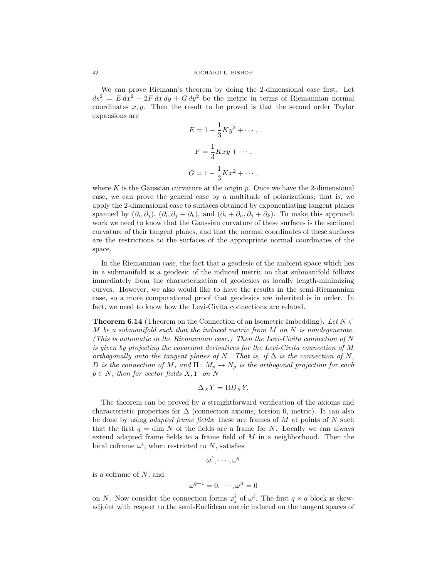We can prove Riemann's theorem by doing the 2-dimensional case first. Let  $ds^2 = E dx^2 + 2F dx dy + G dy^2$  be the metric in terms of Riemannian normal coordinates  $x, y$ . Then the result to be proved is that the second order Taylor expansions are

$$
E = 1 - \frac{1}{3} Ky^2 + \cdots,
$$
  

$$
F = \frac{1}{3} Kxy + \cdots,
$$
  

$$
G = 1 - \frac{1}{3} Kx^2 + \cdots,
$$

where K is the Gaussian curvature at the origin  $p$ . Once we have the 2-dimensional case, we can prove the general case by a multitude of polarizations; that is, we apply the 2-dimensional case to surfaces obtained by exponentiating tangent planes spanned by  $(\partial_i, \partial_j)$ ,  $(\partial_i, \partial_j + \partial_k)$ , and  $(\partial_i + \partial_h, \partial_j + \partial_k)$ . To make this approach work we need to know that the Gaussian curvature of these surfaces is the sectional curvature of their tangent planes, and that the normal coordinates of these surfaces are the restrictions to the surfaces of the appropriate normal coordinates of the space.

In the Riemannian case, the fact that a geodesic of the ambient space which lies in a submanifold is a geodesic of the induced metric on that submanifold follows immediately from the characterization of geodesics as locally length-minimizing curves. However, we also would like to have the results in the semi-Riemannian case, so a more computational proof that geodesics are inherited is in order. In fact, we need to know how the Levi-Civita connections are related.

**Theorem 6.14** (Theorem on the Connection of an Isometric Imbedding). Let  $N \subset$ M be a submanifold such that the induced metric from  $M$  on  $N$  is nondegenerate. (This is automatic in the Riemannian case.) Then the Levi-Civita connection of N is given by projecting the covariant derivatives for the Levi-Civita connection of M orthogonally onto the tangent planes of N. That is, if  $\Delta$  is the connection of N, D is the connection of M, and  $\Pi : M_p \to N_p$  is the orthogonal projection for each  $p \in N$ , then for vector fields  $X, Y$  on N

$$
\Delta_X Y = \Pi D_X Y.
$$

The theorem can be proved by a straightforward verification of the axioms and characteristic properties for  $\Delta$  (connection axioms, torsion 0, metric). It can also be done by using *adapted frame fields*: these are frames of  $M$  at points of  $N$  such that the first  $q = \dim N$  of the fields are a frame for N. Locally we can always extend adapted frame fields to a frame field of  $M$  in a neighborhood. Then the local coframe  $\omega^i$ , when restricted to N, satisfies

$$
\omega^1,\cdots,\omega^q
$$

is a coframe of N, and

$$
\omega^{q+1} = 0, \cdots, \omega^n = 0
$$

on N. Now consider the connection forms  $\varphi_j^i$  of  $\omega^i$ . The first  $q \times q$  block is skewadjoint with respect to the semi-Euclidean metric induced on the tangent spaces of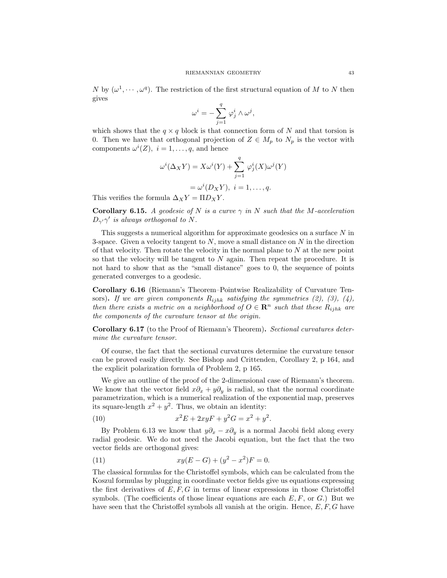N by  $(\omega^1, \dots, \omega^q)$ . The restriction of the first structural equation of M to N then gives

$$
\omega^i = -\sum_{j=1}^q \, \varphi^i_j \wedge \omega^j,
$$

which shows that the  $q \times q$  block is that connection form of N and that torsion is 0. Then we have that orthogonal projection of  $Z \in M_p$  to  $N_p$  is the vector with components  $\omega^{i}(Z), i = 1, \ldots, q$ , and hence

$$
\omega^{i}(\Delta_{X}Y) = X\omega^{i}(Y) + \sum_{j=1}^{q} \varphi_{j}^{i}(X)\omega^{j}(Y)
$$

$$
= \omega^{i}(D_{X}Y), i = 1,..., q.
$$

This verifies the formula  $\Delta_X Y = \Pi D_X Y$ .

**Corollary 6.15.** A geodesic of N is a curve  $\gamma$  in N such that the M-acceleration  $D_{\gamma'}\gamma'$  is always orthogonal to N.

This suggests a numerical algorithm for approximate geodesics on a surface  $N$  in 3-space. Given a velocity tangent to  $N$ , move a small distance on  $N$  in the direction of that velocity. Then rotate the velocity in the normal plane to  $N$  at the new point so that the velocity will be tangent to  $N$  again. Then repeat the procedure. It is not hard to show that as the "small distance" goes to 0, the sequence of points generated converges to a geodesic.

Corollary 6.16 (Riemann's Theorem–Pointwise Realizability of Curvature Tensors). If we are given components  $R_{ijhk}$  satisfying the symmetries (2), (3), (4), then there exists a metric on a neighborhood of  $O \in \mathbb{R}^n$  such that these  $R_{ijhk}$  are the components of the curvature tensor at the origin.

Corollary 6.17 (to the Proof of Riemann's Theorem). Sectional curvatures determine the curvature tensor.

Of course, the fact that the sectional curvatures determine the curvature tensor can be proved easily directly. See Bishop and Crittenden, Corollary 2, p 164, and the explicit polarization formula of Problem 2, p 165.

We give an outline of the proof of the 2-dimensional case of Riemann's theorem. We know that the vector field  $x\partial_x + y\partial_y$  is radial, so that the normal coordinate parametrization, which is a numerical realization of the exponential map, preserves its square-length  $x^2 + y^2$ . Thus, we obtain an identity:

(10) 
$$
x^2 E + 2xyF + y^2 G = x^2 + y^2.
$$

By Problem 6.13 we know that  $y\partial_x - x\partial_y$  is a normal Jacobi field along every radial geodesic. We do not need the Jacobi equation, but the fact that the two vector fields are orthogonal gives:

(11) 
$$
xy(E-G) + (y^2 - x^2)F = 0.
$$

The classical formulas for the Christoffel symbols, which can be calculated from the Koszul formulas by plugging in coordinate vector fields give us equations expressing the first derivatives of  $E, F, G$  in terms of linear expressions in those Christoffel symbols. (The coefficients of those linear equations are each  $E, F, \text{ or } G$ .) But we have seen that the Christoffel symbols all vanish at the origin. Hence,  $E, F, G$  have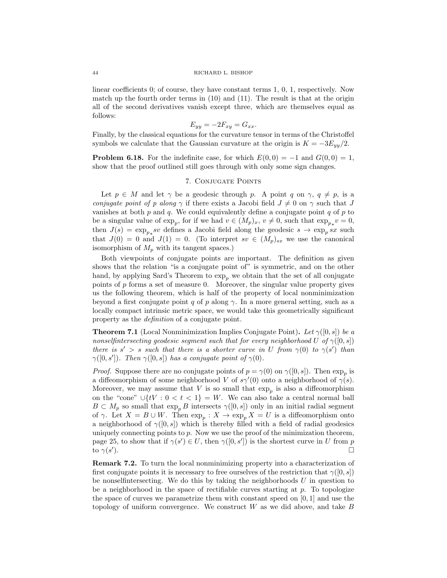linear coefficients 0; of course, they have constant terms 1, 0, 1, respectively. Now match up the fourth order terms in  $(10)$  and  $(11)$ . The result is that at the origin all of the second derivatives vanish except three, which are themselves equal as follows:

$$
E_{yy} = -2F_{xy} = G_{xx}.
$$

Finally, by the classical equations for the curvature tensor in terms of the Christoffel symbols we calculate that the Gaussian curvature at the origin is  $K = -3E_{yy}/2$ .

**Problem 6.18.** For the indefinite case, for which  $E(0,0) = -1$  and  $G(0,0) = 1$ , show that the proof outlined still goes through with only some sign changes.

# 7. Conjugate Points

Let  $p \in M$  and let  $\gamma$  be a geodesic through p. A point q on  $\gamma$ ,  $q \neq p$ , is a conjugate point of p along  $\gamma$  if there exists a Jacobi field  $J \neq 0$  on  $\gamma$  such that J vanishes at both  $p$  and  $q$ . We could equivalently define a conjugate point  $q$  of  $p$  to be a singular value of  $\exp_p$ , for if we had  $v \in (M_p)_x$ ,  $v \neq 0$ , such that  $\exp_{p*} v = 0$ , then  $J(s) = \exp_{p_*} sv$  defines a Jacobi field along the geodesic  $s \to \exp_p sx$  such that  $J(0) = 0$  and  $J(1) = 0$ . (To interpret sv  $\in (M_p)_{sx}$  we use the canonical isomorphism of  $M_p$  with its tangent spaces.)

Both viewpoints of conjugate points are important. The definition as given shows that the relation "is a conjugate point of" is symmetric, and on the other hand, by applying Sard's Theorem to  $\exp_p$  we obtain that the set of all conjugate points of  $p$  forms a set of measure 0. Moreover, the singular value property gives us the following theorem, which is half of the property of local nonminimization beyond a first conjugate point q of p along  $\gamma$ . In a more general setting, such as a locally compact intrinsic metric space, we would take this geometrically significant property as the *definition* of a conjugate point.

**Theorem 7.1** (Local Nonminimization Implies Conjugate Point). Let  $\gamma([0, s])$  be a nonselfintersecting geodesic segment such that for every neighborhood U of  $\gamma([0, s])$ there is  $s' > s$  such that there is a shorter curve in U from  $\gamma(0)$  to  $\gamma(s')$  than  $\gamma([0,s'])$ . Then  $\gamma([0,s])$  has a conjugate point of  $\gamma(0)$ .

*Proof.* Suppose there are no conjugate points of  $p = \gamma(0)$  on  $\gamma([0, s])$ . Then  $\exp_p$  is a diffeomorphism of some neighborhood V of  $s\gamma'(0)$  onto a neighborhood of  $\gamma(s)$ . Moreover, we may assume that V is so small that  $\exp_p$  is also a diffeomorphism on the "cone" ∪{ $tV : 0 < t < 1$ } = W. We can also take a central normal ball  $B \subset M_p$  so small that  $\exp_p B$  intersects  $\gamma([0, s])$  only in an initial radial segment of  $\gamma$ . Let  $X = B \cup W$ . Then  $\exp_p : X \to \exp_p X = U$  is a diffeomorphism onto a neighborhood of  $\gamma([0, s])$  which is thereby filled with a field of radial geodesics uniquely connecting points to  $p$ . Now we use the proof of the minimization theorem, page 25, to show that if  $\gamma(s') \in U$ , then  $\gamma([0, s'])$  is the shortest curve in U from p to  $\gamma(s')$ ).

Remark 7.2. To turn the local nonminimizing property into a characterization of first conjugate points it is necessary to free ourselves of the restriction that  $\gamma([0, s])$ be nonselfintersecting. We do this by taking the neighborhoods  $U$  in question to be a neighborhood in the space of rectifiable curves starting at  $p$ . To topologize the space of curves we parametrize them with constant speed on  $[0, 1]$  and use the topology of uniform convergence. We construct  $W$  as we did above, and take  $B$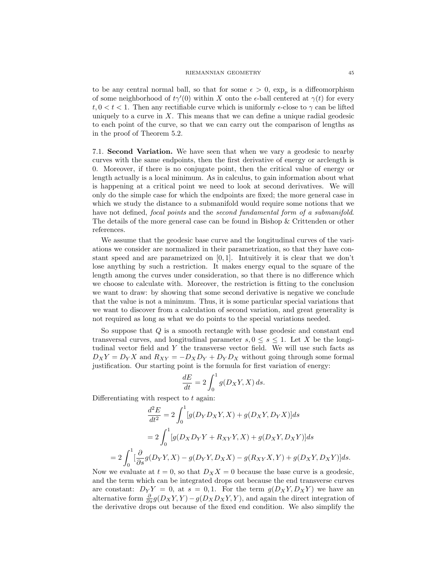to be any central normal ball, so that for some  $\epsilon > 0$ ,  $\exp_p$  is a diffeomorphism of some neighborhood of  $t\gamma'(0)$  within X onto the  $\epsilon$ -ball centered at  $\gamma(t)$  for every  $t, 0 < t < 1$ . Then any rectifiable curve which is uniformly  $\epsilon$ -close to  $\gamma$  can be lifted uniquely to a curve in  $X$ . This means that we can define a unique radial geodesic to each point of the curve, so that we can carry out the comparison of lengths as in the proof of Theorem 5.2.

7.1. Second Variation. We have seen that when we vary a geodesic to nearby curves with the same endpoints, then the first derivative of energy or arclength is 0. Moreover, if there is no conjugate point, then the critical value of energy or length actually is a local minimum. As in calculus, to gain information about what is happening at a critical point we need to look at second derivatives. We will only do the simple case for which the endpoints are fixed; the more general case in which we study the distance to a submanifold would require some notions that we have not defined, focal points and the second fundamental form of a submanifold. The details of the more general case can be found in Bishop & Crittenden or other references.

We assume that the geodesic base curve and the longitudinal curves of the variations we consider are normalized in their parametrization, so that they have constant speed and are parametrized on [0, 1]. Intuitively it is clear that we don't lose anything by such a restriction. It makes energy equal to the square of the length among the curves under consideration, so that there is no difference which we choose to calculate with. Moreover, the restriction is fitting to the conclusion we want to draw: by showing that some second derivative is negative we conclude that the value is not a minimum. Thus, it is some particular special variations that we want to discover from a calculation of second variation, and great generality is not required as long as what we do points to the special variations needed.

So suppose that Q is a smooth rectangle with base geodesic and constant end transversal curves, and longitudinal parameter  $s, 0 \leq s \leq 1$ . Let X be the longitudinal vector field and Y the transverse vector field. We will use such facts as  $D_X Y = D_Y X$  and  $R_{XY} = -D_X D_Y + D_Y D_X$  without going through some formal justification. Our starting point is the formula for first variation of energy:

$$
\frac{dE}{dt} = 2 \int_0^1 g(D_X Y, X) ds.
$$

Differentiating with respect to  $t$  again:

$$
\frac{d^2E}{dt^2} = 2 \int_0^1 [g(D_Y D_X Y, X) + g(D_X Y, D_Y X)] ds
$$

$$
= 2 \int_0^1 [g(D_X D_Y Y + R_{XY} Y, X) + g(D_X Y, D_X Y)] ds
$$

$$
= 2 \int_0^1 [\frac{\partial}{\partial s} g(D_Y Y, X) - g(D_Y Y, D_X X) - g(R_{XY} X, Y) + g(D_X Y, D_X Y)] ds.
$$

Now we evaluate at  $t = 0$ , so that  $D_X X = 0$  because the base curve is a geodesic, and the term which can be integrated drops out because the end transverse curves are constant:  $D_Y Y = 0$ , at  $s = 0, 1$ . For the term  $g(D_X Y, D_X Y)$  we have an alternative form  $\frac{\partial}{\partial s}g(D_XY, Y) - g(D_XD_XY, Y)$ , and again the direct integration of the derivative drops out because of the fixed end condition. We also simplify the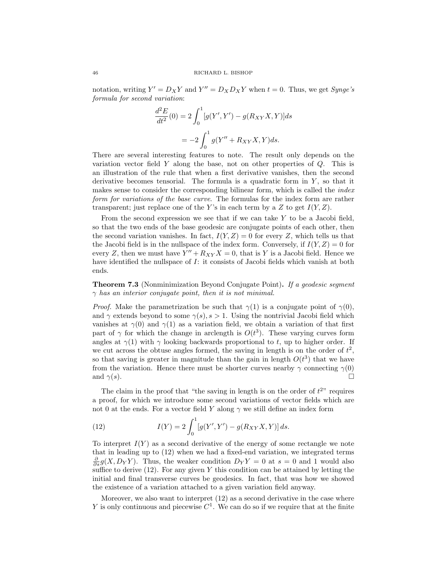notation, writing  $Y' = D_X Y$  and  $Y'' = D_X D_X Y$  when  $t = 0$ . Thus, we get *Synge's* formula for second variation:

$$
\frac{d^2E}{dt^2}(0) = 2\int_0^1 [g(Y', Y') - g(R_{XY}X, Y)]ds
$$

$$
= -2\int_0^1 g(Y'' + R_{XY}X, Y)ds.
$$

There are several interesting features to note. The result only depends on the variation vector field  $Y$  along the base, not on other properties of  $Q$ . This is an illustration of the rule that when a first derivative vanishes, then the second derivative becomes tensorial. The formula is a quadratic form in  $Y$ , so that it makes sense to consider the corresponding bilinear form, which is called the *index* form for variations of the base curve. The formulas for the index form are rather transparent; just replace one of the Y's in each term by a Z to get  $I(Y, Z)$ .

From the second expression we see that if we can take  $Y$  to be a Jacobi field, so that the two ends of the base geodesic are conjugate points of each other, then the second variation vanishes. In fact,  $I(Y, Z) = 0$  for every Z, which tells us that the Jacobi field is in the nullspace of the index form. Conversely, if  $I(Y, Z) = 0$  for every Z, then we must have  $Y'' + R_{XY}X = 0$ , that is Y is a Jacobi field. Hence we have identified the nullspace of I: it consists of Jacobi fields which vanish at both ends.

**Theorem 7.3** (Nonminimization Beyond Conjugate Point). If a geodesic segment  $\gamma$  has an interior conjugate point, then it is not minimal.

*Proof.* Make the parametrization be such that  $\gamma(1)$  is a conjugate point of  $\gamma(0)$ , and  $\gamma$  extends beyond to some  $\gamma(s), s > 1$ . Using the nontrivial Jacobi field which vanishes at  $\gamma(0)$  and  $\gamma(1)$  as a variation field, we obtain a variation of that first part of  $\gamma$  for which the change in arclength is  $O(t^3)$ . These varying curves form angles at  $\gamma(1)$  with  $\gamma$  looking backwards proportional to t, up to higher order. If we cut across the obtuse angles formed, the saving in length is on the order of  $t^2$ , so that saving is greater in magnitude than the gain in length  $O(t^3)$  that we have from the variation. Hence there must be shorter curves nearby  $\gamma$  connecting  $\gamma(0)$ and  $\gamma(s)$ .

The claim in the proof that "the saving in length is on the order of  $t^{2}$ " requires a proof, for which we introduce some second variations of vector fields which are not 0 at the ends. For a vector field Y along  $\gamma$  we still define an index form

(12) 
$$
I(Y) = 2 \int_0^1 [g(Y', Y') - g(R_{XY}X, Y)] ds.
$$

To interpret  $I(Y)$  as a second derivative of the energy of some rectangle we note that in leading up to (12) when we had a fixed-end variation, we integrated terms  $\frac{\partial}{\partial s}g(X, D_Y Y)$ . Thus, the weaker condition  $D_Y Y = 0$  at  $s = 0$  and 1 would also suffice to derive  $(12)$ . For any given Y this condition can be attained by letting the initial and final transverse curves be geodesics. In fact, that was how we showed the existence of a variation attached to a given variation field anyway.

Moreover, we also want to interpret (12) as a second derivative in the case where Y is only continuous and piecewise  $C^1$ . We can do so if we require that at the finite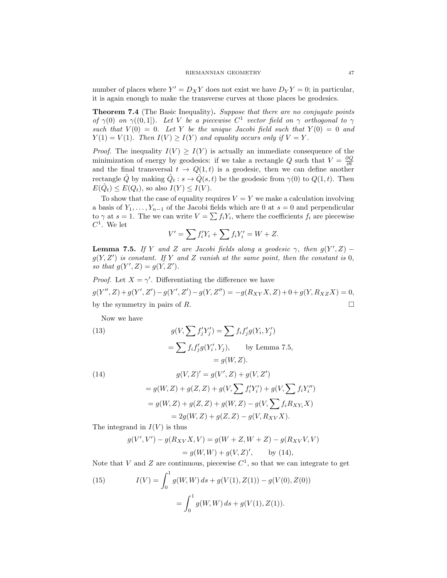number of places where  $Y' = D_X Y$  does not exist we have  $D_Y Y = 0$ ; in particular, it is again enough to make the transverse curves at those places be geodesics.

**Theorem 7.4** (The Basic Inequality). Suppose that there are no conjugate points of  $\gamma(0)$  on  $\gamma((0,1])$ . Let V be a piecewise  $C^1$  vector field on  $\gamma$  orthogonal to  $\gamma$ such that  $V(0) = 0$ . Let Y be the unique Jacobi field such that  $Y(0) = 0$  and  $Y(1) = V(1)$ . Then  $I(V) \geq I(Y)$  and equality occurs only if  $V = Y$ .

*Proof.* The inequality  $I(V) \geq I(Y)$  is actually an immediate consequence of the minimization of energy by geodesics: if we take a rectangle Q such that  $V = \frac{\partial Q}{\partial t}$ and the final transversal  $t \to Q(1,t)$  is a geodesic, then we can define another rectangle  $\hat{Q}$  by making  $\hat{Q}_t : s \to \hat{Q}(s,t)$  be the geodesic from  $\gamma(0)$  to  $Q(1,t)$ . Then  $E(\hat{Q}_t) \leq E(Q_t)$ , so also  $I(Y) \leq I(V)$ .

To show that the case of equality requires  $V = Y$  we make a calculation involving a basis of  $Y_1, \ldots, Y_{n-1}$  of the Jacobi fields which are 0 at  $s = 0$  and perpendicular to  $\gamma$  at  $s = 1$ . The we can write  $V = \sum f_i Y_i$ , where the coefficients  $f_i$  are piecewise  $C^1$ . We let

$$
V' = \sum f_i' Y_i + \sum f_i Y_i' = W + Z.
$$

**Lemma 7.5.** If Y and Z are Jacobi fields along a geodesic  $\gamma$ , then  $g(Y', Z)$  –  $g(Y, Z')$  is constant. If Y and Z vanish at the same point, then the constant is 0, so that  $g(Y', Z) = g(Y, Z').$ 

*Proof.* Let  $X = \gamma'$ . Differentiating the difference we have  $g(Y'', Z) + g(Y', Z') - g(Y', Z') - g(Y, Z'') = -g(R_{XY}X, Z) + 0 + g(Y, R_{XZ}X) = 0,$ by the symmetry in pairs of  $R$ .

Now we have

(13)  
\n
$$
g(V, \sum f'_j Y'_j) = \sum f_i f'_j g(Y_i, Y'_j)
$$
\n
$$
= \sum f_i f'_j g(Y'_i, Y_j), \qquad \text{by Lemma 7.5,}
$$
\n
$$
= g(W, Z).
$$
\n(14)  
\n
$$
g(V, Z)' = g(V', Z) + g(V, Z')
$$
\n
$$
= g(W, Z) + g(Z, Z) + g(V, \sum f'_i Y'_i) + g(V, \sum f_i Y''_i)
$$
\n
$$
= g(W, Z) + g(Z, Z) + g(W, Z) - g(V, \sum f_i R_{XY_i} X)
$$
\n
$$
= 2g(W, Z) + g(Z, Z) - g(V, R_{XY} X).
$$

The integrand in  $I(V)$  is thus

$$
g(V', V') - g(R_{XV}X, V) = g(W + Z, W + Z) - g(R_{XV}V, V)
$$
  
=  $g(W, W) + g(V, Z)'$ , by (14),

Note that V and Z are continuous, piecewise  $C<sup>1</sup>$ , so that we can integrate to get

(15) 
$$
I(V) = \int_0^1 g(W, W) ds + g(V(1), Z(1)) - g(V(0), Z(0))
$$

$$
= \int_0^1 g(W, W) ds + g(V(1), Z(1)).
$$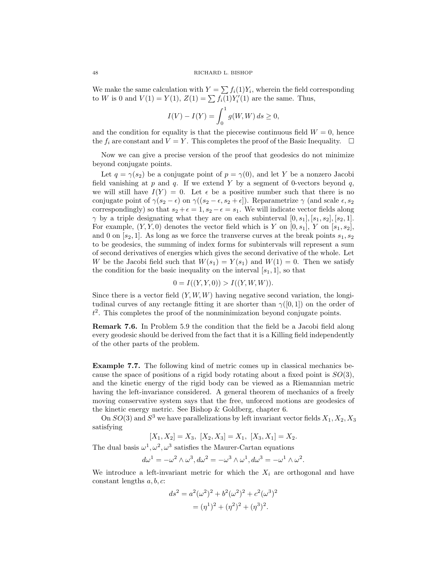We make the same calculation with  $Y = \sum f_i(1)Y_i$ , wherein the field corresponding to *W* is 0 and  $V(1) = Y(1)$ ,  $Z(1) = \sum f_i(1)Y'_i(1)$  are the same. Thus,

$$
I(V) - I(Y) = \int_0^1 g(W, W) ds \ge 0,
$$

and the condition for equality is that the piecewise continuous field  $W = 0$ , hence the  $f_i$  are constant and  $V = Y$ . This completes the proof of the Basic Inequality.  $\Box$ 

Now we can give a precise version of the proof that geodesics do not minimize beyond conjugate points.

Let  $q = \gamma(s_2)$  be a conjugate point of  $p = \gamma(0)$ , and let Y be a nonzero Jacobi field vanishing at p and q. If we extend Y by a segment of 0-vectors beyond q, we will still have  $I(Y) = 0$ . Let  $\epsilon$  be a positive number such that there is no conjugate point of  $\gamma(s_2 - \epsilon)$  on  $\gamma((s_2 - \epsilon, s_2 + \epsilon])$ . Reparametrize  $\gamma$  (and scale  $\epsilon, s_2$ ) correspondingly) so that  $s_2 + \epsilon = 1$ ,  $s_2 - \epsilon = s_1$ . We will indicate vector fields along  $\gamma$  by a triple designating what they are on each subinterval  $[0, s_1], [s_1, s_2], [s_2, 1].$ For example,  $(Y, Y, 0)$  denotes the vector field which is Y on  $[0, s_1]$ , Y on  $[s_1, s_2]$ , and 0 on  $[s_2, 1]$ . As long as we force the tranverse curves at the break points  $s_1, s_2$ to be geodesics, the summing of index forms for subintervals will represent a sum of second derivatives of energies which gives the second derivative of the whole. Let W be the Jacobi field such that  $W(s_1) = Y(s_1)$  and  $W(1) = 0$ . Then we satisfy the condition for the basic inequality on the interval  $[s_1, 1]$ , so that

$$
0 = I((Y, Y, 0)) > I((Y, W, W)).
$$

Since there is a vector field  $(Y, W, W)$  having negative second variation, the longitudinal curves of any rectangle fitting it are shorter than  $\gamma([0,1])$  on the order of  $t<sup>2</sup>$ . This completes the proof of the nonminimization beyond conjugate points.

Remark 7.6. In Problem 5.9 the condition that the field be a Jacobi field along every geodesic should be derived from the fact that it is a Killing field independently of the other parts of the problem.

Example 7.7. The following kind of metric comes up in classical mechanics because the space of positions of a rigid body rotating about a fixed point is  $SO(3)$ , and the kinetic energy of the rigid body can be viewed as a Riemannian metric having the left-invariance considered. A general theorem of mechanics of a freely moving conservative system says that the free, unforced motions are geodesics of the kinetic energy metric. See Bishop & Goldberg, chapter 6.

On  $SO(3)$  and  $S^3$  we have parallelizations by left invariant vector fields  $X_1, X_2, X_3$ satisfying

 $[X_1, X_2] = X_3$ ,  $[X_2, X_3] = X_1$ ,  $[X_3, X_1] = X_2$ .

The dual basis  $\omega^1, \omega^2, \omega^3$  satisfies the Maurer-Cartan equations

$$
d\omega^1 = -\omega^2 \wedge \omega^3, d\omega^2 = -\omega^3 \wedge \omega^1, d\omega^3 = -\omega^1 \wedge \omega^2.
$$

We introduce a left-invariant metric for which the  $X_i$  are orthogonal and have constant lengths  $a, b, c$ :

$$
ds^{2} = a^{2}(\omega^{2})^{2} + b^{2}(\omega^{2})^{2} + c^{2}(\omega^{3})^{2}
$$

$$
= (\eta^{1})^{2} + (\eta^{2})^{2} + (\eta^{3})^{2}.
$$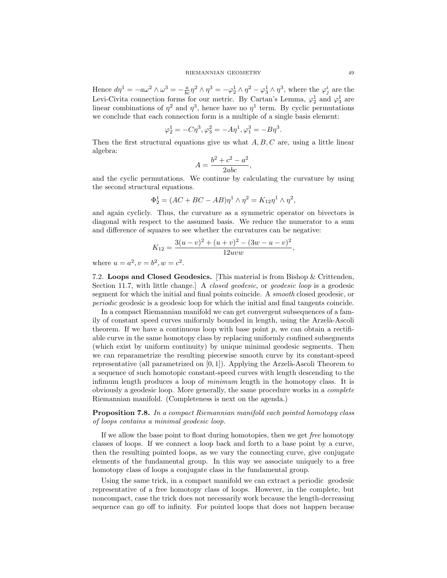Hence  $d\eta^1 = -a\omega^2 \wedge \omega^3 = -\frac{a}{bc}\eta^2 \wedge \eta^3 = -\varphi_2^1 \wedge \eta^2 - \varphi_3^1 \wedge \eta^3$ , where the  $\varphi_j^i$  are the Levi-Civita connection forms for our metric. By Cartan's Lemma,  $\varphi_2^1$  and  $\varphi_3^1$  are linear combinations of  $\eta^2$  and  $\eta^3$ , hence have no  $\eta^1$  term. By cyclic permutations we conclude that each connection form is a multiple of a single basis element:

$$
\varphi_2^1 = -C\eta^3, \varphi_3^2 = -A\eta^1, \varphi_1^3 = -B\eta^3.
$$

Then the first structural equations give us what  $A, B, C$  are, using a little linear algebra:

$$
A = \frac{b^2 + c^2 - a^2}{2abc},
$$

and the cyclic permutations. We continue by calculating the curvature by using the second structural equations.

$$
\Phi_2^1 = (AC + BC - AB)\eta^1 \wedge \eta^2 = K_{12}\eta^1 \wedge \eta^2,
$$

and again cyclicly. Thus, the curvature as a symmetric operator on bivectors is diagonal with respect to the assumed basis. We reduce the numerator to a sum and difference of squares to see whether the curvatures can be negative:

$$
K_{12} = \frac{3(u-v)^2 + (u+v)^2 - (3w-u-v)^2}{12uvw},
$$

where  $u = a^2, v = b^2, w = c^2$ .

7.2. Loops and Closed Geodesics. [This material is from Bishop & Crittenden, Section 11.7, with little change.] A closed geodesic, or geodesic loop is a geodesic segment for which the initial and final points coincide. A smooth closed geodesic, or periodic geodesic is a geodesic loop for which the initial and final tangents coincide.

In a compact Riemannian manifold we can get convergent subsequences of a family of constant speed curves uniformly bounded in length, using the Arzelà-Ascoli theorem. If we have a continuous loop with base point  $p$ , we can obtain a rectifiable curve in the same homotopy class by replacing uniformly confined subsegments (which exist by uniform continuity) by unique minimal geodesic segments. Then we can reparametrize the resulting piecewise smooth curve by its constant-speed representative (all parametrized on  $[0, 1]$ ). Applying the Arzelà-Ascoli Theorem to a sequence of such homotopic constant-speed curves with length descending to the infimum length produces a loop of minimum length in the homotopy class. It is obviously a geodesic loop. More generally, the same procedure works in a complete Riemannian manifold. (Completeness is next on the agenda.)

Proposition 7.8. In a compact Riemannian manifold each pointed homotopy class of loops contains a minimal geodesic loop.

If we allow the base point to float during homotopies, then we get free homotopy classes of loops. If we connect a loop back and forth to a base point by a curve, then the resulting pointed loops, as we vary the connecting curve, give conjugate elements of the fundamental group. In this way we associate uniquely to a free homotopy class of loops a conjugate class in the fundamental group.

Using the same trick, in a compact manifold we can extract a periodic geodesic representative of a free homotopy class of loops. However, in the complete, but noncompact, case the trick does not necessarily work because the length-decreasing sequence can go off to infinity. For pointed loops that does not happen because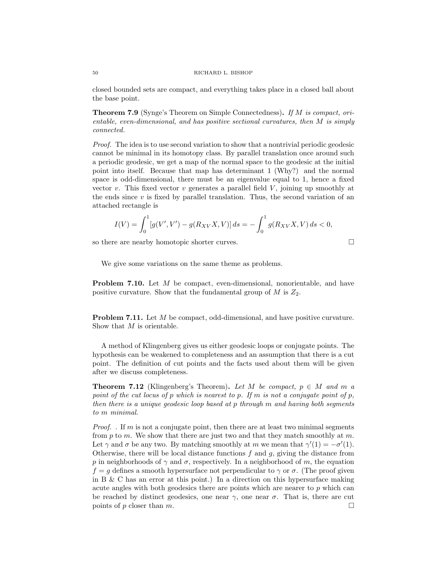closed bounded sets are compact, and everything takes place in a closed ball about the base point.

Theorem 7.9 (Synge's Theorem on Simple Connectedness). If M is compact, orientable, even-dimensional, and has positive sectional curvatures, then M is simply connected.

Proof. The idea is to use second variation to show that a nontrivial periodic geodesic cannot be minimal in its homotopy class. By parallel translation once around such a periodic geodesic, we get a map of the normal space to the geodesic at the initial point into itself. Because that map has determinant 1 (Why?) and the normal space is odd-dimensional, there must be an eigenvalue equal to 1, hence a fixed vector v. This fixed vector v generates a parallel field  $V$ , joining up smoothly at the ends since  $v$  is fixed by parallel translation. Thus, the second variation of an attached rectangle is

$$
I(V) = \int_0^1 [g(V', V') - g(R_{XV}X, V)] ds = -\int_0^1 g(R_{XV}X, V) ds < 0,
$$

so there are nearby homotopic shorter curves.

$$
\qquad \qquad \Box
$$

We give some variations on the same theme as problems.

Problem 7.10. Let M be compact, even-dimensional, nonorientable, and have positive curvature. Show that the fundamental group of  $M$  is  $Z_2$ .

Problem 7.11. Let M be compact, odd-dimensional, and have positive curvature. Show that M is orientable.

A method of Klingenberg gives us either geodesic loops or conjugate points. The hypothesis can be weakened to completeness and an assumption that there is a cut point. The definition of cut points and the facts used about them will be given after we discuss completeness.

**Theorem 7.12** (Klingenberg's Theorem). Let M be compact,  $p \in M$  and m a point of the cut locus of p which is nearest to p. If m is not a conjugate point of p. then there is a unique geodesic loop based at p through m and having both segments to m minimal.

*Proof.* If m is not a conjugate point, then there are at least two minimal segments from p to m. We show that there are just two and that they match smoothly at m. Let  $\gamma$  and  $\sigma$  be any two. By matching smoothly at m we mean that  $\gamma'(1) = -\sigma'(1)$ . Otherwise, there will be local distance functions  $f$  and  $g$ , giving the distance from p in neighborhoods of  $\gamma$  and  $\sigma$ , respectively. In a neighborhood of m, the equation  $f = q$  defines a smooth hypersurface not perpendicular to  $\gamma$  or  $\sigma$ . (The proof given in B & C has an error at this point.) In a direction on this hypersurface making acute angles with both geodesics there are points which are nearer to p which can be reached by distinct geodesics, one near  $\gamma$ , one near  $\sigma$ . That is, there are cut points of p closer than m.

$$
50\,
$$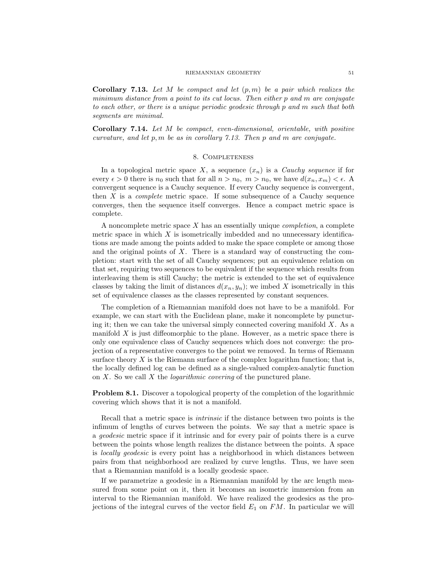**Corollary 7.13.** Let M be compact and let  $(p, m)$  be a pair which realizes the minimum distance from a point to its cut locus. Then either p and m are conjugate to each other, or there is a unique periodic geodesic through p and m such that both segments are minimal.

Corollary 7.14. Let M be compact, even-dimensional, orientable, with positive curvature, and let  $p, m$  be as in corollary 7.13. Then  $p$  and  $m$  are conjugate.

## 8. Completeness

In a topological metric space X, a sequence  $(x_n)$  is a *Cauchy sequence* if for every  $\epsilon > 0$  there is  $n_0$  such that for all  $n > n_0$ ,  $m > n_0$ , we have  $d(x_n, x_m) < \epsilon$ . convergent sequence is a Cauchy sequence. If every Cauchy sequence is convergent, then  $X$  is a *complete* metric space. If some subsequence of a Cauchy sequence converges, then the sequence itself converges. Hence a compact metric space is complete.

A noncomplete metric space  $X$  has an essentially unique *completion*, a complete metric space in which  $X$  is isometrically imbedded and no unnecessary identifications are made among the points added to make the space complete or among those and the original points of  $X$ . There is a standard way of constructing the completion: start with the set of all Cauchy sequences; put an equivalence relation on that set, requiring two sequences to be equivalent if the sequence which results from interleaving them is still Cauchy; the metric is extended to the set of equivalence classes by taking the limit of distances  $d(x_n, y_n)$ ; we imbed X isometrically in this set of equivalence classes as the classes represented by constant sequences.

The completion of a Riemannian manifold does not have to be a manifold. For example, we can start with the Euclidean plane, make it noncomplete by puncturing it; then we can take the universal simply connected covering manifold  $X$ . As a manifold  $X$  is just diffeomorphic to the plane. However, as a metric space there is only one equivalence class of Cauchy sequences which does not converge: the projection of a representative converges to the point we removed. In terms of Riemann surface theory  $X$  is the Riemann surface of the complex logarithm function; that is, the locally defined log can be defined as a single-valued complex-analytic function on  $X$ . So we call  $X$  the *logarithmic covering* of the punctured plane.

Problem 8.1. Discover a topological property of the completion of the logarithmic covering which shows that it is not a manifold.

Recall that a metric space is intrinsic if the distance between two points is the infimum of lengths of curves between the points. We say that a metric space is a geodesic metric space if it intrinsic and for every pair of points there is a curve between the points whose length realizes the distance between the points. A space is locally geodesic is every point has a neighborhood in which distances between pairs from that neighborhood are realized by curve lengths. Thus, we have seen that a Riemannian manifold is a locally geodesic space.

If we parametrize a geodesic in a Riemannian manifold by the arc length measured from some point on it, then it becomes an isometric immersion from an interval to the Riemannian manifold. We have realized the geodesics as the projections of the integral curves of the vector field  $E_1$  on  $FM$ . In particular we will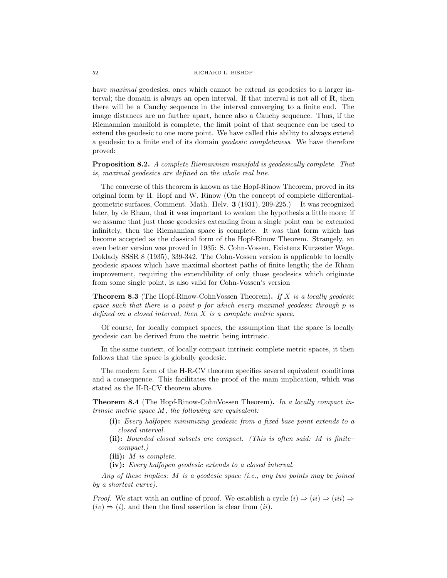have maximal geodesics, ones which cannot be extend as geodesics to a larger interval; the domain is always an open interval. If that interval is not all of **, then** there will be a Cauchy sequence in the interval converging to a finite end. The image distances are no farther apart, hence also a Cauchy sequence. Thus, if the Riemannian manifold is complete, the limit point of that sequence can be used to extend the geodesic to one more point. We have called this ability to always extend a geodesic to a finite end of its domain geodesic completeness. We have therefore proved:

Proposition 8.2. A complete Riemannian manifold is geodesically complete. That is, maximal geodesics are defined on the whole real line.

The converse of this theorem is known as the Hopf-Rinow Theorem, proved in its original form by H. Hopf and W. Rinow (On the concept of complete differentialgeometric surfaces, Comment. Math. Helv. 3 (1931), 209-225.) It was recognized later, by de Rham, that it was important to weaken the hypothesis a little more: if we assume that just those geodesics extending from a single point can be extended infinitely, then the Riemannian space is complete. It was that form which has become accepted as the classical form of the Hopf-Rinow Theorem. Strangely, an even better version was proved in 1935: S. Cohn-Vossen, Existenz Kurzester Wege. Doklady SSSR 8 (1935), 339-342. The Cohn-Vossen version is applicable to locally geodesic spaces which have maximal shortest paths of finite length; the de Rham improvement, requiring the extendibility of only those geodesics which originate from some single point, is also valid for Cohn-Vossen's version

**Theorem 8.3** (The Hopf-Rinow-CohnVossen Theorem). If X is a locally geodesic space such that there is a point  $p$  for which every maximal geodesic through  $p$  is defined on a closed interval, then  $X$  is a complete metric space.

Of course, for locally compact spaces, the assumption that the space is locally geodesic can be derived from the metric being intrinsic.

In the same context, of locally compact intrinsic complete metric spaces, it then follows that the space is globally geodesic.

The modern form of the H-R-CV theorem specifies several equivalent conditions and a consequence. This facilitates the proof of the main implication, which was stated as the H-R-CV theorem above.

Theorem 8.4 (The Hopf-Rinow-CohnVossen Theorem). In a locally compact intrinsic metric space M, the following are equivalent:

- (i): Every halfopen minimizing geodesic from a fixed base point extends to a closed interval.
- (ii): Bounded closed subsets are compact. (This is often said: M is finite– compact.)
- (iii):  $M$  is complete.
- (iv): Every halfopen geodesic extends to a closed interval.

Any of these implies: M is a geodesic space (i.e., any two points may be joined by a shortest curve).

*Proof.* We start with an outline of proof. We establish a cycle  $(i) \Rightarrow (ii) \Rightarrow (iii) \Rightarrow$  $(iv) \Rightarrow (i)$ , and then the final assertion is clear from  $(ii)$ .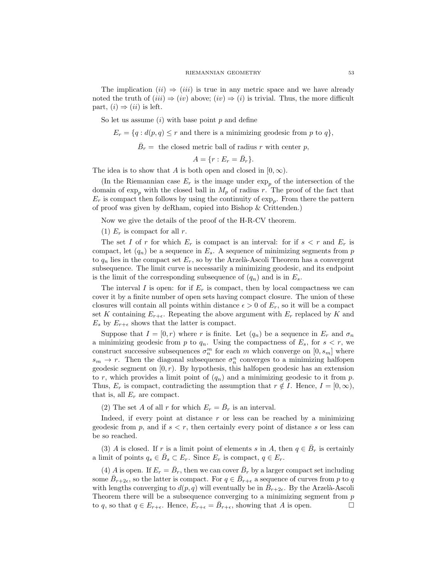The implication  $(ii) \Rightarrow (iii)$  is true in any metric space and we have already noted the truth of  $(iii) \Rightarrow (iv)$  above;  $(iv) \Rightarrow (i)$  is trivial. Thus, the more difficult part,  $(i) \Rightarrow (ii)$  is left.

So let us assume  $(i)$  with base point  $p$  and define

 $E_r = \{q : d(p,q) \leq r \text{ and there is a minimizing geodesic from } p \text{ to } q\},\$ 

 $\bar{B}_r =$  the closed metric ball of radius r with center p,

 $A = \{r : E_r = \bar{B}_r\}.$ 

The idea is to show that A is both open and closed in  $[0, \infty)$ .

(In the Riemannian case  $E_r$  is the image under  $\exp_p$  of the intersection of the domain of  $\exp_p$  with the closed ball in  $M_p$  of radius r. The proof of the fact that  $E_r$  is compact then follows by using the continuity of  $\exp_p$ . From there the pattern of proof was given by deRham, copied into Bishop & Crittenden.)

Now we give the details of the proof of the H-R-CV theorem.

(1)  $E_r$  is compact for all r.

The set I of r for which  $E_r$  is compact is an interval: for if  $s < r$  and  $E_r$  is compact, let  $(q_n)$  be a sequence in  $E_s$ . A sequence of minimizing segments from p to  $q_n$  lies in the compact set  $E_r$ , so by the Arzelà-Ascoli Theorem has a convergent subsequence. The limit curve is necessarily a minimizing geodesic, and its endpoint is the limit of the corresponding subsequence of  $(q_n)$  and is in  $E_s$ .

The interval I is open: for if  $E_r$  is compact, then by local compactness we can cover it by a finite number of open sets having compact closure. The union of these closures will contain all points within distance  $\epsilon > 0$  of  $E_r$ , so it will be a compact set K containing  $E_{r+\epsilon}$ . Repeating the above argument with  $E_r$  replaced by K and  $E_s$  by  $E_{r+\epsilon}$  shows that the latter is compact.

Suppose that  $I = [0, r)$  where r is finite. Let  $(q_n)$  be a sequence in  $E_r$  and  $\sigma_n$ a minimizing geodesic from p to  $q_n$ . Using the compactness of  $E_s$ , for  $s < r$ , we construct successive subsequences  $\sigma_n^m$  for each m which converge on  $[0, s_m]$  where  $s_m \to r$ . Then the diagonal subsequence  $\sigma_n^n$  converges to a minimizing halfopen geodesic segment on  $[0, r)$ . By hypothesis, this halfopen geodesic has an extension to r, which provides a limit point of  $(q_n)$  and a minimizing geodesic to it from p. Thus,  $E_r$  is compact, contradicting the assumption that  $r \notin I$ . Hence,  $I = [0, \infty)$ , that is, all  $E_r$  are compact.

(2) The set A of all r for which  $E_r = \bar{B}_r$  is an interval.

Indeed, if every point at distance  $r$  or less can be reached by a minimizing geodesic from p, and if  $s < r$ , then certainly every point of distance s or less can be so reached.

(3) A is closed. If r is a limit point of elements s in A, then  $q \in \overline{B}_r$  is certainly a limit of points  $q_s \in \overline{B}_s \subset E_r$ . Since  $E_r$  is compact,  $q \in E_r$ .

(4) A is open. If  $E_r = \bar{B}_r$ , then we can cover  $\bar{B}_r$  by a larger compact set including some  $\bar{B}_{r+2\epsilon}$ , so the latter is compact. For  $q \in \bar{B}_{r+\epsilon}$  a sequence of curves from p to q with lengths converging to  $d(p, q)$  will eventually be in  $\bar{B}_{r+2\epsilon}$ . By the Arzelà-Ascoli Theorem there will be a subsequence converging to a minimizing segment from  $p$ to q, so that  $q \in E_{r+\epsilon}$ . Hence,  $E_{r+\epsilon} = \bar{B}_{r+\epsilon}$ , showing that A is open.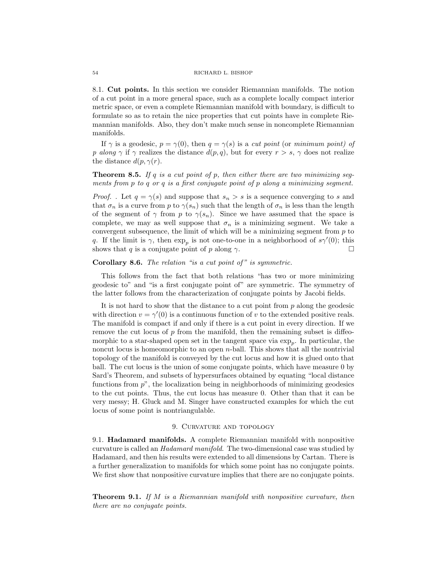8.1. Cut points. In this section we consider Riemannian manifolds. The notion of a cut point in a more general space, such as a complete locally compact interior metric space, or even a complete Riemannian manifold with boundary, is difficult to formulate so as to retain the nice properties that cut points have in complete Riemannian manifolds. Also, they don't make much sense in noncomplete Riemannian manifolds.

If  $\gamma$  is a geodesic,  $p = \gamma(0)$ , then  $q = \gamma(s)$  is a cut point (or minimum point) of p along  $\gamma$  if  $\gamma$  realizes the distance  $d(p, q)$ , but for every  $r > s$ ,  $\gamma$  does not realize the distance  $d(p, \gamma(r))$ .

# **Theorem 8.5.** If  $q$  is a cut point of  $p$ , then either there are two minimizing segments from  $p$  to  $q$  or  $q$  is a first conjugate point of  $p$  along a minimizing segment.

*Proof.* . Let  $q = \gamma(s)$  and suppose that  $s_n > s$  is a sequence converging to s and that  $\sigma_n$  is a curve from p to  $\gamma(s_n)$  such that the length of  $\sigma_n$  is less than the length of the segment of  $\gamma$  from p to  $\gamma(s_n)$ . Since we have assumed that the space is complete, we may as well suppose that  $\sigma_n$  is a minimizing segment. We take a convergent subsequence, the limit of which will be a minimizing segment from  $p$  to q. If the limit is  $\gamma$ , then  $\exp_p$  is not one-to-one in a neighborhood of  $s\gamma'(0)$ ; this shows that q is a conjugate point of p along  $\gamma$ .

## Corollary 8.6. The relation "is a cut point of" is symmetric.

This follows from the fact that both relations "has two or more minimizing geodesic to" and "is a first conjugate point of" are symmetric. The symmetry of the latter follows from the characterization of conjugate points by Jacobi fields.

It is not hard to show that the distance to a cut point from p along the geodesic with direction  $v = \gamma'(0)$  is a continuous function of v to the extended positive reals. The manifold is compact if and only if there is a cut point in every direction. If we remove the cut locus of  $p$  from the manifold, then the remaining subset is diffeomorphic to a star-shaped open set in the tangent space via  $\exp_p$ . In particular, the noncut locus is homeomorphic to an open n-ball. This shows that all the nontrivial topology of the manifold is conveyed by the cut locus and how it is glued onto that ball. The cut locus is the union of some conjugate points, which have measure 0 by Sard's Theorem, and subsets of hypersurfaces obtained by equating "local distance functions from  $p$ <sup>"</sup>, the localization being in neighborhoods of minimizing geodesics to the cut points. Thus, the cut locus has measure 0. Other than that it can be very messy; H. Gluck and M. Singer have constructed examples for which the cut locus of some point is nontriangulable.

# 9. CURVATURE AND TOPOLOGY

9.1. Hadamard manifolds. A complete Riemannian manifold with nonpositive curvature is called an Hadamard manifold. The two-dimensional case was studied by Hadamard, and then his results were extended to all dimensions by Cartan. There is a further generalization to manifolds for which some point has no conjugate points. We first show that nonpositive curvature implies that there are no conjugate points.

**Theorem 9.1.** If  $M$  is a Riemannian manifold with nonpositive curvature, then there are no conjugate points.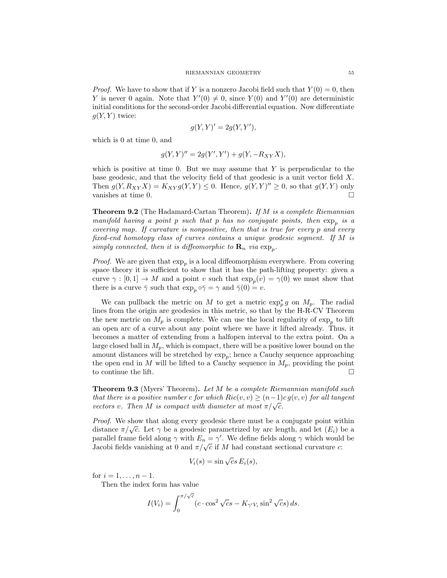*Proof.* We have to show that if Y is a nonzero Jacobi field such that  $Y(0) = 0$ , then Y is never 0 again. Note that  $Y'(0) \neq 0$ , since  $Y(0)$  and  $Y'(0)$  are deterministic initial conditions for the second-order Jacobi differential equation. Now differentiate  $g(Y, Y)$  twice:

$$
g(Y, Y)' = 2g(Y, Y'),
$$

which is 0 at time 0, and

$$
g(Y, Y)'' = 2g(Y', Y') + g(Y, -R_{XY}X),
$$

which is positive at time 0. But we may assume that  $Y$  is perpendicular to the base geodesic, and that the velocity field of that geodesic is a unit vector field X. Then  $g(Y, R_{XY}X) = K_{XY}g(Y, Y) \leq 0$ . Hence,  $g(Y, Y)'' \geq 0$ , so that  $g(Y, Y)$  only vanishes at time 0.

**Theorem 9.2** (The Hadamard-Cartan Theorem). If M is a complete Riemannian manifold having a point p such that p has no conjugate points, then  $\exp_p$  is a covering map. If curvature is nonpositive, then that is true for every p and every fixed-end homotopy class of curves contains a unique geodesic segment. If M is simply connected, then it is diffeomorphic to  $\mathbf{R}_n$  via  $\exp_p$ .

*Proof.* We are given that  $\exp_p$  is a local diffeomorphism everywhere. From covering space theory it is sufficient to show that it has the path-lifting property: given a curve  $\gamma : [0,1] \to M$  and a point v such that  $\exp_p(v) = \gamma(0)$  we must show that there is a curve  $\bar{\gamma}$  such that  $\exp_n \circ \bar{\gamma} = \gamma$  and  $\bar{\gamma}(0) = v$ .

We can pullback the metric on M to get a metric  $\exp_p^* g$  on  $M_p$ . The radial lines from the origin are geodesics in this metric, so that by the H-R-CV Theorem the new metric on  $M_p$  is complete. We can use the local regularity of  $\exp_p$  to lift an open arc of a curve about any point where we have it lifted already. Thus, it becomes a matter of extending from a halfopen interval to the extra point. On a large closed ball in  $M_p$ , which is compact, there will be a positive lower bound on the amount distances will be stretched by  $\exp_p$ ; hence a Cauchy sequence approaching the open end in M will be lifted to a Cauchy sequence in  $M_p$ , providing the point to continue the lift.

**Theorem 9.3** (Myers' Theorem). Let M be a complete Riemannian manifold such that there is a positive number c for which  $Ric(v, v) \ge (n-1)c g(v, v)$  for all tangent vectors v. Then M is compact with diameter at most  $\pi/\sqrt{c}$ .

Proof. We show that along every geodesic there must be a conjugate point within *Froul.* We show that along every geodesic there must be a conjugate point within<br>distance  $\pi/\sqrt{c}$ . Let  $\gamma$  be a geodesic parametrized by arc length, and let  $(E_i)$  be a parallel frame field along  $\gamma$  with  $E_n = \gamma'$ . We define fields along  $\gamma$  which would be paramer traine neighborhood  $\pi/\sqrt{c}$  if M had constant sectional curvature c:<br>Jacobi fields vanishing at 0 and  $\pi/\sqrt{c}$  if M had constant sectional curvature c:

$$
V_i(s) = \sin \sqrt{c} s E_i(s),
$$

for  $i = 1, ..., n - 1$ .

Then the index form has value

$$
I(V_i) = \int_0^{\pi/\sqrt{c}} (c \cdot \cos^2 \sqrt{c} s - K_{\gamma' V_i} \sin^2 \sqrt{c} s) ds.
$$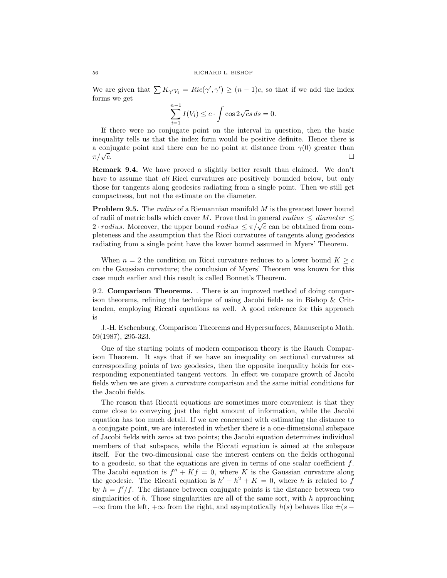We are given that  $\sum K_{\gamma' V_i} = Ric(\gamma', \gamma') \ge (n-1)c$ , so that if we add the index forms we get

$$
\sum_{i=1}^{n-1} I(V_i) \le c \cdot \int \cos 2\sqrt{c} s \, ds = 0.
$$

If there were no conjugate point on the interval in question, then the basic inequality tells us that the index form would be positive definite. Hence there is a conjugate point and there can be no point at distance from  $\gamma(0)$  greater than  $\pi/\sqrt{c}$ .  $\overline{c}$ .

Remark 9.4. We have proved a slightly better result than claimed. We don't have to assume that *all* Ricci curvatures are positively bounded below, but only those for tangents along geodesics radiating from a single point. Then we still get compactness, but not the estimate on the diameter.

**Problem 9.5.** The *radius* of a Riemannian manifold M is the greatest lower bound of radii of metric balls which cover M. Prove that in general radius  $\leq$  diameter  $\leq$ of radii of metric bans which cover  $M$ . Frove that in general radius  $\leq$  alternative  $\leq$  2 · radius. Moreover, the upper bound radius  $\leq \pi/\sqrt{c}$  can be obtained from completeness and the assumption that the Ricci curvatures of tangents along geodesics radiating from a single point have the lower bound assumed in Myers' Theorem.

When  $n = 2$  the condition on Ricci curvature reduces to a lower bound  $K \geq c$ on the Gaussian curvature; the conclusion of Myers' Theorem was known for this case much earlier and this result is called Bonnet's Theorem.

9.2. Comparison Theorems. . There is an improved method of doing comparison theorems, refining the technique of using Jacobi fields as in Bishop & Crittenden, employing Riccati equations as well. A good reference for this approach is

J.-H. Eschenburg, Comparison Theorems and Hypersurfaces, Manuscripta Math. 59(1987), 295-323.

One of the starting points of modern comparison theory is the Rauch Comparison Theorem. It says that if we have an inequality on sectional curvatures at corresponding points of two geodesics, then the opposite inequality holds for corresponding exponentiated tangent vectors. In effect we compare growth of Jacobi fields when we are given a curvature comparison and the same initial conditions for the Jacobi fields.

The reason that Riccati equations are sometimes more convenient is that they come close to conveying just the right amount of information, while the Jacobi equation has too much detail. If we are concerned with estimating the distance to a conjugate point, we are interested in whether there is a one-dimensional subspace of Jacobi fields with zeros at two points; the Jacobi equation determines individual members of that subspace, while the Riccati equation is aimed at the subspace itself. For the two-dimensional case the interest centers on the fields orthogonal to a geodesic, so that the equations are given in terms of one scalar coefficient  $f$ . The Jacobi equation is  $f'' + Kf = 0$ , where K is the Gaussian curvature along the geodesic. The Riccati equation is  $h' + h^2 + K = 0$ , where h is related to f by  $h = f'/f$ . The distance between conjugate points is the distance between two singularities of h. Those singularities are all of the same sort, with h approaching  $-\infty$  from the left,  $+\infty$  from the right, and asymptotically  $h(s)$  behaves like  $\pm(s -$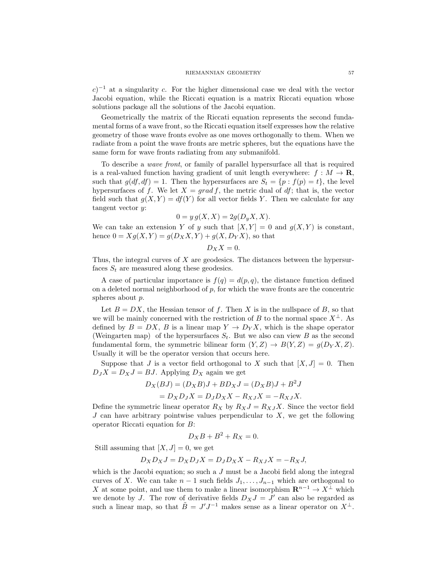$(c)^{-1}$  at a singularity c. For the higher dimensional case we deal with the vector Jacobi equation, while the Riccati equation is a matrix Riccati equation whose solutions package all the solutions of the Jacobi equation.

Geometrically the matrix of the Riccati equation represents the second fundamental forms of a wave front, so the Riccati equation itself expresses how the relative geometry of those wave fronts evolve as one moves orthogonally to them. When we radiate from a point the wave fronts are metric spheres, but the equations have the same form for wave fronts radiating from any submanifold.

To describe a wave front, or family of parallel hypersurface all that is required is a real-valued function having gradient of unit length everywhere:  $f : M \to \mathbf{R}$ , such that  $g(df, df) = 1$ . Then the hypersurfaces are  $S_t = \{p : f(p) = t\}$ , the level hypersurfaces of f. We let  $X = grad f$ , the metric dual of df; that is, the vector field such that  $g(X, Y) = df(Y)$  for all vector fields Y. Then we calculate for any tangent vector  $y$ :

$$
0 = y g(X, X) = 2g(D_y X, X).
$$

We can take an extension Y of y such that  $[X, Y] = 0$  and  $g(X, Y)$  is constant, hence  $0 = Xg(X, Y) = g(D_XX, Y) + g(X, D_YY)$ , so that

$$
D_X X = 0.
$$

Thus, the integral curves of X are geodesics. The distances between the hypersurfaces  $S_t$  are measured along these geodesics.

A case of particular importance is  $f(q) = d(p, q)$ , the distance function defined on a deleted normal neighborhood of  $p$ , for which the wave fronts are the concentric spheres about p.

Let  $B = DX$ , the Hessian tensor of f. Then X is in the nullspace of B, so that we will be mainly concerned with the restriction of B to the normal space  $X^{\perp}$ . As defined by  $B = DX$ , B is a linear map  $Y \to D_Y X$ , which is the shape operator (Weingarten map) of the hypersurfaces  $S_t$ . But we also can view B as the second fundamental form, the symmetric bilinear form  $(Y, Z) \to B(Y, Z) = g(D_Y X, Z)$ . Usually it will be the operator version that occurs here.

Suppose that J is a vector field orthogonal to X such that  $|X, J| = 0$ . Then  $D_JX = D_XJ = BJ$ . Applying  $D_X$  again we get

$$
D_X(BJ) = (D_XB)J + BD_XJ = (D_XB)J + B^2J
$$

$$
=D_X D_J X = D_J D_X X - R_{XJ} X = -R_{XJ} X.
$$

Define the symmetric linear operator  $R_X$  by  $R_XJ = R_{XJ}X$ . Since the vector field  $J$  can have arbitrary pointwise values perpendicular to  $X$ , we get the following operator Riccati equation for B:

$$
D_X B + B^2 + R_X = 0.
$$

Still assuming that  $[X, J] = 0$ , we get

$$
D_X D_X J = D_X D_J X = D_J D_X X - R_{XJ} X = -R_X J,
$$

which is the Jacobi equation; so such a  $J$  must be a Jacobi field along the integral curves of X. We can take  $n-1$  such fields  $J_1, \ldots, J_{n-1}$  which are orthogonal to X at some point, and use them to make a linear isomorphism  $\mathbb{R}^{n-1} \to X^{\perp}$  which we denote by J. The row of derivative fields  $D_X J = J'$  can also be regarded as such a linear map, so that  $\tilde{B} = J'J^{-1}$  makes sense as a linear operator on  $X^{\perp}$ .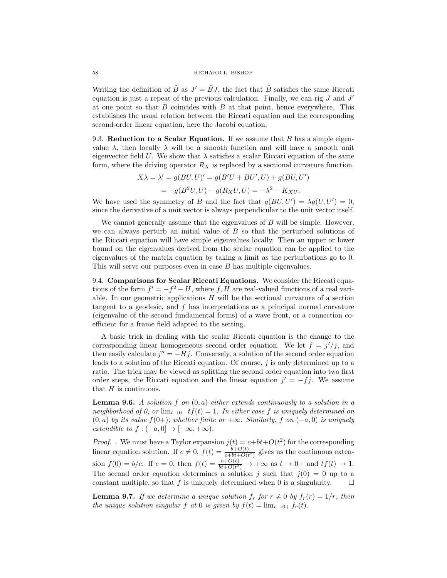#### 58 RICHARD L. BISHOP

Writing the definition of  $\tilde{B}$  as  $J' = \tilde{B}J$ , the fact that  $\tilde{B}$  satisfies the same Riccati equation is just a repeat of the previous calculation. Finally, we can rig  $J$  and  $J'$ at one point so that  $B$  coincides with  $B$  at that point, hence everywhere. This establishes the usual relation between the Riccati equation and the corresponding second-order linear equation, here the Jacobi equation.

9.3. Reduction to a Scalar Equation. If we assume that  $B$  has a simple eigenvalue  $\lambda$ , then locally  $\lambda$  will be a smooth function and will have a smooth unit eigenvector field U. We show that  $\lambda$  satisfies a scalar Riccati equation of the same form, where the driving operator  $R_X$  is replaced by a sectional curvature function.

$$
X\lambda = \lambda' = g(BU, U)' = g(B'U + BU', U) + g(BU, U')
$$
  
= 
$$
-g(B^2U, U) - g(R_XU, U) = -\lambda^2 - K_{XU}.
$$

We have used the symmetry of B and the fact that  $g(BU, U') = \lambda g(U, U') = 0$ , since the derivative of a unit vector is always perpendicular to the unit vector itself.

We cannot generally assume that the eigenvalues of  $B$  will be simple. However, we can always perturb an initial value of  $B$  so that the perturbed solutions of the Riccati equation will have simple eigenvalues locally. Then an upper or lower bound on the eigenvalues derived from the scalar equation can be applied to the eigenvalues of the matrix equation by taking a limit as the perturbations go to 0. This will serve our purposes even in case B has multiple eigenvalues.

9.4. Comparisons for Scalar Riccati Equations. We consider the Riccati equations of the form  $f' = -f^2 - H$ , where f, H are real-valued functions of a real variable. In our geometric applications  $H$  will be the sectional curvature of a section tangent to a geodesic, and f has interpretations as a principal normal curvature (eigenvalue of the second fundamental forms) of a wave front, or a connection coefficient for a frame field adapted to the setting.

A basic trick in dealing with the scalar Riccati equation is the change to the corresponding linear homogeneous second order equation. We let  $f = j'/j$ , and then easily calculate  $j'' = -Hj$ . Conversely, a solution of the second order equation leads to a solution of the Riccati equation. Of course,  $j$  is only determined up to a ratio. The trick may be viewed as splitting the second order equation into two first order steps, the Riccati equation and the linear equation  $j' = -fj$ . We assume that  $H$  is continuous.

**Lemma 9.6.** A solution f on  $(0, a)$  either extends continuously to a solution in a neighborhood of 0, or  $\lim_{t\to 0+} tf(t) = 1$ . In either case f is uniquely determined on  $(0, a)$  by its value  $f(0+)$ , whether finite or  $+\infty$ . Similarly, f on  $(-a, 0)$  is uniquely extendible to  $f: (-a, 0] \rightarrow [-\infty, +\infty)$ .

*Proof.* We must have a Taylor expansion  $j(t) = c + bt + O(t^2)$  for the corresponding linear equation solution. If  $c \neq 0$ ,  $f(t) = \frac{b+O(t)}{c+bt+O(t^2)}$  gives us the continuous extension  $f(0) = b/c$ . If  $c = 0$ , then  $f(t) = \frac{b+O(t)}{bt+O(t^2)} \rightarrow +\infty$  as  $t \rightarrow 0+$  and  $tf(t) \rightarrow 1$ . The second order equation determines a solution j such that  $j(0) = 0$  up to a constant multiple, so that f is uniquely determined when 0 is a singularity.  $\square$ 

**Lemma 9.7.** If we determine a unique solution  $f_r$  for  $r \neq 0$  by  $f_r(r) = 1/r$ , then the unique solution singular f at 0 is given by  $f(t) = \lim_{r\to 0+} f_r(t)$ .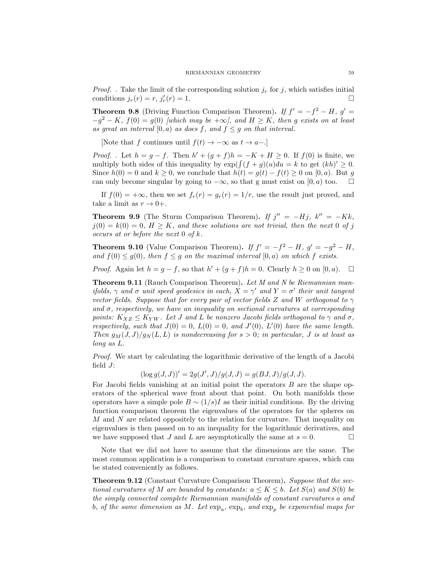*Proof.* . Take the limit of the corresponding solution  $j_r$  for j, which satisfies initial conditions  $j_r(r) = r$ ,  $j'_r(r) = 1$ .

**Theorem 9.8** (Driving Function Comparison Theorem). If  $f' = -f^2 - H$ ,  $g' =$  $-g^2 - K$ ,  $f(0) = g(0)$  [which may be  $+\infty$ ], and  $H \geq K$ , then g exists on at least as great an interval  $[0, a)$  as does f, and  $f \leq g$  on that interval.

[Note that f continues until  $f(t) \rightarrow -\infty$  as  $t \rightarrow a-$ .]

*Proof.* . Let  $h = g - f$ . Then  $h' + (g + f)h = -K + H \ge 0$ . If  $f(0)$  is finite, we multiply both sides of this inequality by  $\exp(\int (f + g)(u) du = k$  to get  $(kh)' \geq 0$ . Since  $h(0) = 0$  and  $k \geq 0$ , we conclude that  $h(t) = g(t) - f(t) \geq 0$  on [0, a). But g can only become singular by going to  $-\infty$ , so that g must exist on [0, a) too.  $\square$ 

If  $f(0) = +\infty$ , then we set  $f_r(r) = g_r(r) = 1/r$ , use the result just proved, and take a limit as  $r \to 0+$ .

**Theorem 9.9** (The Sturm Comparison Theorem). If  $j'' = -Hj$ ,  $k'' = -Kk$ ,  $j(0) = k(0) = 0$ ,  $H \geq K$ , and these solutions are not trivial, then the next 0 of j occurs at or before the next  $0$  of  $k$ .

**Theorem 9.10** (Value Comparison Theorem). If  $f' = -f^2 - H$ ,  $g' = -g^2 - H$ , and  $f(0) \leq g(0)$ , then  $f \leq g$  on the maximal interval  $[0, a)$  on which f exists.

*Proof.* Again let  $h = g - f$ , so that  $h' + (g + f)h = 0$ . Clearly  $h \ge 0$  on  $[0, a)$ .  $\Box$ 

**Theorem 9.11** (Rauch Comparison Theorem). Let M and N be Riemannian manifolds,  $\gamma$  and  $\sigma$  unit speed geodesics in each,  $X = \gamma'$  and  $Y = \sigma'$  their unit tangent vector fields. Suppose that for every pair of vector fields Z and W orthogonal to  $\gamma$ and  $\sigma$ , respectively, we have an inequality on sectional curvatures at corresponding points:  $K_{XZ} \leq K_{YW}$ . Let J and L be nonzero Jacobi fields orthogonal to  $\gamma$  and  $\sigma$ , respectively, such that  $J(0) = 0$ ,  $L(0) = 0$ , and  $J'(0)$ ,  $L'(0)$  have the same length. Then  $g_M(J, J)/g_N(L, L)$  is nondecreasing for  $s > 0$ ; in particular, J is at least as long as L.

Proof. We start by calculating the logarithmic derivative of the length of a Jacobi field  $J$ :

 $(\log g(J, J))' = 2g(J', J)/g(J, J) = g(BJ, J)/g(J, J).$ 

For Jacobi fields vanishing at an initial point the operators  $B$  are the shape operators of the spherical wave front about that point. On both manifolds these operators have a simple pole  $B \sim (1/s)I$  as their initial conditions. By the driving function comparison theorem the eigenvalues of the operators for the spheres on M and N are related oppositely to the relation for curvature. That inequality on eigenvalues is then passed on to an inequality for the logarithmic derivatives, and we have supposed that J and L are asymptotically the same at  $s = 0$ .

Note that we did not have to assume that the dimensions are the same. The most common application is a comparison to constant curvature spaces, which can be stated conveniently as follows.

**Theorem 9.12** (Constant Curvature Comparison Theorem). Suppose that the sectional curvatures of M are bounded by constants:  $a \leq K \leq b$ . Let  $S(a)$  and  $S(b)$  be the simply connected complete Riemannian manifolds of constant curvatures a and b, of the same dimension as M. Let  $\exp_a$ ,  $\exp_b$ , and  $\exp_p$  be exponential maps for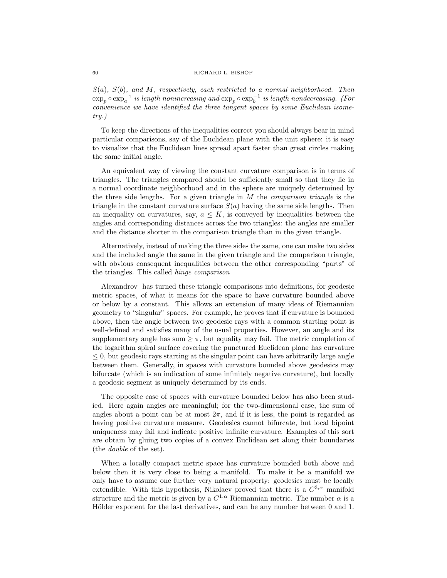$S(a)$ ,  $S(b)$ , and M, respectively, each restricted to a normal neighborhood. Then  $\exp_p \circ \exp_a^{-1}$  is length nonincreasing and  $\exp_p \circ \exp_b^{-1}$  is length nondecreasing. (For convenience we have identified the three tangent spaces by some Euclidean isometry.)

To keep the directions of the inequalities correct you should always bear in mind particular comparisons, say of the Euclidean plane with the unit sphere: it is easy to visualize that the Euclidean lines spread apart faster than great circles making the same initial angle.

An equivalent way of viewing the constant curvature comparison is in terms of triangles. The triangles compared should be sufficiently small so that they lie in a normal coordinate neighborhood and in the sphere are uniquely determined by the three side lengths. For a given triangle in  $M$  the *comparison triangle* is the triangle in the constant curvature surface  $S(a)$  having the same side lengths. Then an inequality on curvatures, say,  $a \leq K$ , is conveyed by inequalities between the angles and corresponding distances across the two triangles: the angles are smaller and the distance shorter in the comparison triangle than in the given triangle.

Alternatively, instead of making the three sides the same, one can make two sides and the included angle the same in the given triangle and the comparison triangle, with obvious consequent inequalities between the other corresponding "parts" of the triangles. This called hinge comparison

Alexandrov has turned these triangle comparisons into definitions, for geodesic metric spaces, of what it means for the space to have curvature bounded above or below by a constant. This allows an extension of many ideas of Riemannian geometry to "singular" spaces. For example, he proves that if curvature is bounded above, then the angle between two geodesic rays with a common starting point is well-defined and satisfies many of the usual properties. However, an angle and its supplementary angle has sum  $\geq \pi$ , but equality may fail. The metric completion of the logarithm spiral surface covering the punctured Euclidean plane has curvature  $\leq 0$ , but geodesic rays starting at the singular point can have arbitrarily large angle between them. Generally, in spaces with curvature bounded above geodesics may bifurcate (which is an indication of some infinitely negative curvature), but locally a geodesic segment is uniquely determined by its ends.

The opposite case of spaces with curvature bounded below has also been studied. Here again angles are meaningful; for the two-dimensional case, the sum of angles about a point can be at most  $2\pi$ , and if it is less, the point is regarded as having positive curvature measure. Geodesics cannot bifurcate, but local bipoint uniqueness may fail and indicate positive infinite curvature. Examples of this sort are obtain by gluing two copies of a convex Euclidean set along their boundaries (the double of the set).

When a locally compact metric space has curvature bounded both above and below then it is very close to being a manifold. To make it be a manifold we only have to assume one further very natural property: geodesics must be locally extendible. With this hypothesis, Nikolaev proved that there is a  $C^{3,\alpha}$  manifold structure and the metric is given by a  $C^{1,\alpha}$  Riemannian metric. The number  $\alpha$  is a Hölder exponent for the last derivatives, and can be any number between 0 and 1.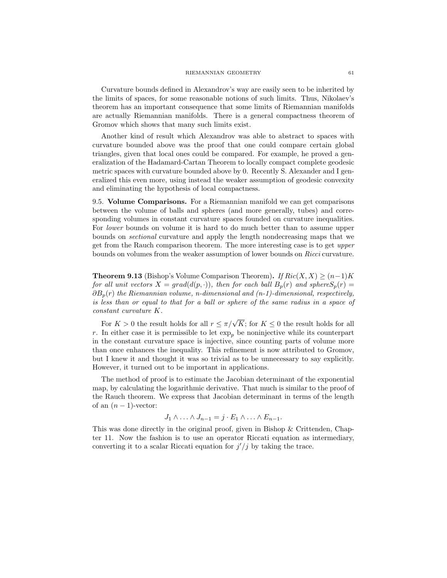Curvature bounds defined in Alexandrov's way are easily seen to be inherited by the limits of spaces, for some reasonable notions of such limits. Thus, Nikolaev's theorem has an important consequence that some limits of Riemannian manifolds are actually Riemannian manifolds. There is a general compactness theorem of Gromov which shows that many such limits exist.

Another kind of result which Alexandrov was able to abstract to spaces with curvature bounded above was the proof that one could compare certain global triangles, given that local ones could be compared. For example, he proved a generalization of the Hadamard-Cartan Theorem to locally compact complete geodesic metric spaces with curvature bounded above by 0. Recently S. Alexander and I generalized this even more, using instead the weaker assumption of geodesic convexity and eliminating the hypothesis of local compactness.

9.5. Volume Comparisons. For a Riemannian manifold we can get comparisons between the volume of balls and spheres (and more generally, tubes) and corresponding volumes in constant curvature spaces founded on curvature inequalities. For lower bounds on volume it is hard to do much better than to assume upper bounds on sectional curvature and apply the length nondecreasing maps that we get from the Rauch comparison theorem. The more interesting case is to get upper bounds on volumes from the weaker assumption of lower bounds on Ricci curvature.

**Theorem 9.13** (Bishop's Volume Comparison Theorem). If  $Ric(X, X) \ge (n-1)K$ for all unit vectors  $X = grad(d(p, \cdot))$ , then for each ball  $B_p(r)$  and sphere $S_p(r)$  $\partial B_p(r)$  the Riemannian volume, n-dimensional and (n-1)-dimensional, respectively, is less than or equal to that for a ball or sphere of the same radius in a space of constant curvature K.

For  $K > 0$  the result holds for all  $r \leq \pi/\sqrt{K}$ ; for  $K \leq 0$  the result holds for all r. In either case it is permissible to let  $\exp_p$  be noninjective while its counterpart in the constant curvature space is injective, since counting parts of volume more than once enhances the inequality. This refinement is now attributed to Gromov, but I knew it and thought it was so trivial as to be unnecessary to say explicitly. However, it turned out to be important in applications.

The method of proof is to estimate the Jacobian determinant of the exponential map, by calculating the logarithmic derivative. That much is similar to the proof of the Rauch theorem. We express that Jacobian determinant in terms of the length of an  $(n-1)$ -vector:

$$
J_1 \wedge \ldots \wedge J_{n-1} = j \cdot E_1 \wedge \ldots \wedge E_{n-1}.
$$

This was done directly in the original proof, given in Bishop & Crittenden, Chapter 11. Now the fashion is to use an operator Riccati equation as intermediary, converting it to a scalar Riccati equation for  $j'/j$  by taking the trace.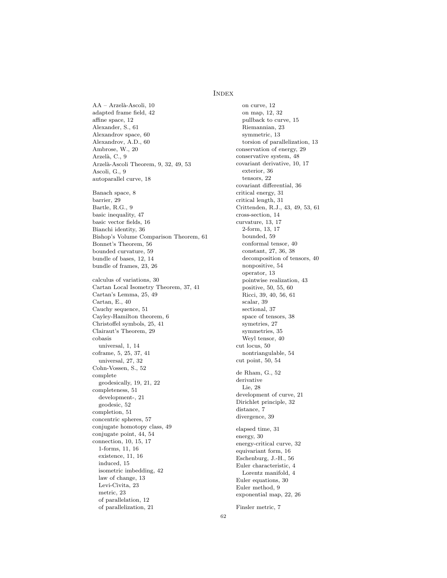## **INDEX**

AA – Arzelà-Ascoli, 10 adapted frame field, 42 affine space, 12 Alexander, S., 61 Alexandrov space, 60 Alexandrov, A.D., 60 Ambrose, W., 20 Arzelà, C., 9 Arzelà-Ascoli Theorem, 9, 32, 49, 53 Ascoli, G., 9 autoparallel curve, 18 Banach space, 8 barrier, 29 Bartle, R.G., 9 basic inequality, 47 basic vector fields, 16 Bianchi identity, 36 Bishop's Volume Comparison Theorem, 61 Bonnet's Theorem, 56 bounded curvature, 59 bundle of bases, 12, 14 bundle of frames, 23, 26 calculus of variations, 30 Cartan Local Isometry Theorem, 37, 41 Cartan's Lemma, 25, 49 Cartan, E., 40 Cauchy sequence, 51 Cayley-Hamilton theorem, 6 Christoffel symbols, 25, 41 Clairaut's Theorem, 29 cobasis universal, 1, 14 coframe, 5, 25, 37, 41 universal, 27, 32 Cohn-Vossen, S., 52 complete geodesically, 19, 21, 22 completeness, 51 development-, 21 geodesic, 52 completion, 51 concentric spheres, 57 conjugate homotopy class, 49 conjugate point, 44, 54 connection, 10, 15, 17 1-forms, 11, 16 existence, 11, 16 induced, 15 isometric imbedding, 42 law of change, 13 Levi-Civita, 23 metric, 23 of parallelation, 12 of parallelization, 21

on curve, 12 on map, 12, 32 pullback to curve, 15 Riemannian, 23 symmetric, 13 torsion of parallelization, 13 conservation of energy, 29 conservative system, 48 covariant derivative, 10, 17 exterior, 36 tensors, 22 covariant differential, 36 critical energy, 31 critical length, 31 Crittenden, R.J., 43, 49, 53, 61 cross-section, 14 curvature, 13, 17 2-form, 13, 17 bounded, 59 conformal tensor, 40 constant, 27, 36, 38 decomposition of tensors, 40 nonpositive, 54 operator, 13 pointwise realization, 43 positive, 50, 55, 60 Ricci, 39, 40, 56, 61 scalar, 39 sectional, 37 space of tensors, 38 symetries, 27 symmetries, 35 Weyl tensor, 40 cut locus, 50 nontriangulable, 54 cut point, 50, 54 de Rham, G., 52 derivative Lie, 28 development of curve, 21 Dirichlet principle, 32 distance, 7 divergence, 39 elapsed time, 31 energy, 30 energy-critical curve, 32 equivariant form, 16 Eschenburg, J.-H., 56 Euler characteristic, 4 Lorentz manifold, 4 Euler equations, 30 Euler method, 9 exponential map, 22, 26

Finsler metric, 7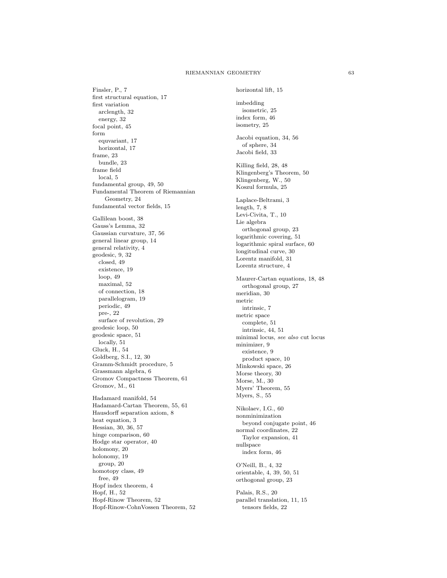#### RIEMANNIAN GEOMETRY 63

Finsler, P., 7 first structural equation, 17 first variation arclength, 32 energy, 32 focal point, 45 form equvariant, 17 horizontal, 17 frame, 23 bundle, 23 frame field local, 5 fundamental group, 49, 50 Fundamental Theorem of Riemannian Geometry, 24 fundamental vector fields, 15 Gallilean boost, 38 Gauss's Lemma, 32 Gaussian curvature, 37, 56 general linear group, 14 general relativity, 4 geodesic, 9, 32 closed, 49 existence, 19 loop, 49 maximal, 52 of connection, 18 parallelogram, 19 periodic, 49 pre-, 22 surface of revolution, 29 geodesic loop, 50 geodesic space, 51 locally, 51 Gluck, H., 54 Goldberg, S.I., 12, 30 Gramm-Schmidt procedure, 5 Grassmann algebra, 6 Gromov Compactness Theorem, 61 Gromov, M., 61 Hadamard manifold, 54 Hadamard-Cartan Theorem, 55, 61 Hausdorff separation axiom, 8 heat equation, 3 Hessian, 30, 36, 57 hinge comparison, 60 Hodge star operator, 40 holomony, 20 holonomy, 19 group, 20 homotopy class, 49 free, 49 Hopf index theorem, 4 Hopf, H., 52 Hopf-Rinow Theorem, 52 Hopf-Rinow-CohnVossen Theorem, 52

horizontal lift, 15 imbedding isometric, 25 index form, 46 isometry, 25 Jacobi equation, 34, 56 of sphere, 34 Jacobi field, 33 Killing field, 28, 48 Klingenberg's Theorem, 50 Klingenberg, W., 50 Koszul formula, 25 Laplace-Beltrami, 3 length, 7, 8 Levi-Civita, T., 10 Lie algebra orthogonal group, 23 logarithmic covering, 51 logarithmic spiral surface, 60 longitudinal curve, 30 Lorentz manifold, 31 Lorentz structure, 4 Maurer-Cartan equations, 18, 48 orthogonal group, 27 meridian, 30 metric intrinsic, 7 metric space complete, 51 intrinsic, 44, 51 minimal locus, see also cut locus minimizer, 9 existence, 9 product space, 10 Minkowski space, 26 Morse theory, 30 Morse, M., 30 Myers' Theorem, 55 Myers, S., 55 Nikolaev, I.G., 60 nonminimization beyond conjugate point, 46 normal coordinates, 22 Taylor expansion, 41 nullspace index form, 46 O'Neill, B., 4, 32 orientable, 4, 39, 50, 51 orthogonal group, 23 Palais, R.S., 20 parallel translation, 11, 15 tensors fields, 22